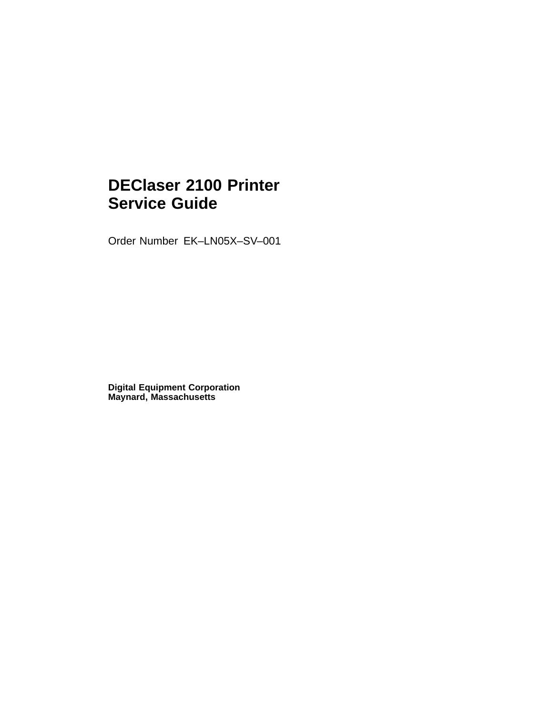# **DEClaser 2100 Printer Service Guide**

Order Number EK–LN05X–SV–001

**Digital Equipment Corporation Maynard, Massachusetts**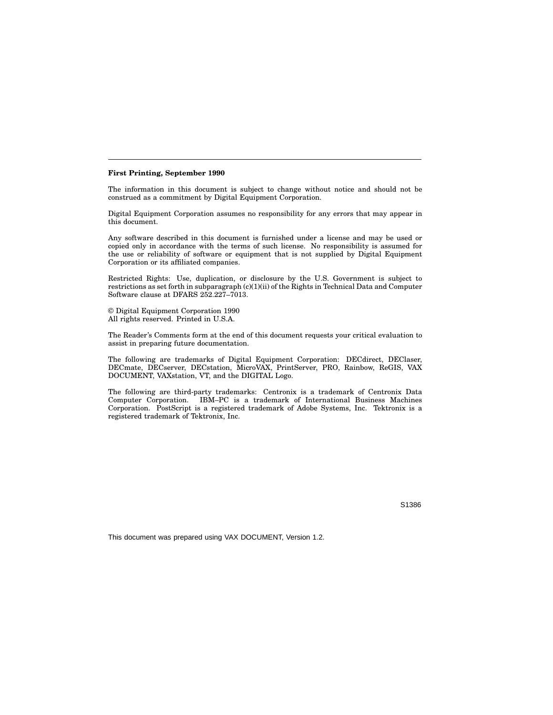#### **First Printing, September 1990**

The information in this document is subject to change without notice and should not be construed as a commitment by Digital Equipment Corporation.

Digital Equipment Corporation assumes no responsibility for any errors that may appear in this document.

Any software described in this document is furnished under a license and may be used or copied only in accordance with the terms of such license. No responsibility is assumed for the use or reliability of software or equipment that is not supplied by Digital Equipment Corporation or its affiliated companies.

Restricted Rights: Use, duplication, or disclosure by the U.S. Government is subject to restrictions as set forth in subparagraph (c)(1)(ii) of the Rights in Technical Data and Computer Software clause at DFARS 252.227–7013.

© Digital Equipment Corporation 1990 All rights reserved. Printed in U.S.A.

The Reader's Comments form at the end of this document requests your critical evaluation to assist in preparing future documentation.

The following are trademarks of Digital Equipment Corporation: DECdirect, DEClaser, DECmate, DECserver, DECstation, MicroVAX, PrintServer, PRO, Rainbow, ReGIS, VAX DOCUMENT, VAXstation, VT, and the DIGITAL Logo.

The following are third-party trademarks: Centronix is a trademark of Centronix Data Computer Corporation. IBM–PC is a trademark of International Business Machines Corporation. PostScript is a registered trademark of Adobe Systems, Inc. Tektronix is a registered trademark of Tektronix, Inc.

S1386

This document was prepared using VAX DOCUMENT, Version 1.2.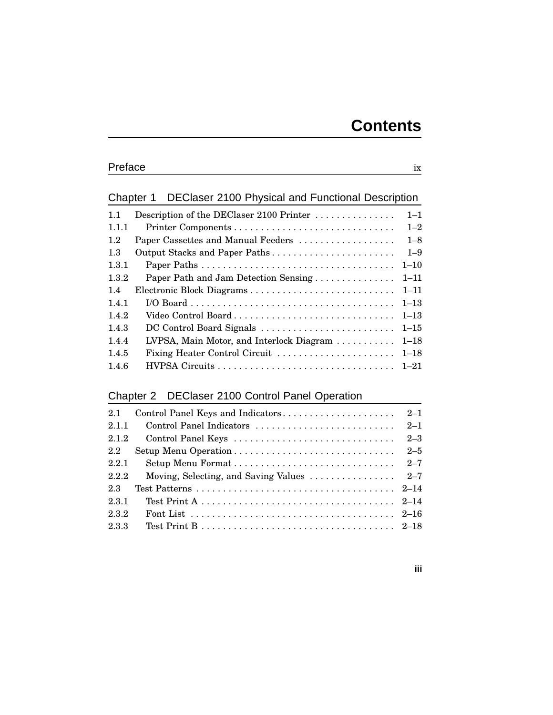# Chapter 1 DEClaser 2100 Physical and Functional Description

| Description of the DEClaser 2100 Printer | $1 - 1$  |
|------------------------------------------|----------|
|                                          | $1 - 2$  |
| Paper Cassettes and Manual Feeders       | $1 - 8$  |
| Output Stacks and Paper Paths            | $1 - 9$  |
|                                          | $1 - 10$ |
| Paper Path and Jam Detection Sensing     | $1 - 11$ |
| Electronic Block Diagrams                | $1 - 11$ |
|                                          | $1 - 13$ |
| Video Control Board                      | $1 - 13$ |
| DC Control Board Signals                 | $1 - 15$ |
| LVPSA, Main Motor, and Interlock Diagram | $1 - 18$ |
| Fixing Heater Control Circuit            | $1 - 18$ |
|                                          | $1 - 21$ |
|                                          |          |

# Chapter 2 DEClaser 2100 Control Panel Operation

| 2.1   |                                                                               |         |
|-------|-------------------------------------------------------------------------------|---------|
| 2.1.1 | Control Panel Indicators                                                      | $2 - 1$ |
| 2.1.2 | Control Panel Keys                                                            | $2 - 3$ |
| 2.2   |                                                                               | $2 - 5$ |
| 2.2.1 |                                                                               | $2 - 7$ |
| 2.2.2 | Moving, Selecting, and Saving Values $\ldots \ldots \ldots \ldots \ldots$ 2–7 |         |
| 2.3   |                                                                               |         |
| 2.3.1 |                                                                               |         |
| 2.3.2 |                                                                               |         |
| 2.3.3 |                                                                               |         |
|       |                                                                               |         |

#### **iii**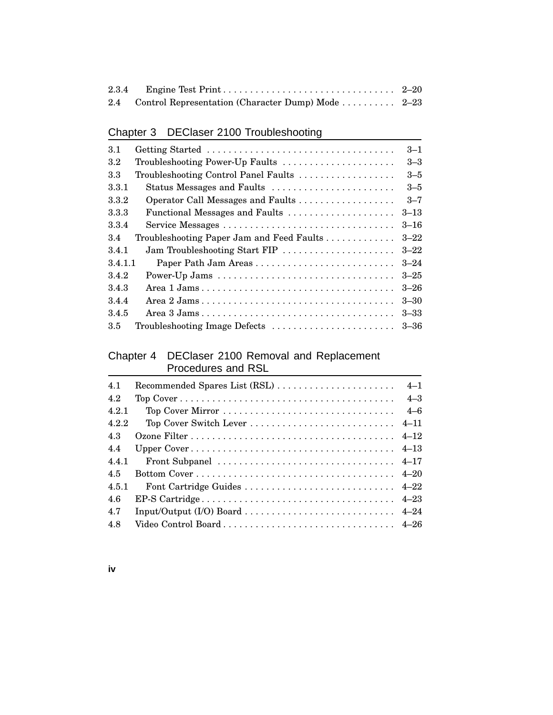| 2.4 Control Representation (Character Dump) Mode  2–23 |  |
|--------------------------------------------------------|--|

# Chapter 3 DEClaser 2100 Troubleshooting

| 3.1     | Getting Started                           | $3 - 1$  |
|---------|-------------------------------------------|----------|
| $3.2\,$ | Troubleshooting Power-Up Faults           | $3 - 3$  |
| 3.3     | Troubleshooting Control Panel Faults      | $3 - 5$  |
| 3.3.1   | Status Messages and Faults                | $3 - 5$  |
| 3.3.2   | Operator Call Messages and Faults         | $3 - 7$  |
| 3.3.3   | Functional Messages and Faults            | $3 - 13$ |
| 3.3.4   |                                           | $3 - 16$ |
| 3.4     | Troubleshooting Paper Jam and Feed Faults | $3 - 22$ |
| 3.4.1   | Jam Troubleshooting Start FIP             | $3 - 22$ |
| 3.4.1.1 |                                           | $3 - 24$ |
| 3.4.2   |                                           | $3 - 25$ |
| 3.4.3   |                                           | $3 - 26$ |
| 3.4.4   |                                           | $3 - 30$ |
| 3.4.5   |                                           | $3 - 33$ |
| 3.5     | Troubleshooting Image Defects             | $3 - 36$ |
|         |                                           |          |

#### Chapter 4 DEClaser 2100 Removal and Replacement Procedures and RSL

| 4.1   |         |
|-------|---------|
| 4.2   | $4 - 3$ |
| 4.2.1 | $4 - 6$ |
| 4.2.2 |         |
| 4.3   |         |
| 4.4   |         |
| 4.4.1 |         |
| 4.5   |         |
| 4.5.1 |         |
| 4.6   |         |
| 4.7   |         |
| 4.8   |         |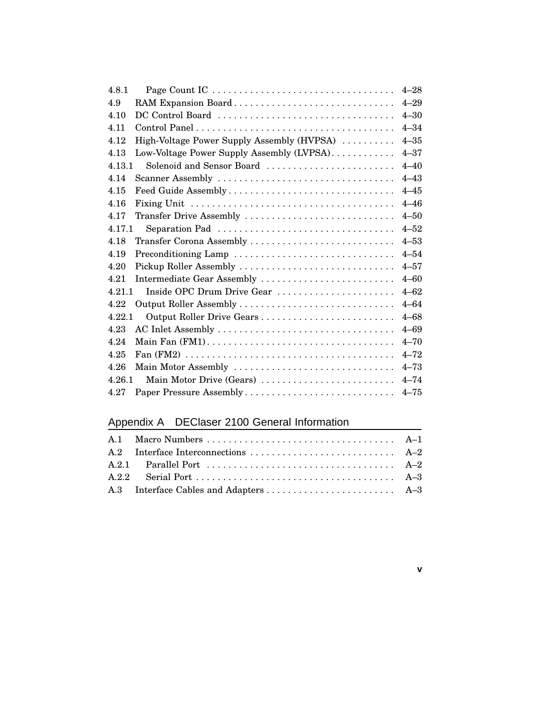| 4.8.1                                              | $4 - 28$ |
|----------------------------------------------------|----------|
| RAM Expansion Board<br>4.9                         | $4 - 29$ |
| DC Control Board<br>4.10                           | $4 - 30$ |
| 4.11                                               | $4 - 34$ |
| High-Voltage Power Supply Assembly (HVPSA)<br>4.12 | $4 - 35$ |
| 4.13<br>Low-Voltage Power Supply Assembly (LVPSA)  | $4 - 37$ |
| 4.13.1<br>Solenoid and Sensor Board                | $4 - 40$ |
| 4.14<br>Scanner Assembly                           | $4 - 43$ |
| 4.15<br>Feed Guide Assembly                        | $4 - 45$ |
| 4.16                                               | $4 - 46$ |
| Transfer Drive Assembly<br>4.17                    | $4 - 50$ |
| 4.17.1<br>Separation Pad                           | $4 - 52$ |
| 4.18<br>Transfer Corona Assembly                   | $4 - 53$ |
| Preconditioning Lamp<br>4.19                       | $4 - 54$ |
| Pickup Roller Assembly<br>4.20                     | $4 - 57$ |
| 4.21<br>Intermediate Gear Assembly                 | $4 - 60$ |
| Inside OPC Drum Drive Gear<br>4.21.1               | $4 - 62$ |
| 4.22                                               | $4 - 64$ |
| 4.22.1                                             | $4 - 68$ |
| 4.23                                               | $4 - 69$ |
| 4.24                                               | $4 - 70$ |
| 4.25                                               | $4 - 72$ |
| Main Motor Assembly<br>4.26                        | $4 - 73$ |
| 4.26.1<br>Main Motor Drive (Gears)                 | $4 - 74$ |
| 4.27                                               | $4 - 75$ |

# Appendix A DEClaser 2100 General Information

**v**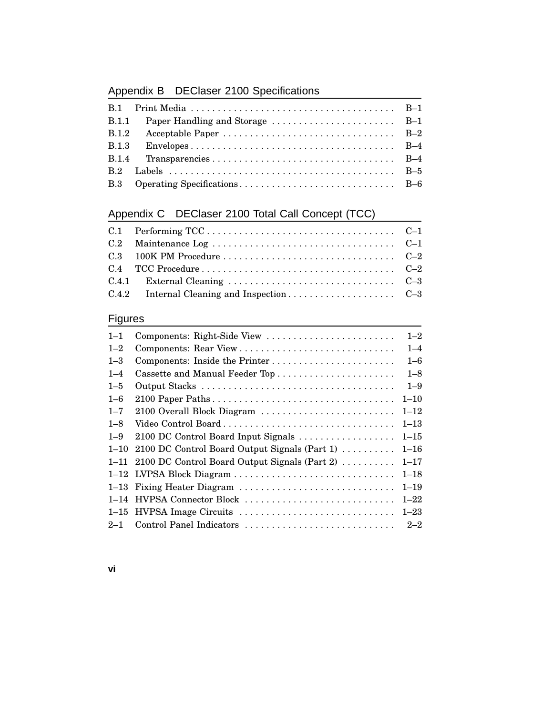# Appendix B DEClaser 2100 Specifications

# Appendix C DEClaser 2100 Total Call Concept (TCC)

# Figures

| $1 - 1$  | Components: Right-Side View                   | $1 - 2$  |
|----------|-----------------------------------------------|----------|
| $1 - 2$  |                                               | $1 - 4$  |
| $1 - 3$  | Components: Inside the Printer                | $1 - 6$  |
| $1 - 4$  |                                               | $1 - 8$  |
| $1 - 5$  |                                               | $1 - 9$  |
| $1 - 6$  |                                               | $1 - 10$ |
| $1 - 7$  | 2100 Overall Block Diagram                    | $1 - 12$ |
| $1 - 8$  | Video Control Board                           | $1 - 13$ |
| $1 - 9$  | 2100 DC Control Board Input Signals           | $1 - 15$ |
| $1 - 10$ | 2100 DC Control Board Output Signals (Part 1) | $1 - 16$ |
| $1 - 11$ | 2100 DC Control Board Output Signals (Part 2) | $1 - 17$ |
|          | 1-12 LVPSA Block Diagram                      | $1 - 18$ |
|          | 1-13 Fixing Heater Diagram                    | $1 - 19$ |
|          | 1–14 HVPSA Connector Block                    | $1 - 22$ |
|          | 1–15 HVPSA Image Circuits                     | $1 - 23$ |
| $2 - 1$  | Control Panel Indicators                      | $2 - 2$  |

**vi**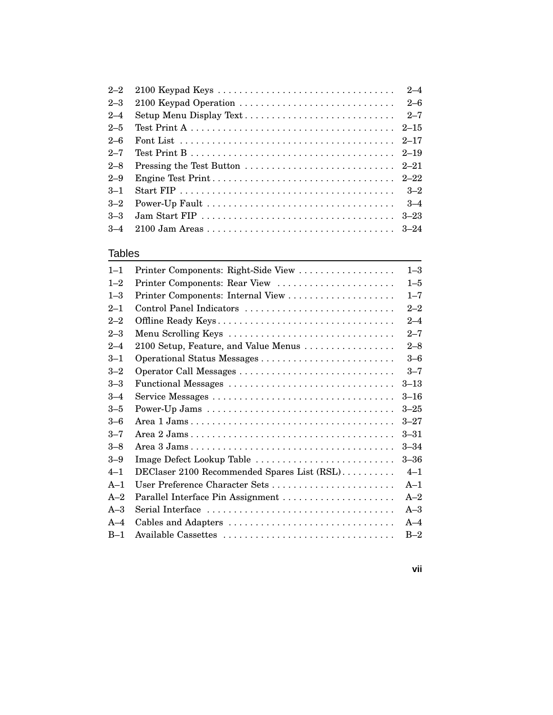| $2 - 2$ |                                                                                              | $2 - 4$  |
|---------|----------------------------------------------------------------------------------------------|----------|
| $2 - 3$ | 2100 Keypad Operation                                                                        | $2 - 6$  |
| $2 - 4$ | Setup Menu Display Text                                                                      | $2 - 7$  |
| $2 - 5$ |                                                                                              |          |
| $2 - 6$ |                                                                                              |          |
| $2 - 7$ |                                                                                              |          |
| $2 - 8$ | Pressing the Test Button $\ldots \ldots \ldots \ldots \ldots \ldots \ldots \ldots 2-21$      |          |
| $2 - 9$ |                                                                                              |          |
| $-3-1$  |                                                                                              | $3-2$    |
| $3 - 2$ |                                                                                              | $3 - 4$  |
| $3 - 3$ | Jam Start FIP $\ldots \ldots \ldots \ldots \ldots \ldots \ldots \ldots \ldots \ldots \ldots$ | $3 - 23$ |
| $3 - 4$ |                                                                                              |          |

#### Tables

| $1 - 1$ | Printer Components: Right-Side View         | $1 - 3$  |
|---------|---------------------------------------------|----------|
| $1 - 2$ | Printer Components: Rear View               | $1 - 5$  |
| $1 - 3$ |                                             | $1 - 7$  |
| $2 - 1$ | Control Panel Indicators                    | $2 - 2$  |
| $2 - 2$ | Offline Ready Keys                          | $2 - 4$  |
| $2 - 3$ | Menu Scrolling Keys                         | $2 - 7$  |
| $2 - 4$ | 2100 Setup, Feature, and Value Menus        | $2 - 8$  |
| $3 - 1$ |                                             | $3 - 6$  |
| $3 - 2$ |                                             | $3 - 7$  |
| $3 - 3$ | Functional Messages                         | $3 - 13$ |
| $3 - 4$ |                                             | $3 - 16$ |
| $3 - 5$ |                                             | $3 - 25$ |
| $3 - 6$ |                                             | $3 - 27$ |
| $3 - 7$ |                                             | $3 - 31$ |
| $3 - 8$ |                                             | $3 - 34$ |
| $3 - 9$ | Image Defect Lookup Table                   | $3 - 36$ |
| $4 - 1$ | DEClaser 2100 Recommended Spares List (RSL) | $4 - 1$  |
| $A-1$   | User Preference Character Sets              | $A-1$    |
| $A-2$   |                                             | $A-2$    |
| $A-3$   |                                             | $A-3$    |
| $A-4$   | Cables and Adapters                         | $A-4$    |
| $B-1$   |                                             | $B-2$    |
|         |                                             |          |

**vii**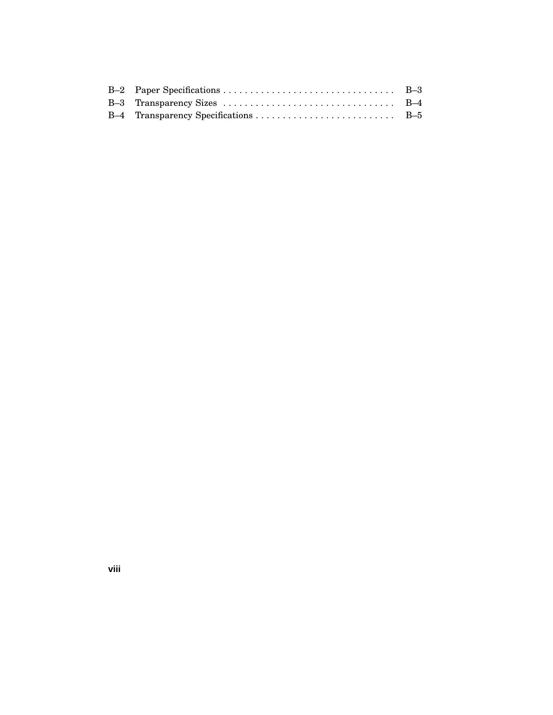**viii**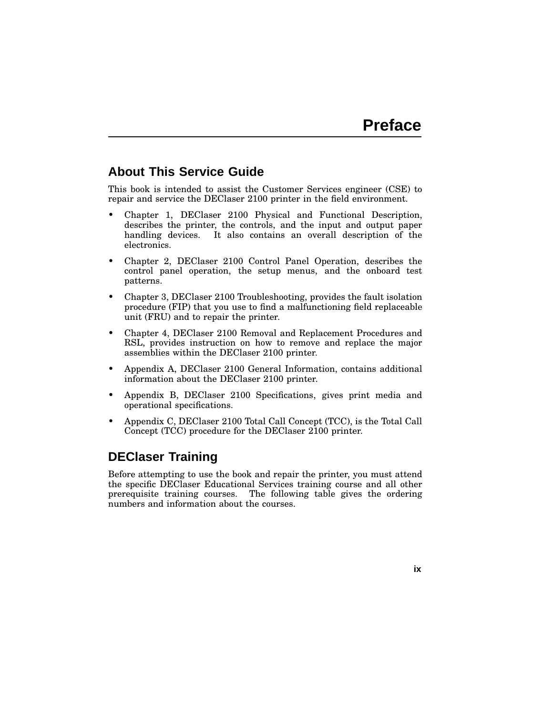**ix**

### **About This Service Guide**

This book is intended to assist the Customer Services engineer (CSE) to repair and service the DEClaser 2100 printer in the field environment.

- Chapter 1, DEClaser 2100 Physical and Functional Description, describes the printer, the controls, and the input and output paper handling devices. It also contains an overall description of the electronics.
- Chapter 2, DEClaser 2100 Control Panel Operation, describes the control panel operation, the setup menus, and the onboard test patterns.
- Chapter 3, DEClaser 2100 Troubleshooting, provides the fault isolation procedure (FIP) that you use to find a malfunctioning field replaceable unit (FRU) and to repair the printer.
- Chapter 4, DEClaser 2100 Removal and Replacement Procedures and RSL, provides instruction on how to remove and replace the major assemblies within the DEClaser 2100 printer.
- Appendix A, DEClaser 2100 General Information, contains additional information about the DEClaser 2100 printer.
- Appendix B, DEClaser 2100 Specifications, gives print media and operational specifications.
- Appendix C, DEClaser 2100 Total Call Concept (TCC), is the Total Call Concept (TCC) procedure for the DEClaser 2100 printer.

### **DEClaser Training**

Before attempting to use the book and repair the printer, you must attend the specific DEClaser Educational Services training course and all other prerequisite training courses. The following table gives the ordering numbers and information about the courses.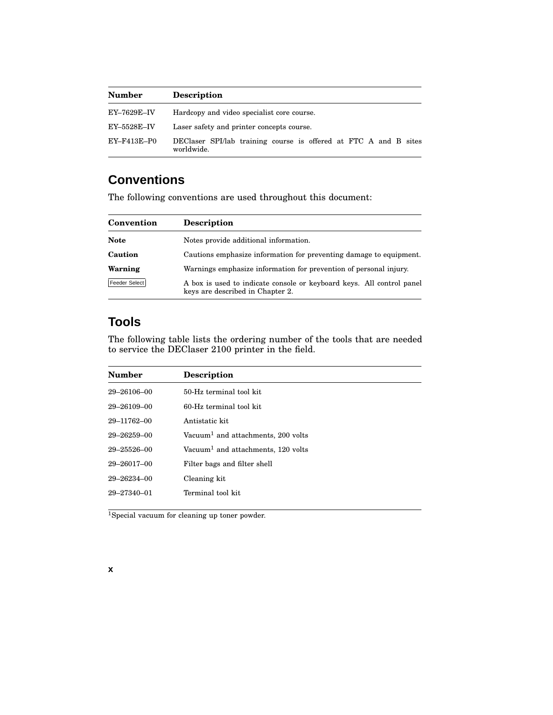| <b>Number</b>      | <b>Description</b>                                                             |  |  |
|--------------------|--------------------------------------------------------------------------------|--|--|
| EY–7629E–IV        | Hardcopy and video specialist core course.                                     |  |  |
| $EY$ –5528 $E$ –IV | Laser safety and printer concepts course.                                      |  |  |
| EY-F413E-P0        | DEClaser SPI/lab training course is offered at FTC A and B sites<br>worldwide. |  |  |

# **Conventions**

The following conventions are used throughout this document:

| Convention    | <b>Description</b>                                                                                        |
|---------------|-----------------------------------------------------------------------------------------------------------|
| <b>Note</b>   | Notes provide additional information.                                                                     |
| Caution       | Cautions emphasize information for preventing damage to equipment.                                        |
| Warning       | Warnings emphasize information for prevention of personal injury.                                         |
| Feeder Select | A box is used to indicate console or keyboard keys. All control panel<br>keys are described in Chapter 2. |

# **Tools**

The following table lists the ordering number of the tools that are needed to service the DEClaser 2100 printer in the field.

| <b>Number</b>     | <b>Description</b>                             |
|-------------------|------------------------------------------------|
| $29 - 26106 - 00$ | 50-Hz terminal tool kit                        |
| $29 - 26109 - 00$ | 60-Hz terminal tool kit.                       |
| 29-11762-00       | Antistatic kit                                 |
| $29 - 26259 - 00$ | Vacuum <sup>1</sup> and attachments, 200 volts |
| $29 - 25526 - 00$ | Vacuum <sup>1</sup> and attachments, 120 volts |
| $29 - 26017 - 00$ | Filter bags and filter shell                   |
| $29 - 26234 - 00$ | Cleaning kit                                   |
| $29 - 27340 - 01$ | Terminal tool kit                              |
|                   |                                                |

<sup>1</sup>Special vacuum for cleaning up toner powder.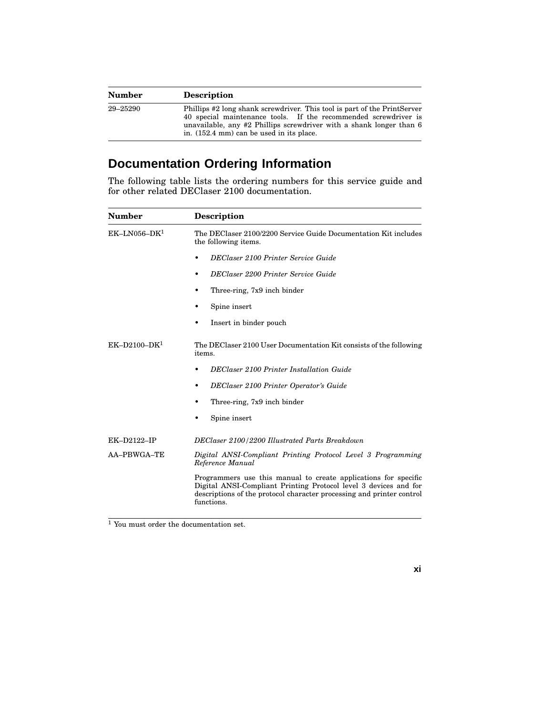| <b>Number</b> | <b>Description</b>                                                                                                                                                                                                                                                |
|---------------|-------------------------------------------------------------------------------------------------------------------------------------------------------------------------------------------------------------------------------------------------------------------|
| 29–25290      | Phillips #2 long shank screwdriver. This tool is part of the PrintServer<br>40 special maintenance tools. If the recommended screwdriver is<br>unavailable, any $\#2$ Phillips screwdriver with a shank longer than 6<br>in. (152.4 mm) can be used in its place. |

# **Documentation Ordering Information**

The following table lists the ordering numbers for this service guide and for other related DEClaser 2100 documentation.

| <b>Number</b>      | <b>Description</b>                                                                                                                                                                                                         |
|--------------------|----------------------------------------------------------------------------------------------------------------------------------------------------------------------------------------------------------------------------|
| $EK-LN056-DK1$     | The DEClaser 2100/2200 Service Guide Documentation Kit includes<br>the following items.                                                                                                                                    |
|                    | <b>DEClaser 2100 Printer Service Guide</b>                                                                                                                                                                                 |
|                    | DEClaser 2200 Printer Service Guide<br>٠                                                                                                                                                                                   |
|                    | Three-ring, 7x9 inch binder<br>٠                                                                                                                                                                                           |
|                    | Spine insert                                                                                                                                                                                                               |
|                    | Insert in binder pouch                                                                                                                                                                                                     |
| $EK-D2100-DK1$     | The DEClaser 2100 User Documentation Kit consists of the following<br>items.                                                                                                                                               |
|                    | <b>DEClaser 2100 Printer Installation Guide</b>                                                                                                                                                                            |
|                    | DEClaser 2100 Printer Operator's Guide<br>٠                                                                                                                                                                                |
|                    | Three-ring, 7x9 inch binder                                                                                                                                                                                                |
|                    | Spine insert                                                                                                                                                                                                               |
| <b>EK-D2122-IP</b> | DEClaser 2100/2200 Illustrated Parts Breakdown                                                                                                                                                                             |
| AA-PBWGA-TE        | Digital ANSI-Compliant Printing Protocol Level 3 Programming<br>Reference Manual                                                                                                                                           |
|                    | Programmers use this manual to create applications for specific<br>Digital ANSI-Compliant Printing Protocol level 3 devices and for<br>descriptions of the protocol character processing and printer control<br>functions. |

<sup>1</sup> You must order the documentation set.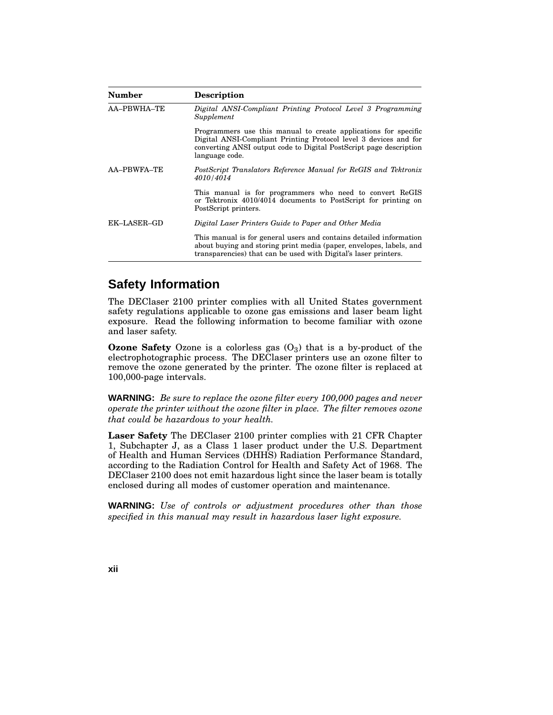| Number      | <b>Description</b>                                                                                                                                                                                                          |
|-------------|-----------------------------------------------------------------------------------------------------------------------------------------------------------------------------------------------------------------------------|
| AA-PBWHA-TE | Digital ANSI-Compliant Printing Protocol Level 3 Programming<br>Supplement                                                                                                                                                  |
|             | Programmers use this manual to create applications for specific<br>Digital ANSI-Compliant Printing Protocol level 3 devices and for<br>converting ANSI output code to Digital PostScript page description<br>language code. |
| AA-PBWFA-TE | PostScript Translators Reference Manual for ReGIS and Tektronix<br>4010/4014                                                                                                                                                |
|             | This manual is for programmers who need to convert ReGIS<br>or Tektronix 4010/4014 documents to PostScript for printing on<br>PostScript printers.                                                                          |
| EK-LASER-GD | Digital Laser Printers Guide to Paper and Other Media                                                                                                                                                                       |
|             | This manual is for general users and contains detailed information<br>about buying and storing print media (paper, envelopes, labels, and<br>transparencies) that can be used with Digital's laser printers.                |

# **Safety Information**

The DEClaser 2100 printer complies with all United States government safety regulations applicable to ozone gas emissions and laser beam light exposure. Read the following information to become familiar with ozone and laser safety.

**Ozone Safety** Ozone is a colorless gas  $(O_3)$  that is a by-product of the electrophotographic process. The DEClaser printers use an ozone filter to remove the ozone generated by the printer. The ozone filter is replaced at 100,000-page intervals.

**WARNING:** *Be sure to replace the ozone filter every 100,000 pages and never operate the printer without the ozone filter in place. The filter removes ozone that could be hazardous to your health.*

**Laser Safety** The DEClaser 2100 printer complies with 21 CFR Chapter 1, Subchapter J, as a Class 1 laser product under the U.S. Department of Health and Human Services (DHHS) Radiation Performance Standard, according to the Radiation Control for Health and Safety Act of 1968. The DEClaser 2100 does not emit hazardous light since the laser beam is totally enclosed during all modes of customer operation and maintenance.

**WARNING:** *Use of controls or adjustment procedures other than those specified in this manual may result in hazardous laser light exposure.*

**xii**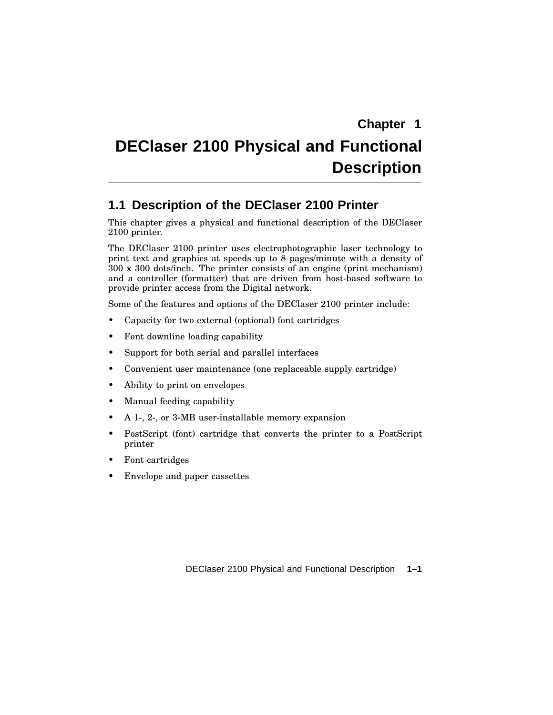# **DEClaser 2100 Physical and Functional Description**

# **1.1 Description of the DEClaser 2100 Printer**

This chapter gives a physical and functional description of the DEClaser 2100 printer.

The DEClaser 2100 printer uses electrophotographic laser technology to print text and graphics at speeds up to 8 pages/minute with a density of 300 x 300 dots/inch. The printer consists of an engine (print mechanism) and a controller (formatter) that are driven from host-based software to provide printer access from the Digital network.

Some of the features and options of the DEClaser 2100 printer include:

- Capacity for two external (optional) font cartridges
- Font downline loading capability
- Support for both serial and parallel interfaces
- Convenient user maintenance (one replaceable supply cartridge)
- Ability to print on envelopes
- Manual feeding capability
- A 1-, 2-, or 3-MB user-installable memory expansion
- PostScript (font) cartridge that converts the printer to a PostScript printer
- Font cartridges
- Envelope and paper cassettes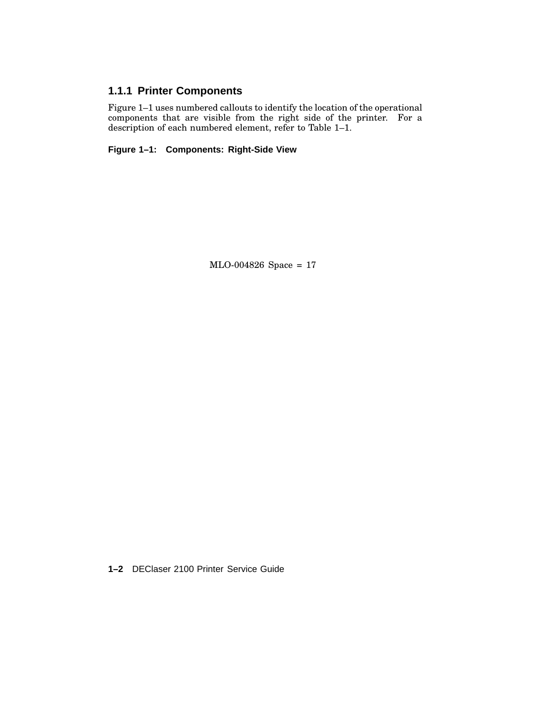### **1.1.1 Printer Components**

Figure 1–1 uses numbered callouts to identify the location of the operational components that are visible from the right side of the printer. For a description of each numbered element, refer to Table 1-1.

**Figure 1–1: Components: Right-Side View**

MLO-004826 Space = 17

**1–2** DEClaser 2100 Printer Service Guide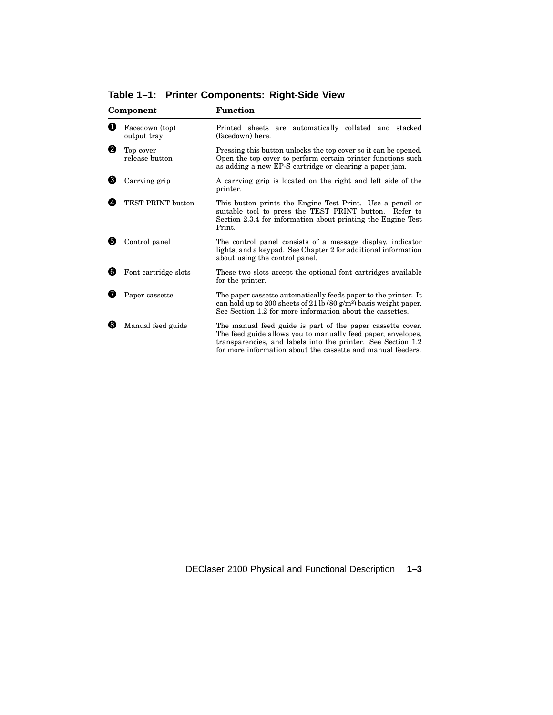|     | Facedown (top)<br>output tray | Printed sheets are automatically collated and stacked<br>(facedown) here.                                                                                                                     |
|-----|-------------------------------|-----------------------------------------------------------------------------------------------------------------------------------------------------------------------------------------------|
| 0   | Top cover<br>release button   | Pressing this button unlocks the top cover so it can be opened.<br>Open the top cover to perform certain printer functions such<br>as adding a new EP-S cartridge or clearing a paper jam.    |
| 3   | Carrying grip                 | A carrying grip is located on the right and left side of the<br>printer.                                                                                                                      |
|     | TEST PRINT button             | This button prints the Engine Test Print. Use a pencil or<br>suitable tool to press the TEST PRINT button. Refer to<br>Section 2.3.4 for information about printing the Engine Test<br>Print. |
| (5) | Control panel                 | The control panel consists of a message display, indicator<br>lights, and a keypad. See Chapter 2 for additional information<br>about using the control panel.                                |

6 Font cartridge slots These two slots accept the optional font cartridges available

**7** Paper cassette The paper cassette automatically feeds paper to the printer. It

8 Manual feed guide The manual feed guide is part of the paper cassette cover.

can hold up to 200 sheets of 21 lb  $(80 \text{ g/m}^2)$  basis weight paper. See Section 1.2 for more information about the cassettes.

The feed guide allows you to manually feed paper, envelopes, transparencies, and labels into the printer. See Section 1.2 for more information about the cassette and manual feeders.

for the printer.

**Table 1–1: Printer Components: Right-Side View**

**Component Function**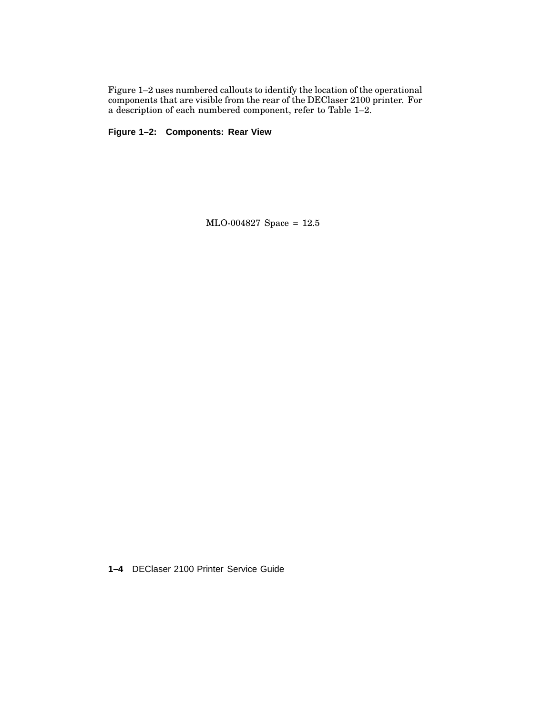Figure 1–2 uses numbered callouts to identify the location of the operational components that are visible from the rear of the DEClaser 2100 printer. For a description of each numbered component, refer to Table 1–2.

**Figure 1–2: Components: Rear View**

MLO-004827 Space = 12.5

**1–4** DEClaser 2100 Printer Service Guide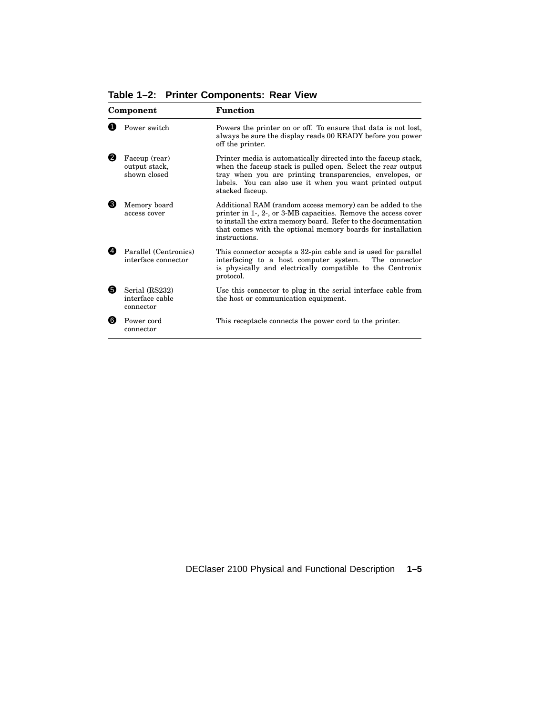**Table 1–2: Printer Components: Rear View**

| Component |                                                | <b>Function</b>                                                                                                                                                                                                                                                              |  |
|-----------|------------------------------------------------|------------------------------------------------------------------------------------------------------------------------------------------------------------------------------------------------------------------------------------------------------------------------------|--|
|           | Power switch                                   | Powers the printer on or off. To ensure that data is not lost,<br>always be sure the display reads 00 READY before you power<br>off the printer.                                                                                                                             |  |
| 0         | Faceup (rear)<br>output stack,<br>shown closed | Printer media is automatically directed into the faceup stack,<br>when the faceup stack is pulled open. Select the rear output<br>tray when you are printing transparencies, envelopes, or<br>labels. You can also use it when you want printed output<br>stacked faceup.    |  |
| (3)       | Memory board<br>access cover                   | Additional RAM (random access memory) can be added to the<br>printer in 1-, 2-, or 3-MB capacities. Remove the access cover<br>to install the extra memory board. Refer to the documentation<br>that comes with the optional memory boards for installation<br>instructions. |  |
| 49        | Parallel (Centronics)<br>interface connector   | This connector accepts a 32-pin cable and is used for parallel<br>interfacing to a host computer system.<br>The connector<br>is physically and electrically compatible to the Centronix<br>protocol.                                                                         |  |
| 6         | Serial (RS232)<br>interface cable<br>connector | Use this connector to plug in the serial interface cable from<br>the host or communication equipment.                                                                                                                                                                        |  |
| 6         | Power cord<br>connector                        | This receptacle connects the power cord to the printer.                                                                                                                                                                                                                      |  |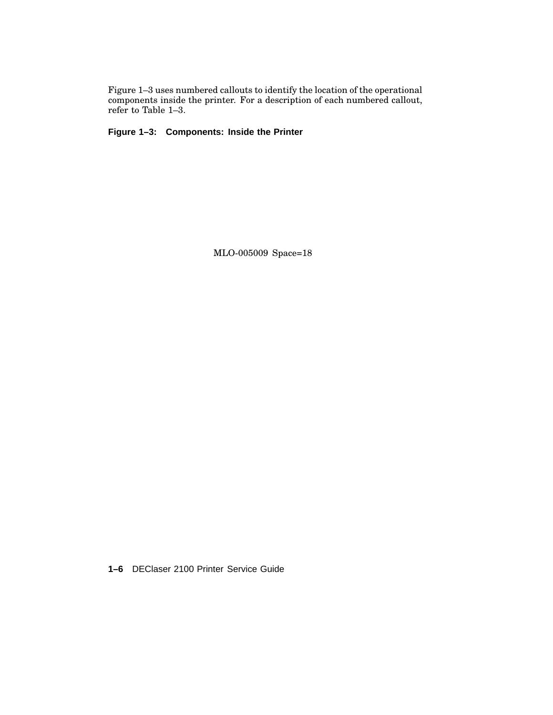Figure 1–3 uses numbered callouts to identify the location of the operational components inside the printer. For a description of each numbered callout, refer to Table 1–3.

**Figure 1–3: Components: Inside the Printer**

MLO-005009 Space=18

**1–6** DEClaser 2100 Printer Service Guide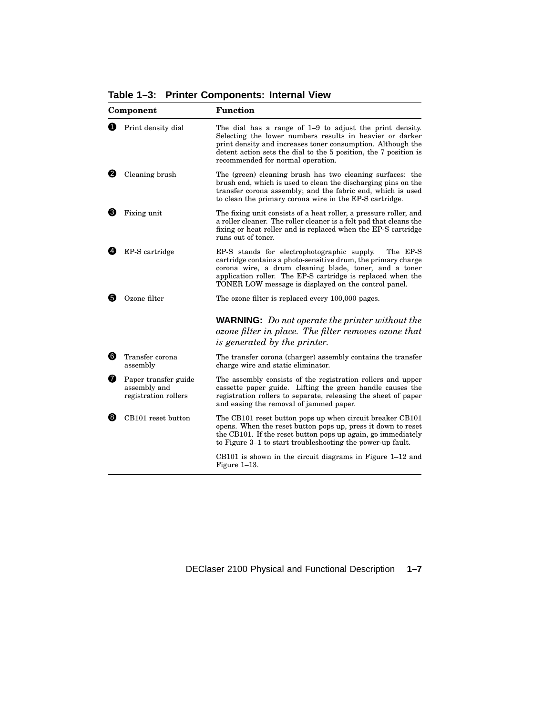**Table 1–3: Printer Components: Internal View**

|                | Component                                                    | Function                                                                                                                                                                                                                                                                                                  |
|----------------|--------------------------------------------------------------|-----------------------------------------------------------------------------------------------------------------------------------------------------------------------------------------------------------------------------------------------------------------------------------------------------------|
| O              | Print density dial                                           | The dial has a range of $1-9$ to adjust the print density.<br>Selecting the lower numbers results in heavier or darker<br>print density and increases toner consumption. Although the<br>detent action sets the dial to the 5 position, the 7 position is<br>recommended for normal operation.            |
| 2.             | Cleaning brush                                               | The (green) cleaning brush has two cleaning surfaces: the<br>brush end, which is used to clean the discharging pins on the<br>transfer corona assembly; and the fabric end, which is used<br>to clean the primary corona wire in the EP-S cartridge.                                                      |
| ❸              | Fixing unit                                                  | The fixing unit consists of a heat roller, a pressure roller, and<br>a roller cleaner. The roller cleaner is a felt pad that cleans the<br>fixing or heat roller and is replaced when the EP-S cartridge<br>runs out of toner.                                                                            |
| $\overline{4}$ | EP-S cartridge                                               | EP-S stands for electrophotographic supply.<br>The EP-S<br>cartridge contains a photo-sensitive drum, the primary charge<br>corona wire, a drum cleaning blade, toner, and a toner<br>application roller. The EP-S cartridge is replaced when the<br>TONER LOW message is displayed on the control panel. |
| 6)             | Ozone filter                                                 | The ozone filter is replaced every 100,000 pages.                                                                                                                                                                                                                                                         |
|                |                                                              | <b>WARNING:</b> Do not operate the printer without the<br>ozone filter in place. The filter removes ozone that<br>is generated by the printer.                                                                                                                                                            |
| 6              | Transfer corona<br>assembly                                  | The transfer corona (charger) assembly contains the transfer<br>charge wire and static eliminator.                                                                                                                                                                                                        |
| ❼              | Paper transfer guide<br>assembly and<br>registration rollers | The assembly consists of the registration rollers and upper<br>cassette paper guide. Lifting the green handle causes the<br>registration rollers to separate, releasing the sheet of paper<br>and easing the removal of jammed paper.                                                                     |
| 6              | CB101 reset button                                           | The CB101 reset button pops up when circuit breaker CB101<br>opens. When the reset button pops up, press it down to reset<br>the CB101. If the reset button pops up again, go immediately<br>to Figure 3–1 to start troubleshooting the power-up fault.                                                   |
|                |                                                              | $CB101$ is shown in the circuit diagrams in Figure 1–12 and<br>Figure $1-13$ .                                                                                                                                                                                                                            |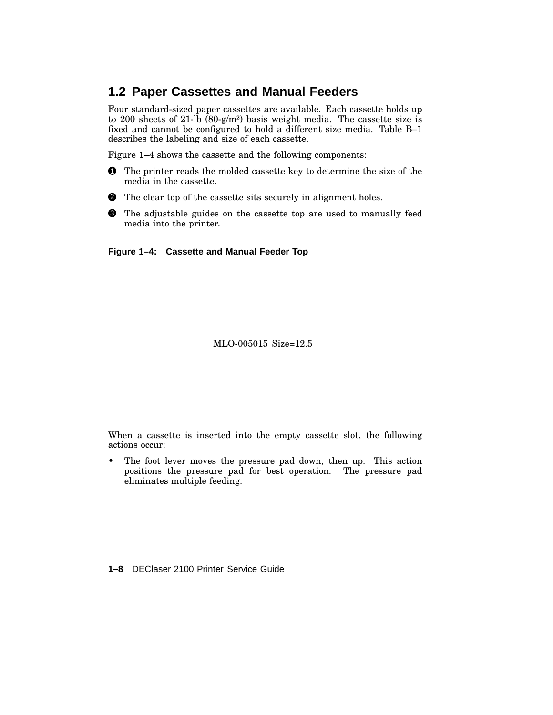# **1.2 Paper Cassettes and Manual Feeders**

Four standard-sized paper cassettes are available. Each cassette holds up to 200 sheets of 21-lb  $(80-g/m<sup>2</sup>)$  basis weight media. The cassette size is fixed and cannot be configured to hold a different size media. Table B–1 describes the labeling and size of each cassette.

Figure 1–4 shows the cassette and the following components:

- **1** The printer reads the molded cassette key to determine the size of the media in the cassette.
- **2** The clear top of the cassette sits securely in alignment holes.
- **3** The adjustable guides on the cassette top are used to manually feed media into the printer.

**Figure 1–4: Cassette and Manual Feeder Top**

MLO-005015 Size=12.5

When a cassette is inserted into the empty cassette slot, the following actions occur:

• The foot lever moves the pressure pad down, then up. This action positions the pressure pad for best operation. The pressure pad eliminates multiple feeding.

**1–8** DEClaser 2100 Printer Service Guide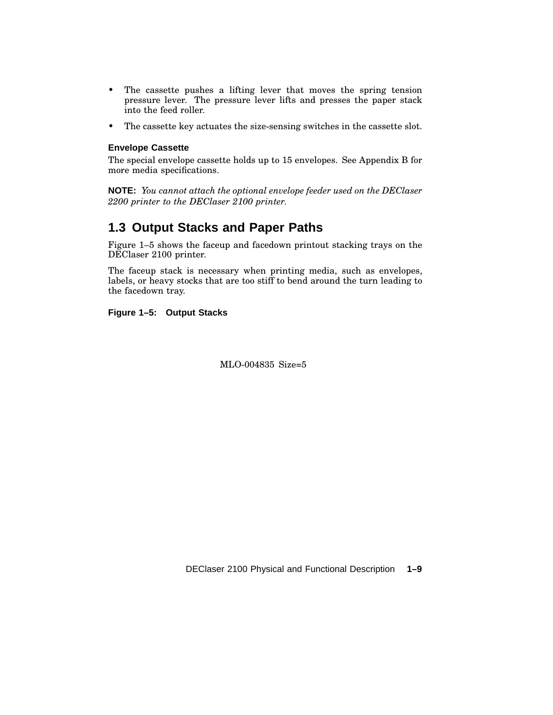- The cassette pushes a lifting lever that moves the spring tension pressure lever. The pressure lever lifts and presses the paper stack into the feed roller.
- The cassette key actuates the size-sensing switches in the cassette slot.

#### **Envelope Cassette**

The special envelope cassette holds up to 15 envelopes. See Appendix B for more media specifications.

**NOTE:** *You cannot attach the optional envelope feeder used on the DEClaser 2200 printer to the DEClaser 2100 printer.*

# **1.3 Output Stacks and Paper Paths**

Figure 1–5 shows the faceup and facedown printout stacking trays on the DEClaser 2100 printer.

The faceup stack is necessary when printing media, such as envelopes, labels, or heavy stocks that are too stiff to bend around the turn leading to the facedown tray.

#### **Figure 1–5: Output Stacks**

MLO-004835 Size=5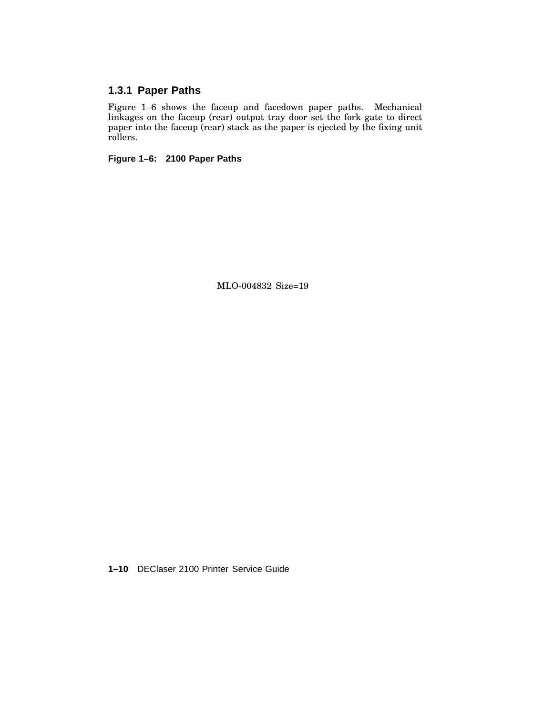### **1.3.1 Paper Paths**

Figure 1–6 shows the faceup and facedown paper paths. Mechanical linkages on the faceup (rear) output tray door set the fork gate to direct paper into the faceup (rear) stack as the paper is ejected by the fixing unit rollers.

**Figure 1–6: 2100 Paper Paths**

MLO-004832 Size=19

**1–10** DEClaser 2100 Printer Service Guide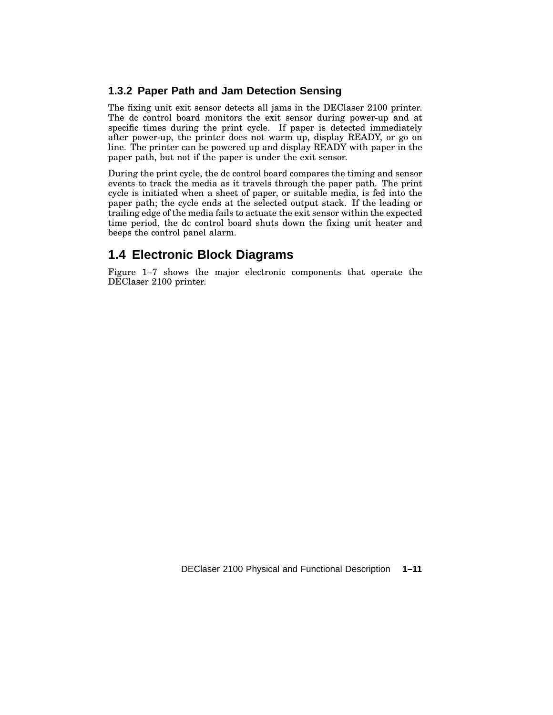#### **1.3.2 Paper Path and Jam Detection Sensing**

The fixing unit exit sensor detects all jams in the DEClaser 2100 printer. The dc control board monitors the exit sensor during power-up and at specific times during the print cycle. If paper is detected immediately after power-up, the printer does not warm up, display READY, or go on line. The printer can be powered up and display READY with paper in the paper path, but not if the paper is under the exit sensor.

During the print cycle, the dc control board compares the timing and sensor events to track the media as it travels through the paper path. The print cycle is initiated when a sheet of paper, or suitable media, is fed into the paper path; the cycle ends at the selected output stack. If the leading or trailing edge of the media fails to actuate the exit sensor within the expected time period, the dc control board shuts down the fixing unit heater and beeps the control panel alarm.

# **1.4 Electronic Block Diagrams**

Figure 1–7 shows the major electronic components that operate the DEClaser 2100 printer.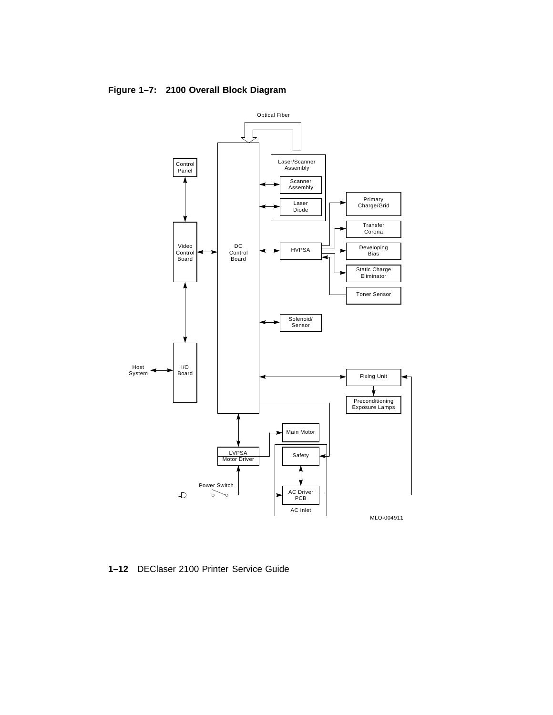

#### **Figure 1–7: 2100 Overall Block Diagram**

**1–12** DEClaser 2100 Printer Service Guide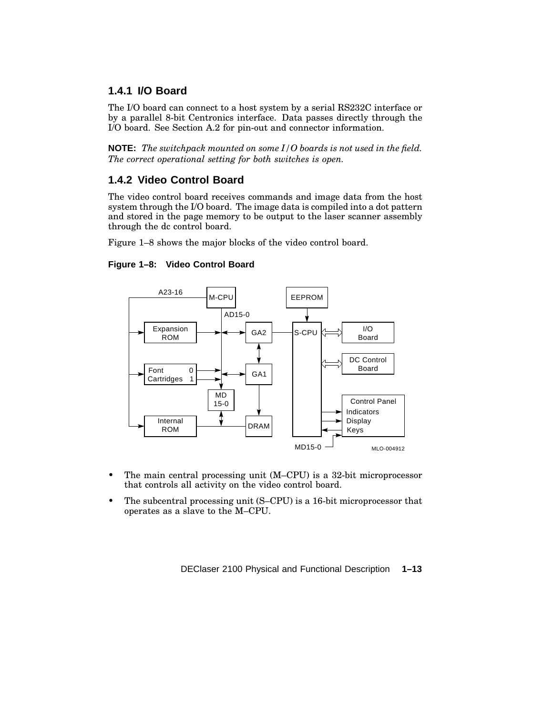#### **1.4.1 I/O Board**

The I/O board can connect to a host system by a serial RS232C interface or by a parallel 8-bit Centronics interface. Data passes directly through the I/O board. See Section A.2 for pin-out and connector information.

**NOTE:** *The switchpack mounted on some I/O boards is not used in the field. The correct operational setting for both switches is open.*

#### **1.4.2 Video Control Board**

The video control board receives commands and image data from the host system through the I/O board. The image data is compiled into a dot pattern and stored in the page memory to be output to the laser scanner assembly through the dc control board.

Figure 1–8 shows the major blocks of the video control board.

#### **Figure 1–8: Video Control Board**



- The main central processing unit (M–CPU) is a 32-bit microprocessor that controls all activity on the video control board.
- The subcentral processing unit (S–CPU) is a 16-bit microprocessor that operates as a slave to the M–CPU.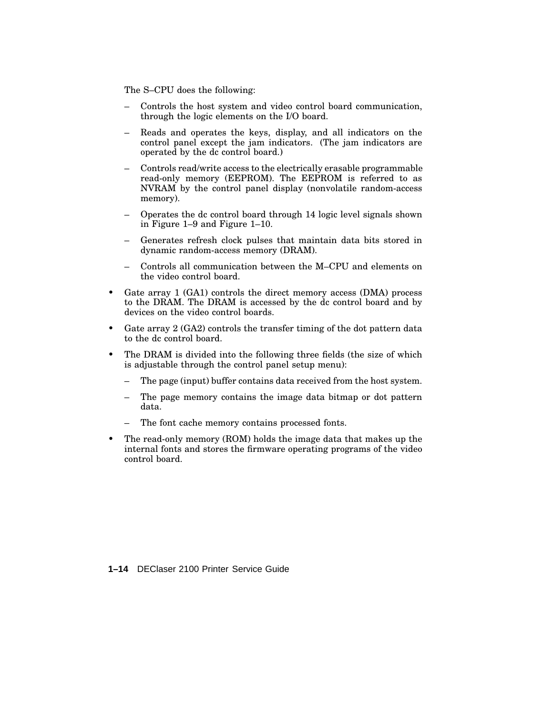The S–CPU does the following:

- Controls the host system and video control board communication, through the logic elements on the I/O board.
- Reads and operates the keys, display, and all indicators on the control panel except the jam indicators. (The jam indicators are operated by the dc control board.)
- Controls read/write access to the electrically erasable programmable read-only memory (EEPROM). The EEPROM is referred to as NVRAM by the control panel display (nonvolatile random-access memory).
- Operates the dc control board through 14 logic level signals shown in Figure 1–9 and Figure 1–10.
- Generates refresh clock pulses that maintain data bits stored in dynamic random-access memory (DRAM).
- Controls all communication between the M–CPU and elements on the video control board.
- Gate array 1 (GA1) controls the direct memory access (DMA) process to the DRAM. The DRAM is accessed by the dc control board and by devices on the video control boards.
- Gate array 2 (GA2) controls the transfer timing of the dot pattern data to the dc control board.
- The DRAM is divided into the following three fields (the size of which is adjustable through the control panel setup menu):
	- The page (input) buffer contains data received from the host system.
	- The page memory contains the image data bitmap or dot pattern data.
	- The font cache memory contains processed fonts.
- The read-only memory (ROM) holds the image data that makes up the internal fonts and stores the firmware operating programs of the video control board.

**1–14** DEClaser 2100 Printer Service Guide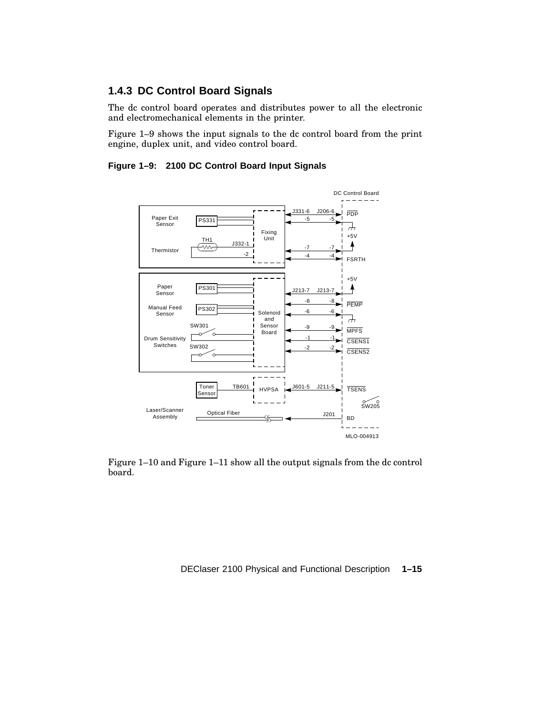#### **1.4.3 DC Control Board Signals**

The dc control board operates and distributes power to all the electronic and electromechanical elements in the printer.

Figure 1–9 shows the input signals to the dc control board from the print engine, duplex unit, and video control board.

**Figure 1–9: 2100 DC Control Board Input Signals**



Figure 1–10 and Figure 1–11 show all the output signals from the dc control board.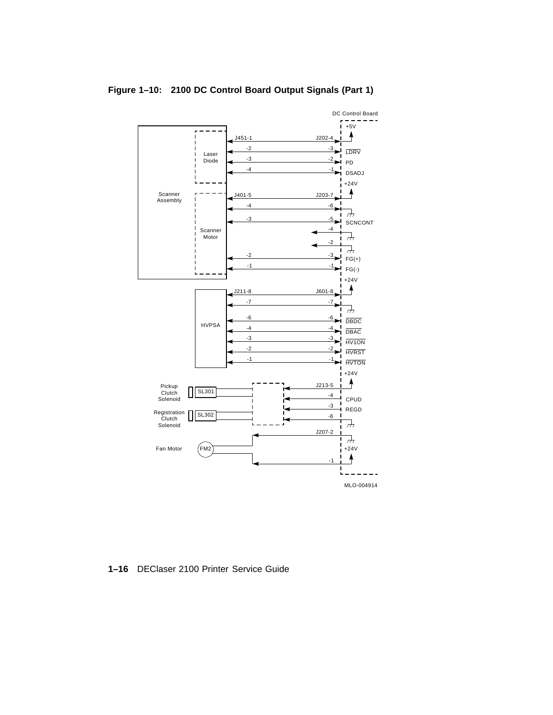

#### **Figure 1–10: 2100 DC Control Board Output Signals (Part 1)**

**1–16** DEClaser 2100 Printer Service Guide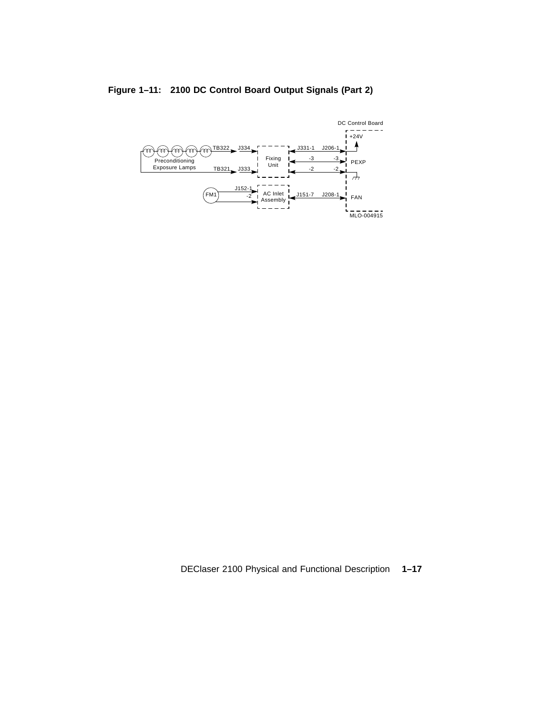

#### **Figure 1–11: 2100 DC Control Board Output Signals (Part 2)**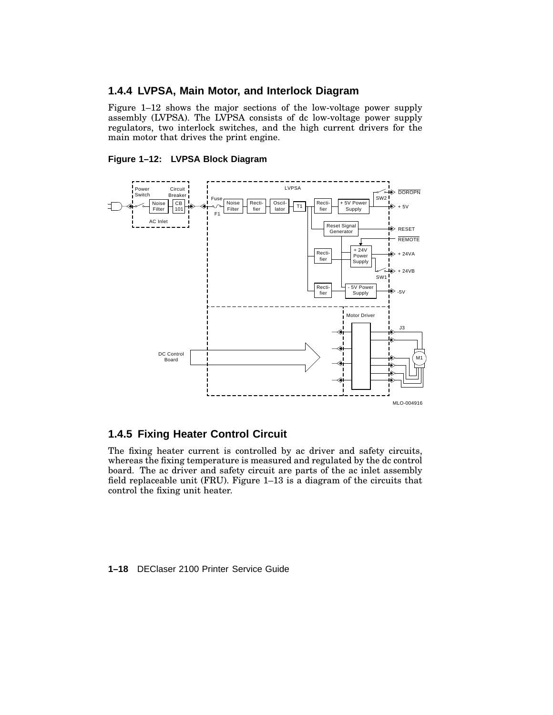#### **1.4.4 LVPSA, Main Motor, and Interlock Diagram**

Figure 1–12 shows the major sections of the low-voltage power supply assembly (LVPSA). The LVPSA consists of dc low-voltage power supply regulators, two interlock switches, and the high current drivers for the main motor that drives the print engine.

#### **Figure 1–12: LVPSA Block Diagram**



#### **1.4.5 Fixing Heater Control Circuit**

The fixing heater current is controlled by ac driver and safety circuits, whereas the fixing temperature is measured and regulated by the dc control board. The ac driver and safety circuit are parts of the ac inlet assembly field replaceable unit (FRU). Figure 1–13 is a diagram of the circuits that control the fixing unit heater.

#### **1–18** DEClaser 2100 Printer Service Guide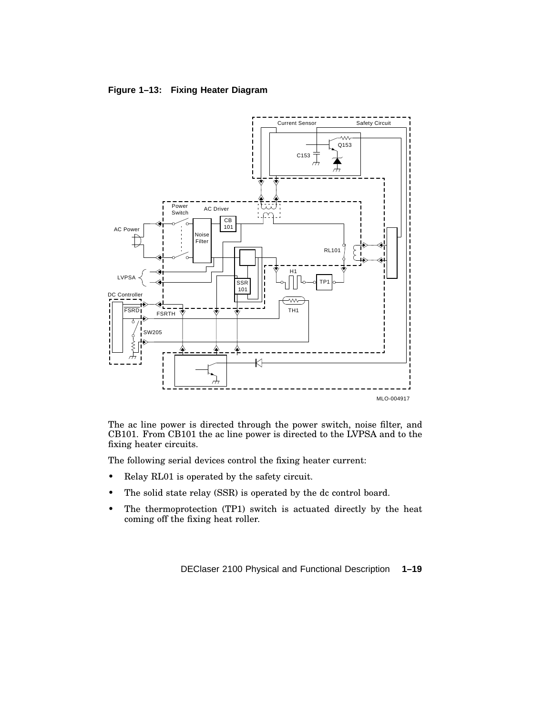#### **Figure 1–13: Fixing Heater Diagram**



The ac line power is directed through the power switch, noise filter, and CB101. From CB101 the ac line power is directed to the LVPSA and to the fixing heater circuits.

The following serial devices control the fixing heater current:

- Relay RL01 is operated by the safety circuit.
- The solid state relay (SSR) is operated by the dc control board.
- The thermoprotection (TP1) switch is actuated directly by the heat coming off the fixing heat roller.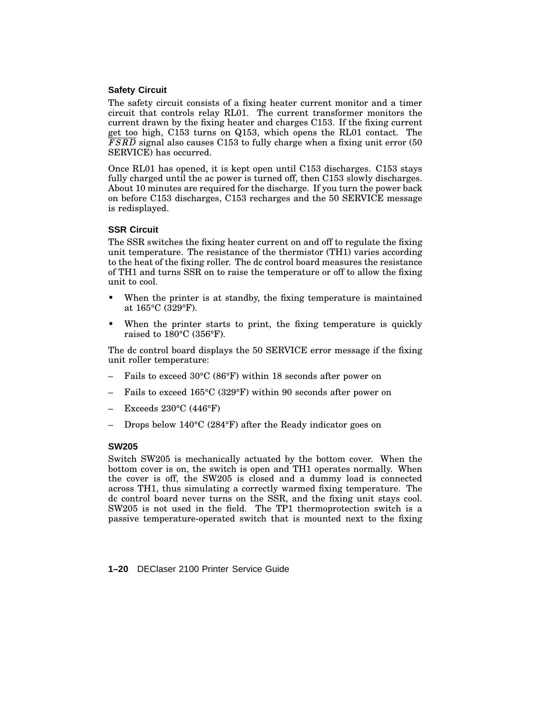#### **Safety Circuit**

The safety circuit consists of a fixing heater current monitor and a timer circuit that controls relay RL01. The current transformer monitors the current drawn by the fixing heater and charges C153. If the fixing current get too high, C153 turns on Q153, which opens the RL01 contact. The FSRD signal also causes C153 to fully charge when a fixing unit error (50 SERVICE) has occurred.

Once RL01 has opened, it is kept open until C153 discharges. C153 stays fully charged until the ac power is turned off, then C153 slowly discharges. About 10 minutes are required for the discharge. If you turn the power back on before C153 discharges, C153 recharges and the 50 SERVICE message is redisplayed.

#### **SSR Circuit**

The SSR switches the fixing heater current on and off to regulate the fixing unit temperature. The resistance of the thermistor (TH1) varies according to the heat of the fixing roller. The dc control board measures the resistance of TH1 and turns SSR on to raise the temperature or off to allow the fixing unit to cool.

- When the printer is at standby, the fixing temperature is maintained at 165°C (329°F).
- When the printer starts to print, the fixing temperature is quickly raised to 180°C (356°F).

The dc control board displays the 50 SERVICE error message if the fixing unit roller temperature:

- Fails to exceed 30°C (86°F) within 18 seconds after power on
- Fails to exceed 165°C (329°F) within 90 seconds after power on
- Exceeds  $230^{\circ}$ C (446°F)
- Drops below 140°C (284°F) after the Ready indicator goes on

#### **SW205**

Switch SW205 is mechanically actuated by the bottom cover. When the bottom cover is on, the switch is open and TH1 operates normally. When the cover is off, the SW205 is closed and a dummy load is connected across TH1, thus simulating a correctly warmed fixing temperature. The dc control board never turns on the SSR, and the fixing unit stays cool. SW205 is not used in the field. The TP1 thermoprotection switch is a passive temperature-operated switch that is mounted next to the fixing

**1–20** DEClaser 2100 Printer Service Guide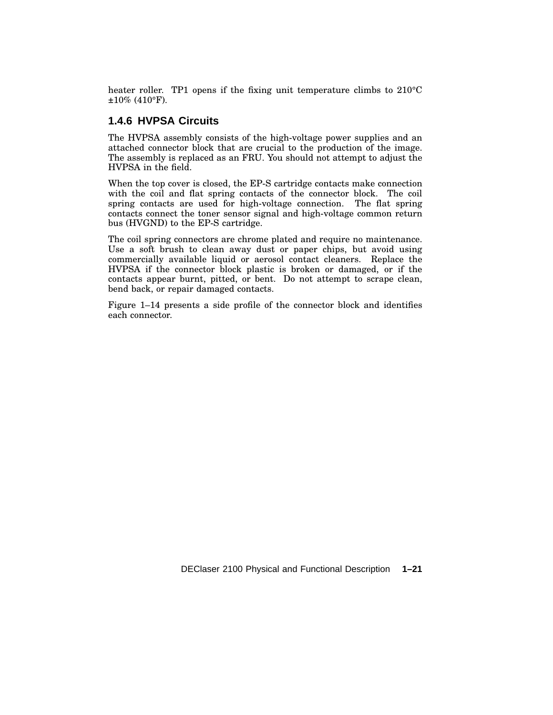heater roller. TP1 opens if the fixing unit temperature climbs to 210<sup>o</sup>C ±10% (410°F).

#### **1.4.6 HVPSA Circuits**

The HVPSA assembly consists of the high-voltage power supplies and an attached connector block that are crucial to the production of the image. The assembly is replaced as an FRU. You should not attempt to adjust the HVPSA in the field.

When the top cover is closed, the EP-S cartridge contacts make connection with the coil and flat spring contacts of the connector block. The coil spring contacts are used for high-voltage connection. The flat spring contacts connect the toner sensor signal and high-voltage common return bus (HVGND) to the EP-S cartridge.

The coil spring connectors are chrome plated and require no maintenance. Use a soft brush to clean away dust or paper chips, but avoid using commercially available liquid or aerosol contact cleaners. Replace the HVPSA if the connector block plastic is broken or damaged, or if the contacts appear burnt, pitted, or bent. Do not attempt to scrape clean, bend back, or repair damaged contacts.

Figure 1–14 presents a side profile of the connector block and identifies each connector.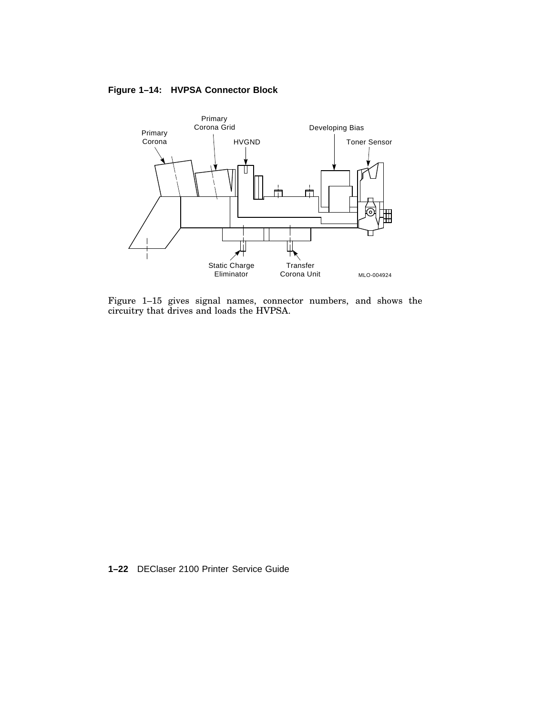**Figure 1–14: HVPSA Connector Block**



Figure 1–15 gives signal names, connector numbers, and shows the circuitry that drives and loads the HVPSA.

**1–22** DEClaser 2100 Printer Service Guide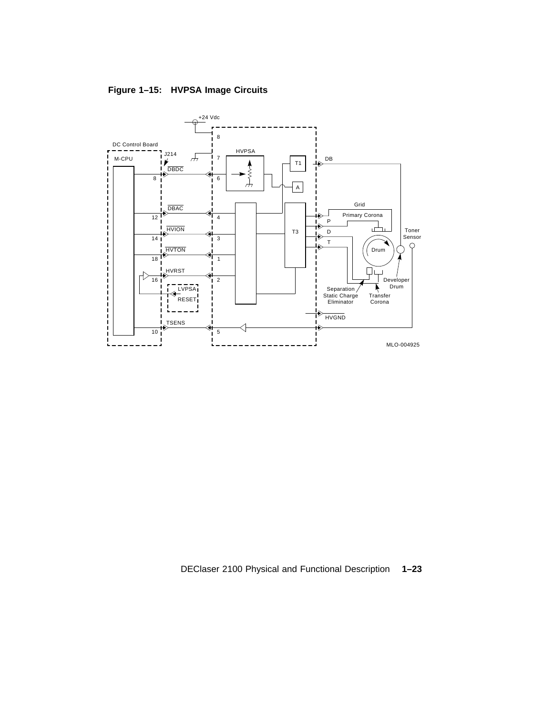**Figure 1–15: HVPSA Image Circuits**



DEClaser 2100 Physical and Functional Description **1–23**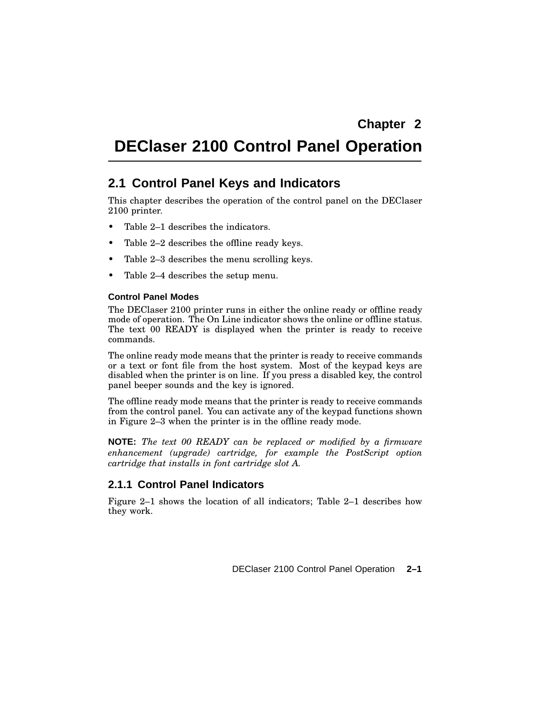# **DEClaser 2100 Control Panel Operation**

# **2.1 Control Panel Keys and Indicators**

This chapter describes the operation of the control panel on the DEClaser 2100 printer.

- Table 2–1 describes the indicators.
- Table 2–2 describes the offline ready keys.
- Table 2–3 describes the menu scrolling keys.
- Table 2–4 describes the setup menu.

#### **Control Panel Modes**

The DEClaser 2100 printer runs in either the online ready or offline ready mode of operation. The On Line indicator shows the online or offline status. The text 00 READY is displayed when the printer is ready to receive commands.

The online ready mode means that the printer is ready to receive commands or a text or font file from the host system. Most of the keypad keys are disabled when the printer is on line. If you press a disabled key, the control panel beeper sounds and the key is ignored.

The offline ready mode means that the printer is ready to receive commands from the control panel. You can activate any of the keypad functions shown in Figure 2–3 when the printer is in the offline ready mode.

**NOTE:** *The text 00 READY can be replaced or modified by a firmware enhancement (upgrade) cartridge, for example the PostScript option cartridge that installs in font cartridge slot A.*

#### **2.1.1 Control Panel Indicators**

Figure 2–1 shows the location of all indicators; Table 2–1 describes how they work.

DEClaser 2100 Control Panel Operation **2–1**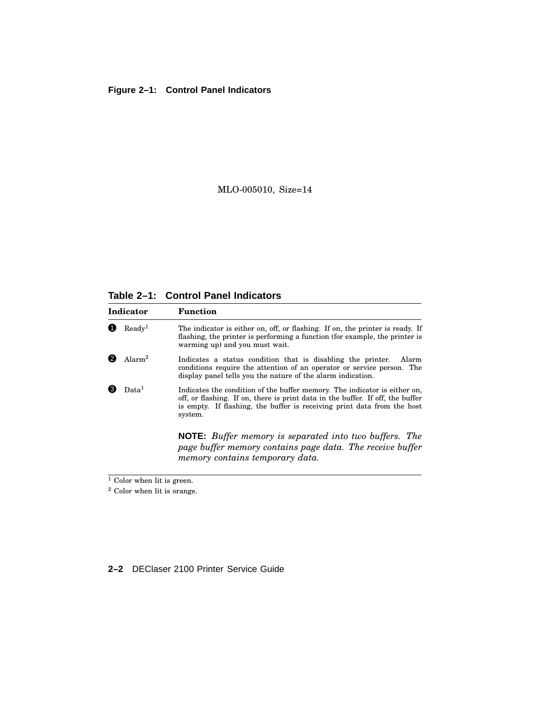### **Figure 2–1: Control Panel Indicators**

MLO-005010, Size=14

**Table 2–1: Control Panel Indicators**

| Indicator               |                    | Function                                                                                                                                                                                                                                          |
|-------------------------|--------------------|---------------------------------------------------------------------------------------------------------------------------------------------------------------------------------------------------------------------------------------------------|
|                         | Readv <sup>1</sup> | The indicator is either on, off, or flashing. If on, the printer is ready. If<br>flashing, the printer is performing a function (for example, the printer is<br>warming up) and you must wait.                                                    |
|                         | Alarm <sup>2</sup> | Indicates a status condition that is disabling the printer.<br>Alarm<br>conditions require the attention of an operator or service person. The<br>display panel tells you the nature of the alarm indication.                                     |
| 13<br>Data <sup>1</sup> |                    | Indicates the condition of the buffer memory. The indicator is either on,<br>off, or flashing. If on, there is print data in the buffer. If off, the buffer<br>is empty. If flashing, the buffer is receiving print data from the host<br>system. |
|                         |                    | <b>NOTE:</b> Buffer memory is separated into two buffers. The<br>page buffer memory contains page data. The receive buffer<br>memory contains temporary data.                                                                                     |

 $\frac{1}{1}$  Color when lit is green.

### **2–2** DEClaser 2100 Printer Service Guide

<sup>&</sup>lt;sup>2</sup> Color when lit is orange.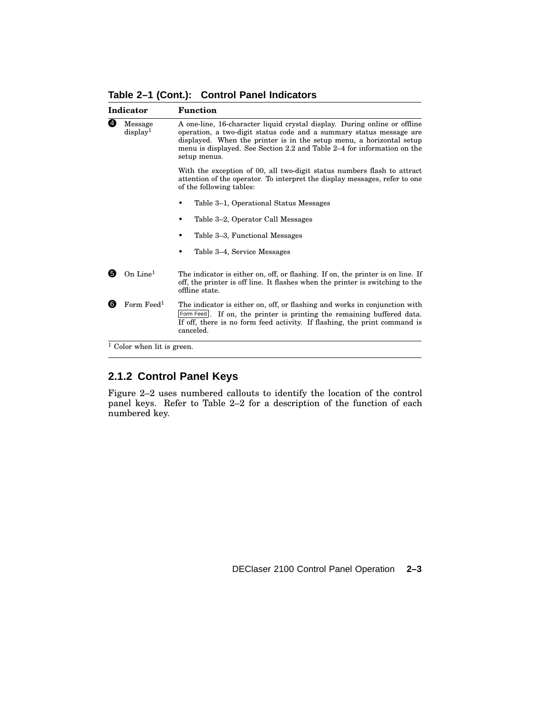**Table 2–1 (Cont.): Control Panel Indicators**

| Indicator                            |                              | <b>Function</b>                                                                                                                                                                                                                                                                                                     |  |  |  |
|--------------------------------------|------------------------------|---------------------------------------------------------------------------------------------------------------------------------------------------------------------------------------------------------------------------------------------------------------------------------------------------------------------|--|--|--|
| 4<br>Message<br>display <sup>1</sup> |                              | A one-line, 16-character liquid crystal display. During online or offline<br>operation, a two-digit status code and a summary status message are<br>displayed. When the printer is in the setup menu, a horizontal setup<br>menu is displayed. See Section 2.2 and Table 2–4 for information on the<br>setup menus. |  |  |  |
|                                      |                              | With the exception of 00, all two-digit status numbers flash to attract<br>attention of the operator. To interpret the display messages, refer to one<br>of the following tables:                                                                                                                                   |  |  |  |
|                                      |                              | Table 3–1, Operational Status Messages                                                                                                                                                                                                                                                                              |  |  |  |
| Table 3–2, Operator Call Messages    |                              |                                                                                                                                                                                                                                                                                                                     |  |  |  |
|                                      |                              | Table 3–3, Functional Messages                                                                                                                                                                                                                                                                                      |  |  |  |
|                                      |                              | Table 3–4, Service Messages                                                                                                                                                                                                                                                                                         |  |  |  |
| 6                                    | On Line $1$                  | The indicator is either on, off, or flashing. If on, the printer is on line. If<br>off, the printer is off line. It flashes when the printer is switching to the<br>offline state.                                                                                                                                  |  |  |  |
| 6                                    | Form $\mathrm{Feed}^1$       | The indicator is either on, off, or flashing and works in conjunction with<br>Form Feed<br>If on, the printer is printing the remaining buffered data.<br>If off, there is no form feed activity. If flashing, the print command is<br>canceled.                                                                    |  |  |  |
|                                      | $1$ Color when lit is green. |                                                                                                                                                                                                                                                                                                                     |  |  |  |

# **2.1.2 Control Panel Keys**

Figure 2–2 uses numbered callouts to identify the location of the control panel keys. Refer to Table 2–2 for a description of the function of each numbered key.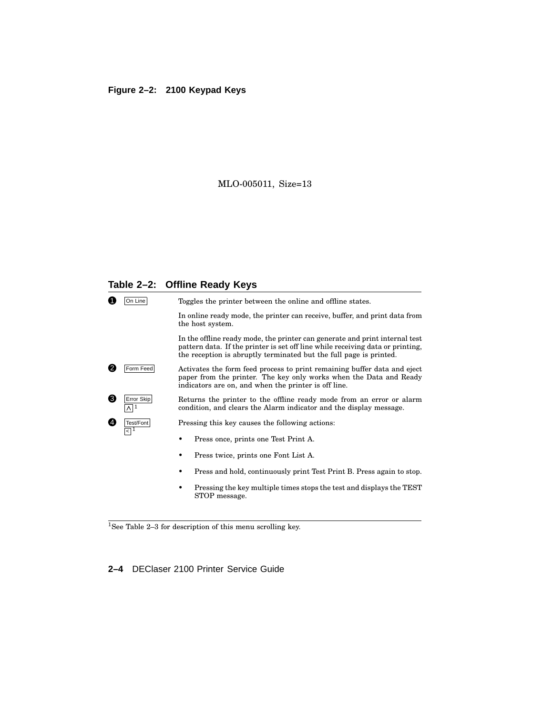#### **Figure 2–2: 2100 Keypad Keys**

#### MLO-005011, Size=13

#### **Table 2–2: Offline Ready Keys**



<sup>1</sup>See Table 2–3 for description of this menu scrolling key.

**2–4** DEClaser 2100 Printer Service Guide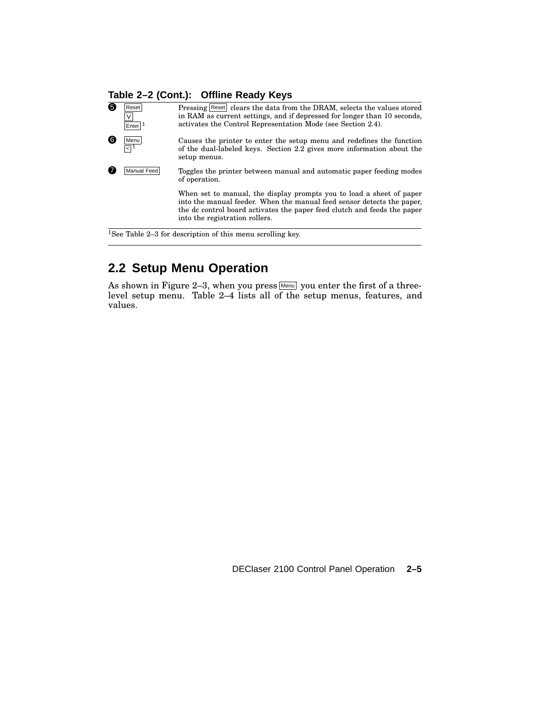## **Table 2–2 (Cont.): Offline Ready Keys**

| 6       | Reset<br>Enter  <sup>1</sup> | Pressing Reset clears the data from the DRAM, selects the values stored<br>in RAM as current settings, and if depressed for longer than 10 seconds,<br>activates the Control Representation Mode (see Section 2.4).                                          |
|---------|------------------------------|--------------------------------------------------------------------------------------------------------------------------------------------------------------------------------------------------------------------------------------------------------------|
| 6       | Menu<br>निम                  | Causes the printer to enter the setup menu and redefines the function<br>of the dual-labeled keys. Section 2.2 gives more information about the<br>setup menus.                                                                                              |
|         | Manual Feed                  | Toggles the printer between manual and automatic paper feeding modes<br>of operation.                                                                                                                                                                        |
|         |                              | When set to manual, the display prompts you to load a sheet of paper<br>into the manual feeder. When the manual feed sensor detects the paper,<br>the dc control board activates the paper feed clutch and feeds the paper<br>into the registration rollers. |
| $1\sim$ |                              | <del>museus sensuari</del><br>$\cdots$ $\cdots$                                                                                                                                                                                                              |

<sup>1</sup>See Table 2–3 for description of this menu scrolling key.

# **2.2 Setup Menu Operation**

As shown in Figure 2–3, when you press Menul you enter the first of a threelevel setup menu. Table 2–4 lists all of the setup menus, features, and values.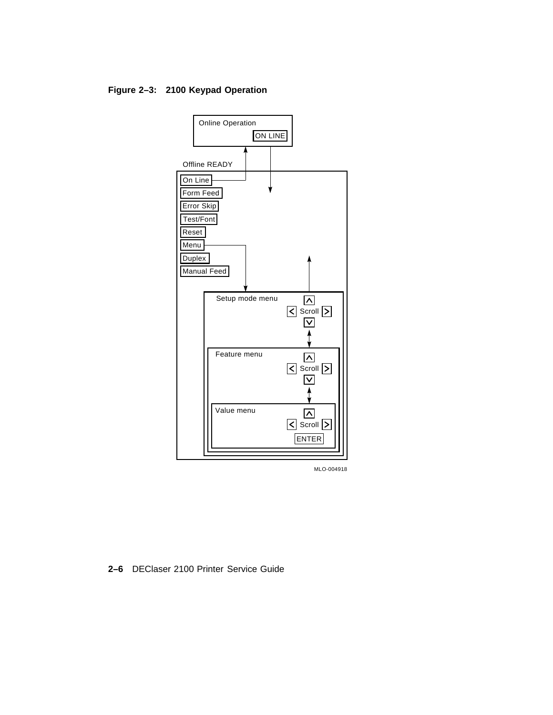**Figure 2–3: 2100 Keypad Operation**



MLO-004918

**2–6** DEClaser 2100 Printer Service Guide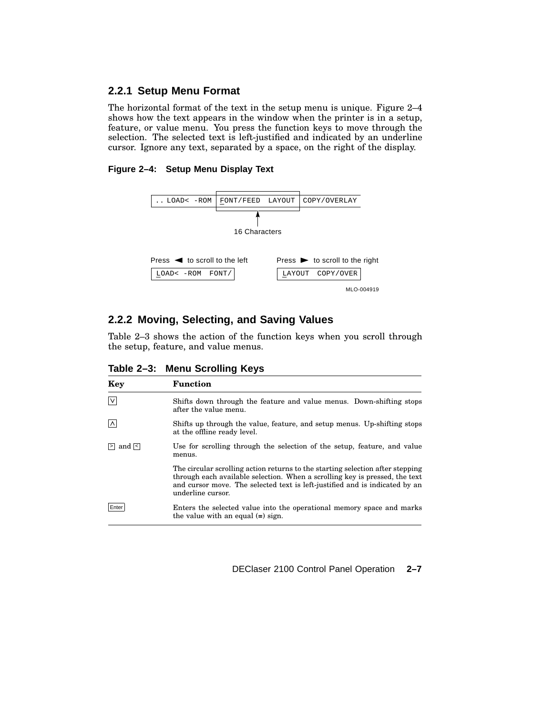### **2.2.1 Setup Menu Format**

The horizontal format of the text in the setup menu is unique. Figure 2–4 shows how the text appears in the window when the printer is in a setup, feature, or value menu. You press the function keys to move through the selection. The selected text is left-justified and indicated by an underline cursor. Ignore any text, separated by a space, on the right of the display.

#### **Figure 2–4: Setup Menu Display Text**



### **2.2.2 Moving, Selecting, and Saving Values**

Table 2–3 shows the action of the function keys when you scroll through the setup, feature, and value menus.

| Table 2-3: Menu Scrolling Keys |  |  |  |
|--------------------------------|--|--|--|
|--------------------------------|--|--|--|

| Key                 | <b>Function</b>                                                                                                                                                                                                                                                   |  |  |  |
|---------------------|-------------------------------------------------------------------------------------------------------------------------------------------------------------------------------------------------------------------------------------------------------------------|--|--|--|
| $\mathsf{I} \vee$   | Shifts down through the feature and value menus. Down-shifting stops<br>after the value menu.                                                                                                                                                                     |  |  |  |
| ∣∧∣                 | Shifts up through the value, feature, and setup menus. Up-shifting stops<br>at the offline ready level.                                                                                                                                                           |  |  |  |
| $\vert$ and $\vert$ | Use for scrolling through the selection of the setup, feature, and value<br>menus.                                                                                                                                                                                |  |  |  |
|                     | The circular scrolling action returns to the starting selection after stepping<br>through each available selection. When a scrolling key is pressed, the text<br>and cursor move. The selected text is left-justified and is indicated by an<br>underline cursor. |  |  |  |
| Enter               | Enters the selected value into the operational memory space and marks<br>the value with an equal $(=)$ sign.                                                                                                                                                      |  |  |  |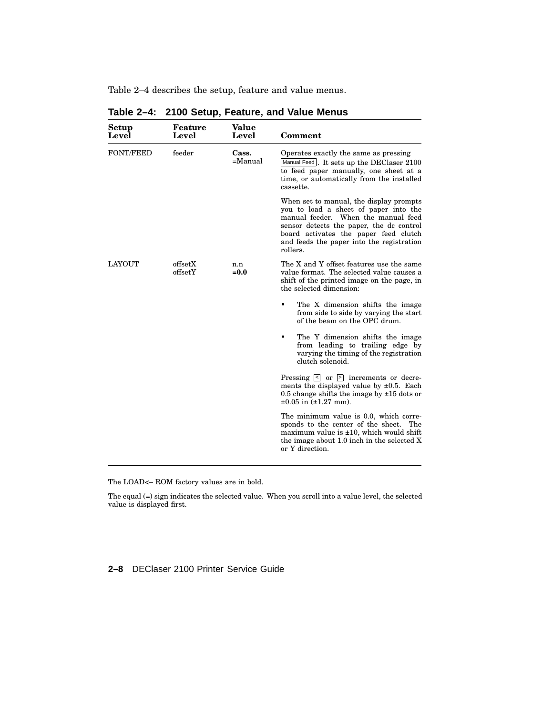Table 2–4 describes the setup, feature and value menus.

| Setup<br>Level   | Feature<br>Level   | Value<br>Level      | Comment                                                                                                                                                                                                                                                               |
|------------------|--------------------|---------------------|-----------------------------------------------------------------------------------------------------------------------------------------------------------------------------------------------------------------------------------------------------------------------|
| <b>FONT/FEED</b> | feeder             | Cass.<br>$=$ Manual | Operates exactly the same as pressing<br>Manual Feed  . It sets up the DEClaser 2100<br>to feed paper manually, one sheet at a<br>time, or automatically from the installed<br>cassette.                                                                              |
|                  |                    |                     | When set to manual, the display prompts<br>you to load a sheet of paper into the<br>manual feeder. When the manual feed<br>sensor detects the paper, the dc control<br>board activates the paper feed clutch<br>and feeds the paper into the registration<br>rollers. |
| <b>LAYOUT</b>    | offsetX<br>offsetY | n.n<br>$= 0.0$      | The X and Y offset features use the same<br>value format. The selected value causes a<br>shift of the printed image on the page, in<br>the selected dimension:                                                                                                        |
|                  |                    |                     | The X dimension shifts the image<br>from side to side by varying the start<br>of the beam on the OPC drum.                                                                                                                                                            |
|                  |                    |                     | The Y dimension shifts the image<br>from leading to trailing edge by<br>varying the timing of the registration<br>clutch solenoid.                                                                                                                                    |
|                  |                    |                     | Pressing $\leq$ or $\geq$ increments or decre-<br>ments the displayed value by $\pm 0.5$ . Each<br>0.5 change shifts the image by $\pm 15$ dots or<br>$\pm 0.05$ in $(\pm 1.27$ mm).                                                                                  |
|                  |                    |                     | The minimum value is 0.0, which corre-<br>sponds to the center of the sheet.<br>The<br>maximum value is $\pm 10$ , which would shift<br>the image about 1.0 inch in the selected X<br>or Y direction.                                                                 |

**Table 2–4: 2100 Setup, Feature, and Value Menus**

The LOAD<– ROM factory values are in bold.

The equal (=) sign indicates the selected value. When you scroll into a value level, the selected value is displayed first.

**2–8** DEClaser 2100 Printer Service Guide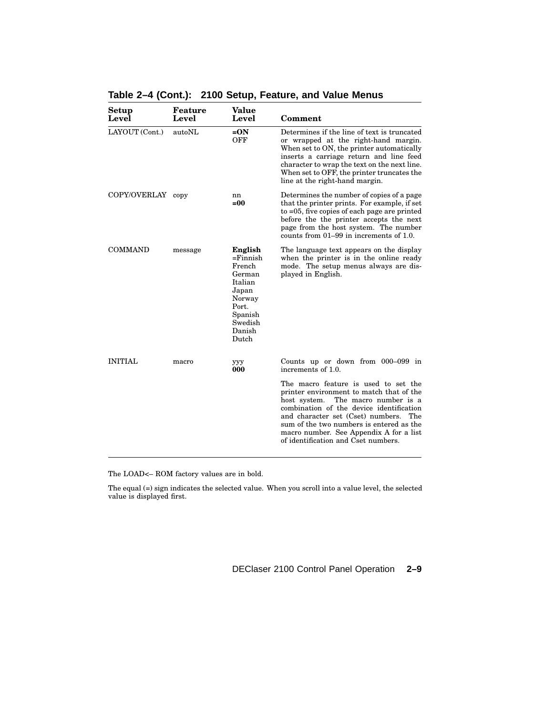| Setup<br>Level    | Feature<br>Level | Value<br>Level                                                                                                             | Comment                                                                                                                                                                                                                                                                                                                                         |
|-------------------|------------------|----------------------------------------------------------------------------------------------------------------------------|-------------------------------------------------------------------------------------------------------------------------------------------------------------------------------------------------------------------------------------------------------------------------------------------------------------------------------------------------|
| LAYOUT (Cont.)    | autoNL           | $=ON$<br><b>OFF</b>                                                                                                        | Determines if the line of text is truncated<br>or wrapped at the right-hand margin.<br>When set to ON, the printer automatically<br>inserts a carriage return and line feed<br>character to wrap the text on the next line.<br>When set to OFF, the printer truncates the<br>line at the right-hand margin.                                     |
| COPY/OVERLAY copy |                  | nn<br>$= 00$                                                                                                               | Determines the number of copies of a page<br>that the printer prints. For example, if set<br>to $=0.5$ , five copies of each page are printed<br>before the the printer accepts the next<br>page from the host system. The number<br>counts from 01–99 in increments of 1.0.                                                                    |
| <b>COMMAND</b>    | message          | English<br>$=$ Finnish<br>French<br>German<br>Italian<br>Japan<br>Norway<br>Port.<br>Spanish<br>Swedish<br>Danish<br>Dutch | The language text appears on the display<br>when the printer is in the online ready<br>mode. The setup menus always are dis-<br>played in English.                                                                                                                                                                                              |
| <b>INITIAL</b>    | macro            | yyy<br>000                                                                                                                 | Counts up or down from 000–099 in<br>increments of 1.0.                                                                                                                                                                                                                                                                                         |
|                   |                  |                                                                                                                            | The macro feature is used to set the<br>printer environment to match that of the<br>host system.<br>The macro number is a<br>combination of the device identification<br>and character set (Cset) numbers.<br>The<br>sum of the two numbers is entered as the<br>macro number. See Appendix A for a list<br>of identification and Cset numbers. |

**Table 2–4 (Cont.): 2100 Setup, Feature, and Value Menus**

The LOAD<– ROM factory values are in bold.

The equal (=) sign indicates the selected value. When you scroll into a value level, the selected value is displayed first.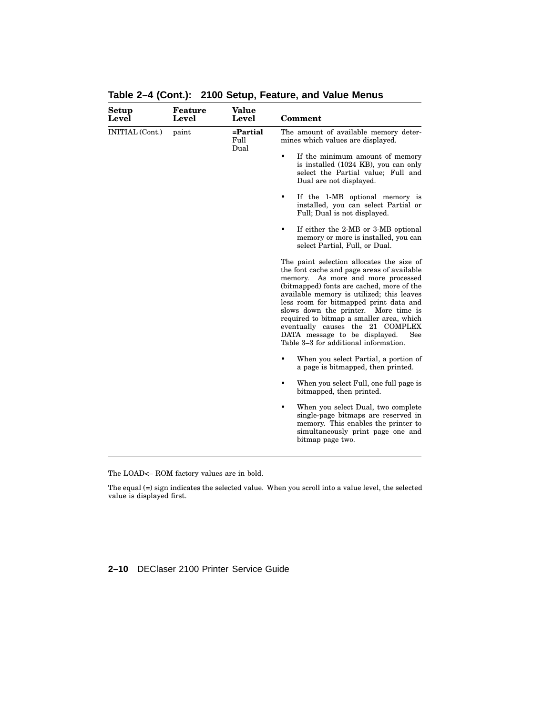| Setup<br>Level  | Feature<br>Level | Value<br>Level           | Comment                                                                                                                                                                                                                                                                                                                                                                                                                                                                       |
|-----------------|------------------|--------------------------|-------------------------------------------------------------------------------------------------------------------------------------------------------------------------------------------------------------------------------------------------------------------------------------------------------------------------------------------------------------------------------------------------------------------------------------------------------------------------------|
| INITIAL (Cont.) | paint            | =Partial<br>Full<br>Dual | The amount of available memory deter-<br>mines which values are displayed.                                                                                                                                                                                                                                                                                                                                                                                                    |
|                 |                  |                          | ٠<br>If the minimum amount of memory<br>is installed (1024 KB), you can only<br>select the Partial value; Full and<br>Dual are not displayed.                                                                                                                                                                                                                                                                                                                                 |
|                 |                  |                          | If the 1-MB optional memory is<br>٠<br>installed, you can select Partial or<br>Full; Dual is not displayed.                                                                                                                                                                                                                                                                                                                                                                   |
|                 |                  |                          | If either the 2-MB or 3-MB optional<br>٠<br>memory or more is installed, you can<br>select Partial, Full, or Dual.                                                                                                                                                                                                                                                                                                                                                            |
|                 |                  |                          | The paint selection allocates the size of<br>the font cache and page areas of available<br>As more and more processed<br>memory.<br>(bitmapped) fonts are cached, more of the<br>available memory is utilized; this leaves<br>less room for bitmapped print data and<br>slows down the printer. More time is<br>required to bitmap a smaller area, which<br>eventually causes the 21 COMPLEX<br>DATA message to be displayed.<br>See<br>Table 3-3 for additional information. |
|                 |                  |                          | When you select Partial, a portion of<br>a page is bitmapped, then printed.                                                                                                                                                                                                                                                                                                                                                                                                   |
|                 |                  |                          | When you select Full, one full page is<br>bitmapped, then printed.                                                                                                                                                                                                                                                                                                                                                                                                            |
|                 |                  |                          | When you select Dual, two complete<br>single-page bitmaps are reserved in<br>memory. This enables the printer to<br>simultaneously print page one and<br>bitmap page two.                                                                                                                                                                                                                                                                                                     |
|                 |                  |                          |                                                                                                                                                                                                                                                                                                                                                                                                                                                                               |

**Table 2–4 (Cont.): 2100 Setup, Feature, and Value Menus**

The LOAD<– ROM factory values are in bold.

The equal (=) sign indicates the selected value. When you scroll into a value level, the selected value is displayed first.

#### **2–10** DEClaser 2100 Printer Service Guide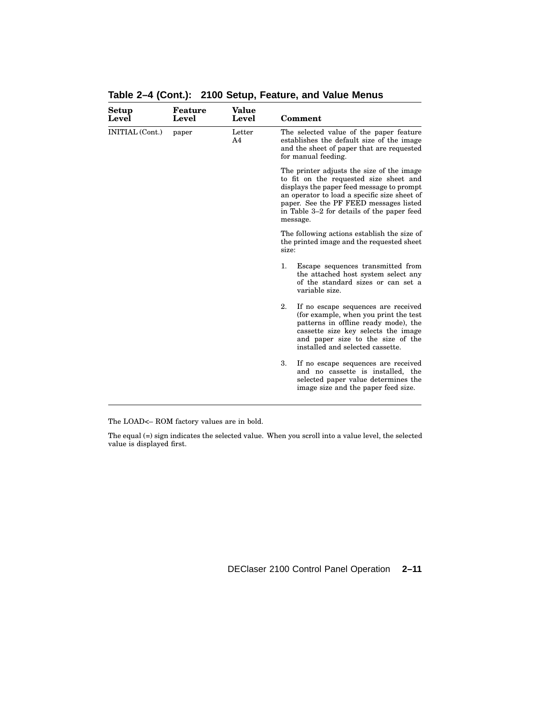| Setup<br>Level  | Feature<br>Level | Value<br>Level | Comment                                                                                                                                                                                                                                                                              |
|-----------------|------------------|----------------|--------------------------------------------------------------------------------------------------------------------------------------------------------------------------------------------------------------------------------------------------------------------------------------|
| INITIAL (Cont.) | paper            | Letter<br>A4   | The selected value of the paper feature<br>establishes the default size of the image<br>and the sheet of paper that are requested<br>for manual feeding.                                                                                                                             |
|                 |                  |                | The printer adjusts the size of the image<br>to fit on the requested size sheet and<br>displays the paper feed message to prompt<br>an operator to load a specific size sheet of<br>paper. See the PF FEED messages listed<br>in Table 3–2 for details of the paper feed<br>message. |
|                 |                  |                | The following actions establish the size of<br>the printed image and the requested sheet<br>size:                                                                                                                                                                                    |
|                 |                  |                | 1.<br>Escape sequences transmitted from<br>the attached host system select any<br>of the standard sizes or can set a<br>variable size.                                                                                                                                               |
|                 |                  |                | 2.<br>If no escape sequences are received<br>(for example, when you print the test)<br>patterns in offline ready mode), the<br>cassette size key selects the image<br>and paper size to the size of the<br>installed and selected cassette.                                          |
|                 |                  |                | 3.<br>If no escape sequences are received<br>and no cassette is installed, the<br>selected paper value determines the<br>image size and the paper feed size.                                                                                                                         |
|                 |                  |                |                                                                                                                                                                                                                                                                                      |

**Table 2–4 (Cont.): 2100 Setup, Feature, and Value Menus**

The LOAD<– ROM factory values are in bold.

The equal (=) sign indicates the selected value. When you scroll into a value level, the selected value is displayed first.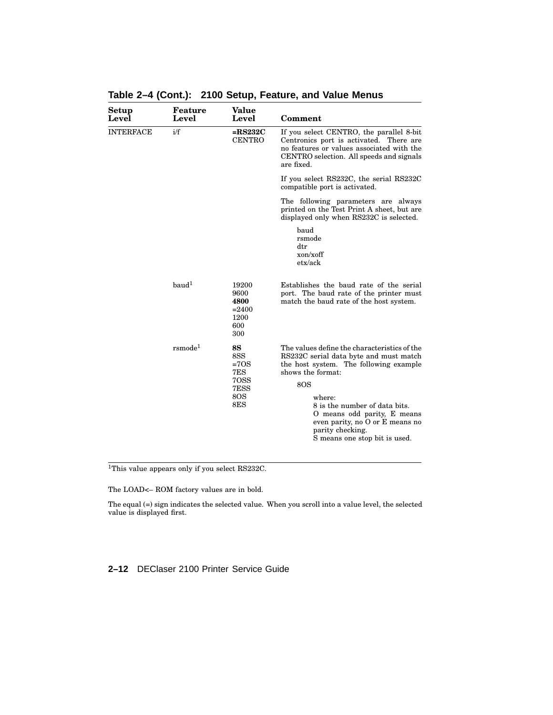| Feature<br>Level     | Value<br>Level                                                         | Comment                                                                                                                                                                                                                                                                                                                        |
|----------------------|------------------------------------------------------------------------|--------------------------------------------------------------------------------------------------------------------------------------------------------------------------------------------------------------------------------------------------------------------------------------------------------------------------------|
| i/f                  | $=$ RS232C<br><b>CENTRO</b>                                            | If you select CENTRO, the parallel 8-bit<br>Centronics port is activated. There are<br>no features or values associated with the<br>CENTRO selection. All speeds and signals<br>are fixed.                                                                                                                                     |
|                      |                                                                        | If you select RS232C, the serial RS232C<br>compatible port is activated.                                                                                                                                                                                                                                                       |
|                      |                                                                        | The following parameters are always<br>printed on the Test Print A sheet, but are<br>displayed only when RS232C is selected.                                                                                                                                                                                                   |
|                      |                                                                        | baud<br>rsmode<br>$_{\rm dtr}$<br>$x$ on/ $x$ off<br>etx/ack                                                                                                                                                                                                                                                                   |
| $b$ aud <sup>1</sup> | 19200<br>9600<br>4800<br>$= 2400$<br>1200<br>600<br>300                | Establishes the baud rate of the serial<br>port. The baud rate of the printer must<br>match the baud rate of the host system.                                                                                                                                                                                                  |
| $r$ smode $1$        | <b>8S</b><br>8SS<br>$=70S$<br>7ES<br>70SS<br>7ESS<br><b>80S</b><br>8ES | The values define the characteristics of the<br>RS232C serial data byte and must match<br>the host system. The following example<br>shows the format:<br>80S<br>where:<br>8 is the number of data bits.<br>O means odd parity, E means<br>even parity, no O or E means no<br>parity checking.<br>S means one stop bit is used. |
|                      |                                                                        |                                                                                                                                                                                                                                                                                                                                |

**Table 2–4 (Cont.): 2100 Setup, Feature, and Value Menus**

<sup>1</sup>This value appears only if you select RS232C.

The LOAD<– ROM factory values are in bold.

The equal (=) sign indicates the selected value. When you scroll into a value level, the selected value is displayed first.

#### **2–12** DEClaser 2100 Printer Service Guide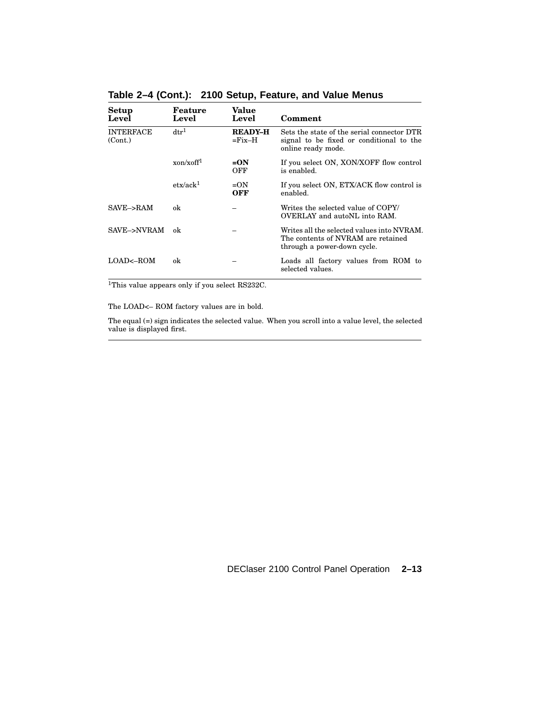| Setup<br>Level              | Feature<br>Level                     | Value<br>Level                  | Comment                                                                                                         |
|-----------------------------|--------------------------------------|---------------------------------|-----------------------------------------------------------------------------------------------------------------|
| <b>INTERFACE</b><br>(Cont.) | $\mathrm{d} \mathrm{t} \mathrm{r}^1$ | <b>READY-H</b><br>$=$ Fix $-$ H | Sets the state of the serial connector DTR<br>signal to be fixed or conditional to the<br>online ready mode.    |
|                             | xon/xoff <sup>1</sup>                | $=ON$<br>OFF                    | If you select ON, XON/XOFF flow control<br>is enabled.                                                          |
|                             | $\text{etx}/\text{ack}^1$            | $=ON$<br>OFF                    | If you select ON, ETX/ACK flow control is<br>enabled.                                                           |
| SAVE->RAM                   | ok                                   |                                 | Writes the selected value of COPY/<br>OVERLAY and autoNL into RAM.                                              |
| SAVE->NVRAM                 | ok                                   |                                 | Writes all the selected values into NVRAM.<br>The contents of NVRAM are retained<br>through a power-down cycle. |
| $LOAD \leftarrow ROM$       | ok                                   |                                 | Loads all factory values from ROM to<br>selected values.                                                        |

**Table 2–4 (Cont.): 2100 Setup, Feature, and Value Menus**

<sup>1</sup>This value appears only if you select RS232C.

The LOAD<– ROM factory values are in bold.

The equal (=) sign indicates the selected value. When you scroll into a value level, the selected value is displayed first.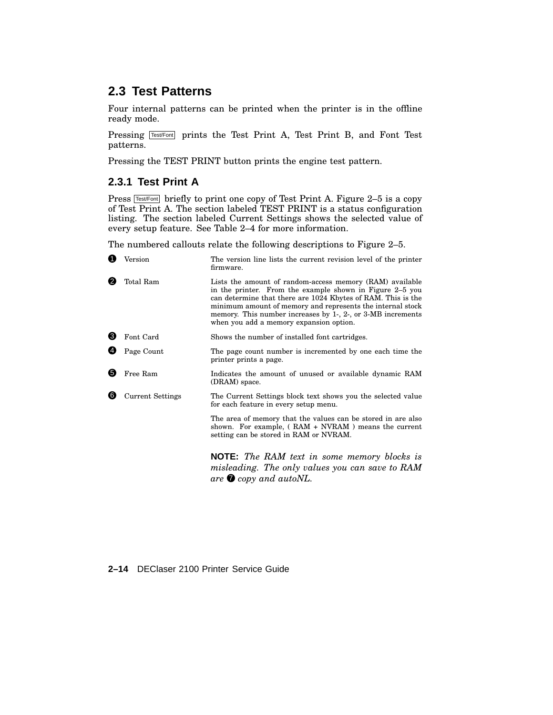# **2.3 Test Patterns**

Four internal patterns can be printed when the printer is in the offline ready mode.

Pressing Test/Font prints the Test Print A, Test Print B, and Font Test patterns.

Pressing the TEST PRINT button prints the engine test pattern.

### **2.3.1 Test Print A**

Press  $TestFont$  briefly to print one copy of Test Print A. Figure 2–5 is a copy of Test Print A. The section labeled TEST PRINT is a status configuration listing. The section labeled Current Settings shows the selected value of every setup feature. See Table 2–4 for more information.

The numbered callouts relate the following descriptions to Figure 2–5.

| O              | Version                 | The version line lists the current revision level of the printer<br>firmware.                                                                                                                                                                                                                                                                                |  |  |
|----------------|-------------------------|--------------------------------------------------------------------------------------------------------------------------------------------------------------------------------------------------------------------------------------------------------------------------------------------------------------------------------------------------------------|--|--|
| 2<br>Total Ram |                         | Lists the amount of random-access memory (RAM) available<br>in the printer. From the example shown in Figure 2–5 you<br>can determine that there are 1024 Kbytes of RAM. This is the<br>minimum amount of memory and represents the internal stock<br>memory. This number increases by 1-, 2-, or 3-MB increments<br>when you add a memory expansion option. |  |  |
| ❸              | Font Card               | Shows the number of installed font cartridges.                                                                                                                                                                                                                                                                                                               |  |  |
| 4              | Page Count              | The page count number is incremented by one each time the<br>printer prints a page.                                                                                                                                                                                                                                                                          |  |  |
| 6              | Free Ram                | Indicates the amount of unused or available dynamic RAM<br>(DRAM) space.                                                                                                                                                                                                                                                                                     |  |  |
| (6)            | <b>Current Settings</b> | The Current Settings block text shows you the selected value<br>for each feature in every setup menu.                                                                                                                                                                                                                                                        |  |  |
|                |                         | The area of memory that the values can be stored in are also<br>shown. For example, (RAM + NVRAM) means the current<br>setting can be stored in RAM or NVRAM.                                                                                                                                                                                                |  |  |
|                |                         | <b>NOTE:</b> The RAM text in some memory blocks is<br>misleading. The only values you can save to RAM<br>are $\bullet$ copy and autoNL.                                                                                                                                                                                                                      |  |  |

#### **2–14** DEClaser 2100 Printer Service Guide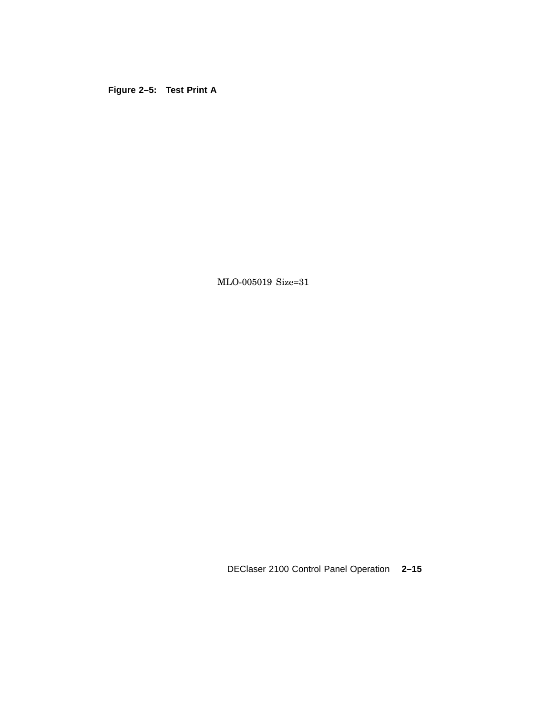**Figure 2–5: Test Print A**

MLO-005019 Size=31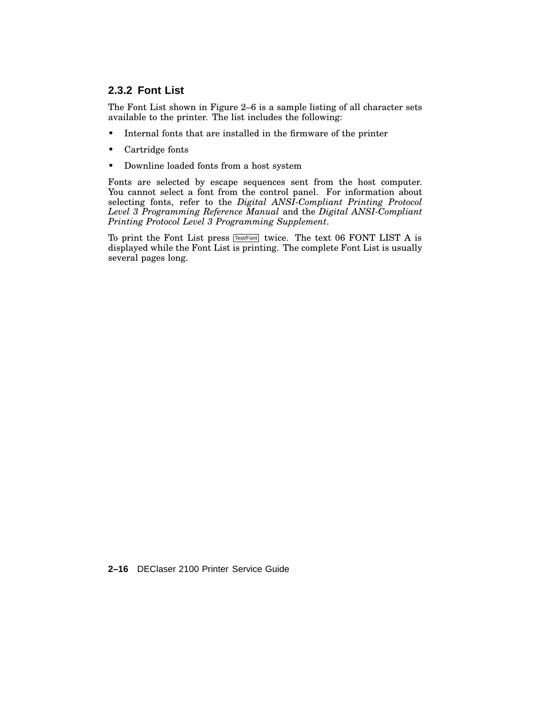### **2.3.2 Font List**

The Font List shown in Figure 2–6 is a sample listing of all character sets available to the printer. The list includes the following:

- Internal fonts that are installed in the firmware of the printer
- Cartridge fonts
- Downline loaded fonts from a host system

Fonts are selected by escape sequences sent from the host computer. You cannot select a font from the control panel. For information about selecting fonts, refer to the *Digital ANSI-Compliant Printing Protocol Level 3 Programming Reference Manual* and the *Digital ANSI-Compliant Printing Protocol Level 3 Programming Supplement*.

To print the Font List press [Test/Font] twice. The text 06 FONT LIST A is displayed while the Font List is printing. The complete Font List is usually several pages long.

**2–16** DEClaser 2100 Printer Service Guide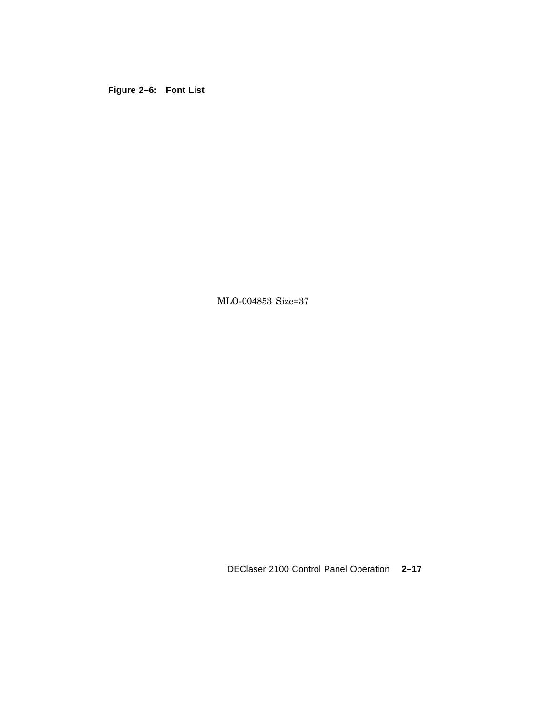**Figure 2–6: Font List**

MLO-004853 Size=37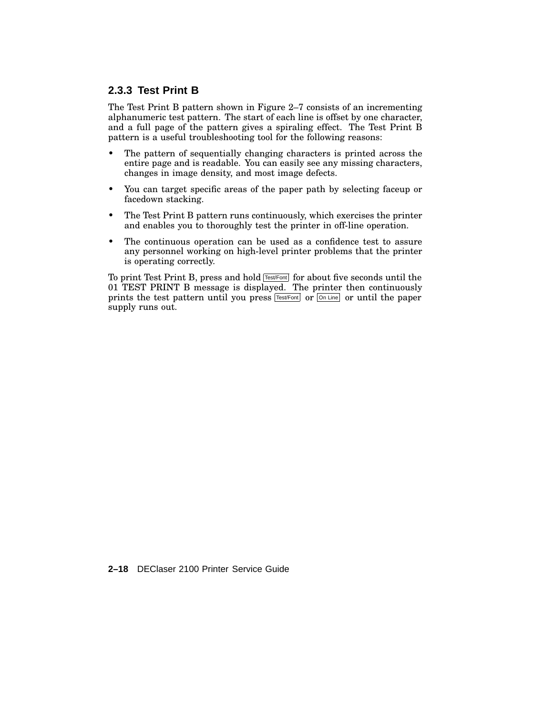### **2.3.3 Test Print B**

The Test Print B pattern shown in Figure 2–7 consists of an incrementing alphanumeric test pattern. The start of each line is offset by one character, and a full page of the pattern gives a spiraling effect. The Test Print B pattern is a useful troubleshooting tool for the following reasons:

- The pattern of sequentially changing characters is printed across the entire page and is readable. You can easily see any missing characters, changes in image density, and most image defects.
- You can target specific areas of the paper path by selecting faceup or facedown stacking.
- The Test Print B pattern runs continuously, which exercises the printer and enables you to thoroughly test the printer in off-line operation.
- The continuous operation can be used as a confidence test to assure any personnel working on high-level printer problems that the printer is operating correctly.

To print Test Print B, press and hold  $\sqrt{\frac{Test/Font}{Test}}$  for about five seconds until the 01 TEST PRINT B message is displayed. The printer then continuously prints the test pattern until you press  $Test/Font$  or  $\overline{On Line}$  or until the paper supply runs out.

**2–18** DEClaser 2100 Printer Service Guide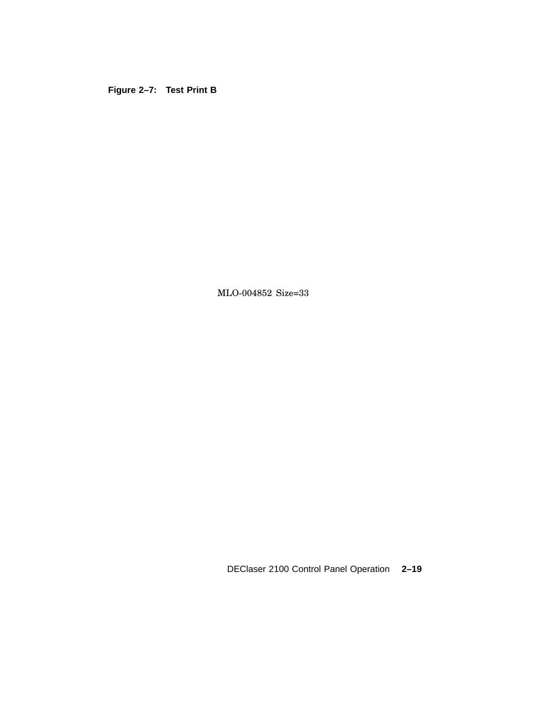**Figure 2–7: Test Print B**

MLO-004852 Size=33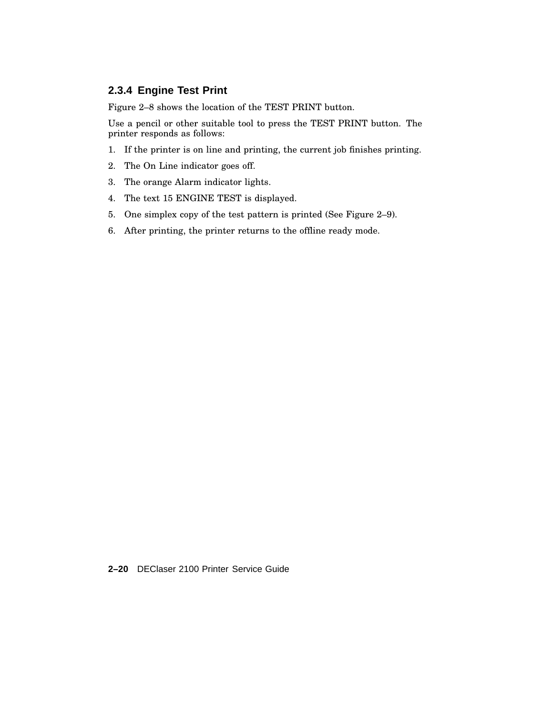### **2.3.4 Engine Test Print**

Figure 2–8 shows the location of the TEST PRINT button.

Use a pencil or other suitable tool to press the TEST PRINT button. The printer responds as follows:

- 1. If the printer is on line and printing, the current job finishes printing.
- 2. The On Line indicator goes off.
- 3. The orange Alarm indicator lights.
- 4. The text 15 ENGINE TEST is displayed.
- 5. One simplex copy of the test pattern is printed (See Figure 2–9).
- 6. After printing, the printer returns to the offline ready mode.

**2–20** DEClaser 2100 Printer Service Guide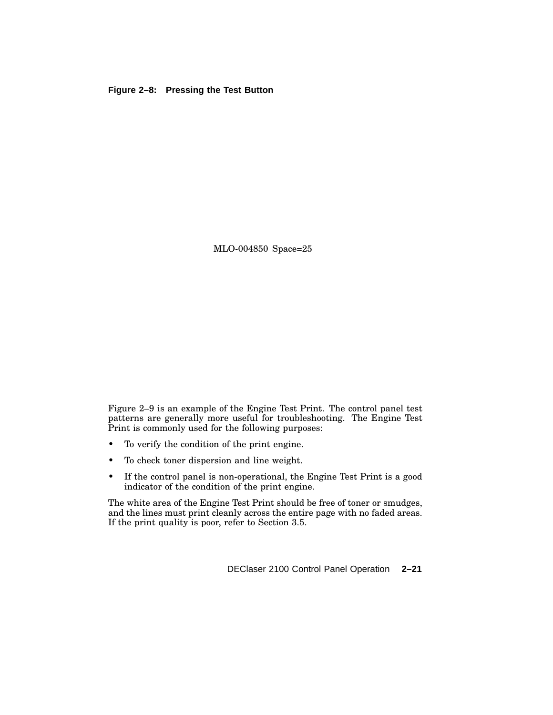#### **Figure 2–8: Pressing the Test Button**

MLO-004850 Space=25

Figure 2–9 is an example of the Engine Test Print. The control panel test patterns are generally more useful for troubleshooting. The Engine Test Print is commonly used for the following purposes:

- To verify the condition of the print engine.
- To check toner dispersion and line weight.
- If the control panel is non-operational, the Engine Test Print is a good indicator of the condition of the print engine.

The white area of the Engine Test Print should be free of toner or smudges, and the lines must print cleanly across the entire page with no faded areas. If the print quality is poor, refer to Section 3.5.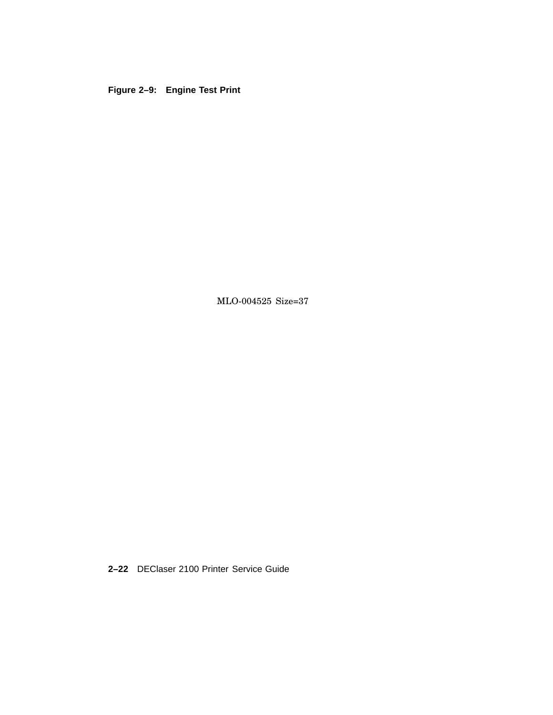## **Figure 2–9: Engine Test Print**

MLO-004525 Size=37

**2–22** DEClaser 2100 Printer Service Guide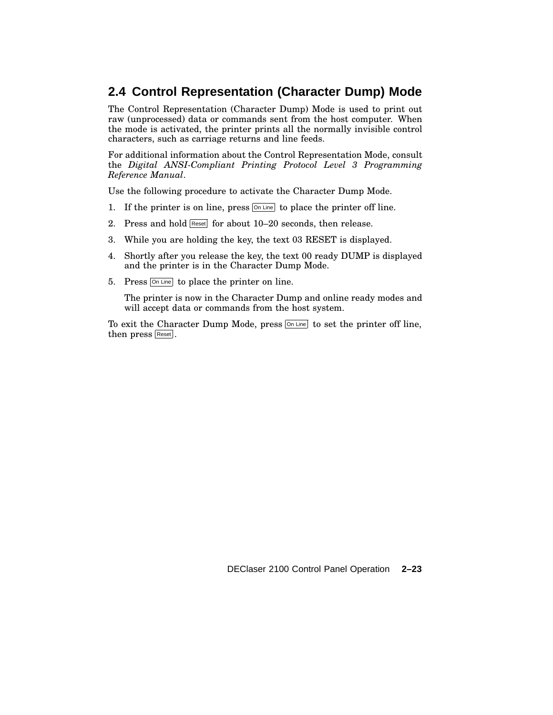# **2.4 Control Representation (Character Dump) Mode**

The Control Representation (Character Dump) Mode is used to print out raw (unprocessed) data or commands sent from the host computer. When the mode is activated, the printer prints all the normally invisible control characters, such as carriage returns and line feeds.

For additional information about the Control Representation Mode, consult the *Digital ANSI-Compliant Printing Protocol Level 3 Programming Reference Manual*.

Use the following procedure to activate the Character Dump Mode.

- 1. If the printer is on line, press  $\boxed{\circ}$  Line to place the printer off line.
- 2. Press and hold Reset for about 10-20 seconds, then release.
- 3. While you are holding the key, the text 03 RESET is displayed.
- 4. Shortly after you release the key, the text 00 ready DUMP is displayed and the printer is in the Character Dump Mode.
- 5. Press **On Line** to place the printer on line.

The printer is now in the Character Dump and online ready modes and will accept data or commands from the host system.

To exit the Character Dump Mode, press  $\boxed{\circ}$  Line to set the printer off line, then press Reset.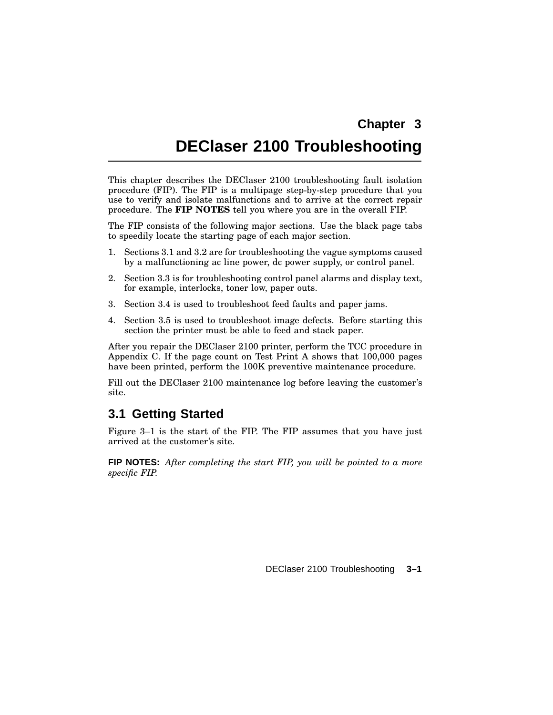# **Chapter 3**

# **DEClaser 2100 Troubleshooting**

This chapter describes the DEClaser 2100 troubleshooting fault isolation procedure (FIP). The FIP is a multipage step-by-step procedure that you use to verify and isolate malfunctions and to arrive at the correct repair procedure. The **FIP NOTES** tell you where you are in the overall FIP.

The FIP consists of the following major sections. Use the black page tabs to speedily locate the starting page of each major section.

- 1. Sections 3.1 and 3.2 are for troubleshooting the vague symptoms caused by a malfunctioning ac line power, dc power supply, or control panel.
- 2. Section 3.3 is for troubleshooting control panel alarms and display text, for example, interlocks, toner low, paper outs.
- 3. Section 3.4 is used to troubleshoot feed faults and paper jams.
- 4. Section 3.5 is used to troubleshoot image defects. Before starting this section the printer must be able to feed and stack paper.

After you repair the DEClaser 2100 printer, perform the TCC procedure in Appendix C. If the page count on Test Print A shows that 100,000 pages have been printed, perform the 100K preventive maintenance procedure.

Fill out the DEClaser 2100 maintenance log before leaving the customer's site.

# **3.1 Getting Started**

Figure 3–1 is the start of the FIP. The FIP assumes that you have just arrived at the customer's site.

**FIP NOTES:** *After completing the start FIP, you will be pointed to a more specific FIP.*

DEClaser 2100 Troubleshooting **3–1**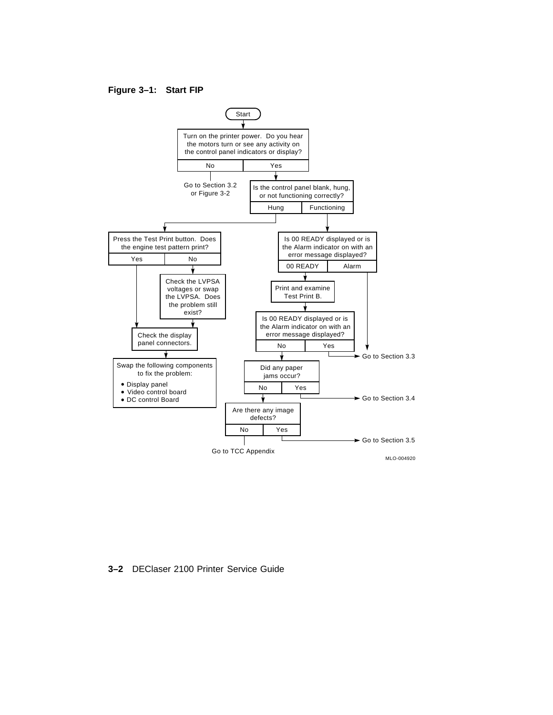#### **Figure 3–1: Start FIP**



**3–2** DEClaser 2100 Printer Service Guide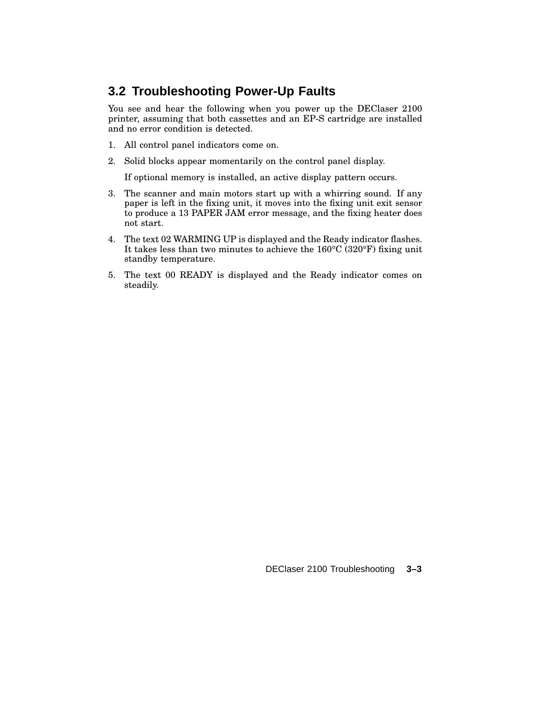# **3.2 Troubleshooting Power-Up Faults**

You see and hear the following when you power up the DEClaser 2100 printer, assuming that both cassettes and an EP-S cartridge are installed and no error condition is detected.

- 1. All control panel indicators come on.
- 2. Solid blocks appear momentarily on the control panel display.

If optional memory is installed, an active display pattern occurs.

- 3. The scanner and main motors start up with a whirring sound. If any paper is left in the fixing unit, it moves into the fixing unit exit sensor to produce a 13 PAPER JAM error message, and the fixing heater does not start.
- 4. The text 02 WARMING UP is displayed and the Ready indicator flashes. It takes less than two minutes to achieve the 160°C (320°F) fixing unit standby temperature.
- 5. The text 00 READY is displayed and the Ready indicator comes on steadily.

DEClaser 2100 Troubleshooting **3–3**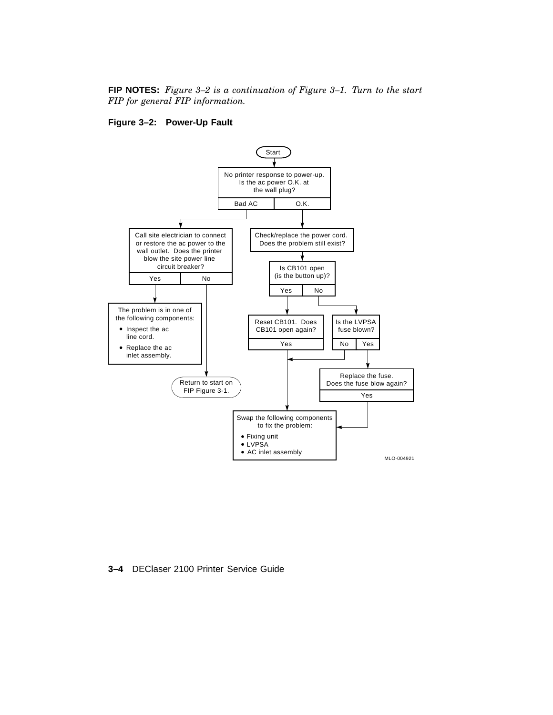#### **FIP NOTES:** *Figure 3–2 is a continuation of Figure 3–1. Turn to the start FIP for general FIP information.*

#### **Figure 3–2: Power-Up Fault**



**3–4** DEClaser 2100 Printer Service Guide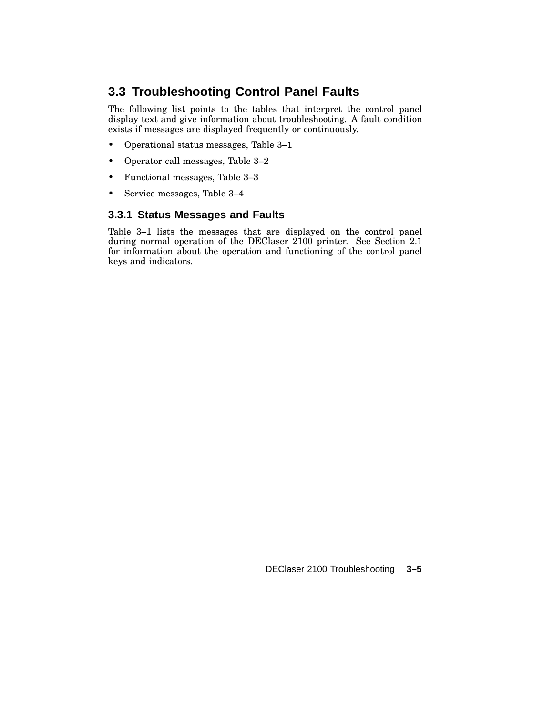# **3.3 Troubleshooting Control Panel Faults**

The following list points to the tables that interpret the control panel display text and give information about troubleshooting. A fault condition exists if messages are displayed frequently or continuously.

- Operational status messages, Table 3–1
- Operator call messages, Table 3–2
- Functional messages, Table 3–3
- Service messages, Table 3–4

### **3.3.1 Status Messages and Faults**

Table 3–1 lists the messages that are displayed on the control panel during normal operation of the DEClaser 2100 printer. See Section 2.1 for information about the operation and functioning of the control panel keys and indicators.

DEClaser 2100 Troubleshooting **3–5**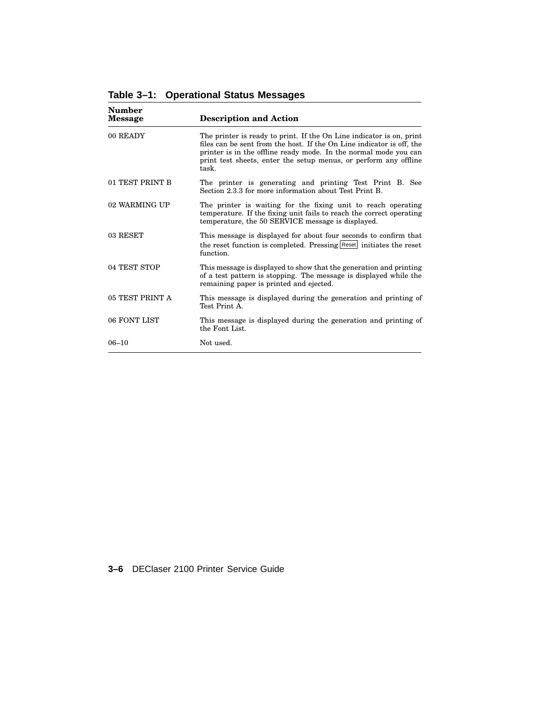| Number<br><b>Message</b> | <b>Description and Action</b>                                                                                                                                                                                                                                                                  |
|--------------------------|------------------------------------------------------------------------------------------------------------------------------------------------------------------------------------------------------------------------------------------------------------------------------------------------|
| 00 READY                 | The printer is ready to print. If the On Line indicator is on, print<br>files can be sent from the host. If the On Line indicator is off, the<br>printer is in the offline ready mode. In the normal mode you can<br>print test sheets, enter the setup menus, or perform any offline<br>task. |
| 01 TEST PRINT B          | The printer is generating and printing Test Print B. See<br>Section 2.3.3 for more information about Test Print B.                                                                                                                                                                             |
| 02 WARMING UP            | The printer is waiting for the fixing unit to reach operating<br>temperature. If the fixing unit fails to reach the correct operating<br>temperature, the 50 SERVICE message is displayed.                                                                                                     |
| 03 RESET                 | This message is displayed for about four seconds to confirm that<br>the reset function is completed. Pressing Reset initiates the reset<br>function.                                                                                                                                           |
| 04 TEST STOP             | This message is displayed to show that the generation and printing<br>of a test pattern is stopping. The message is displayed while the<br>remaining paper is printed and ejected.                                                                                                             |
| 05 TEST PRINT A          | This message is displayed during the generation and printing of<br>Test Print A.                                                                                                                                                                                                               |
| 06 FONT LIST             | This message is displayed during the generation and printing of<br>the Font List.                                                                                                                                                                                                              |
| $06 - 10$                | Not used.                                                                                                                                                                                                                                                                                      |

**Table 3–1: Operational Status Messages**

**3–6** DEClaser 2100 Printer Service Guide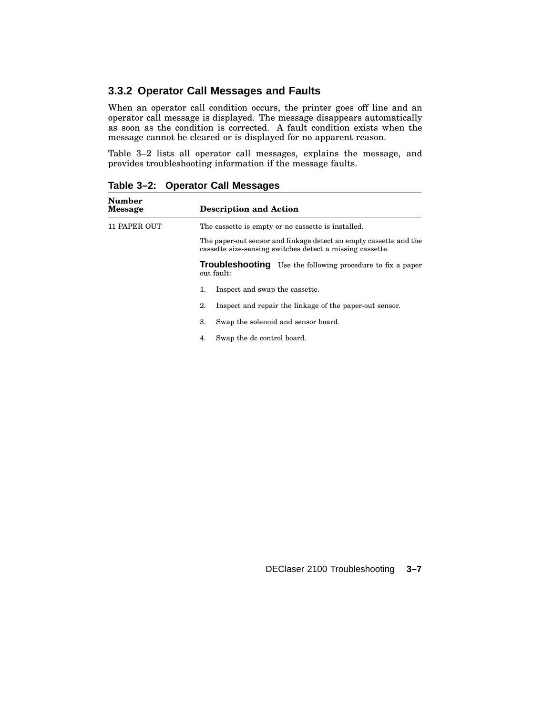### **3.3.2 Operator Call Messages and Faults**

When an operator call condition occurs, the printer goes off line and an operator call message is displayed. The message disappears automatically as soon as the condition is corrected. A fault condition exists when the message cannot be cleared or is displayed for no apparent reason.

Table 3–2 lists all operator call messages, explains the message, and provides troubleshooting information if the message faults.

| <b>Number</b><br><b>Message</b> | <b>Description and Action</b>                                                                                                  |
|---------------------------------|--------------------------------------------------------------------------------------------------------------------------------|
| <b>11 PAPER OUT</b>             | The cassette is empty or no cassette is installed.                                                                             |
|                                 | The paper-out sensor and linkage detect an empty cassette and the<br>cassette size-sensing switches detect a missing cassette. |
|                                 | <b>Troubleshooting</b> Use the following procedure to fix a paper<br>out fault:                                                |
|                                 | Inspect and swap the cassette.<br>1.                                                                                           |
|                                 | 2.<br>Inspect and repair the linkage of the paper-out sensor.                                                                  |
|                                 | 3.<br>Swap the solenoid and sensor board.                                                                                      |
|                                 | Swap the dc control board.<br>4.                                                                                               |
|                                 |                                                                                                                                |

**Table 3–2: Operator Call Messages**

DEClaser 2100 Troubleshooting **3–7**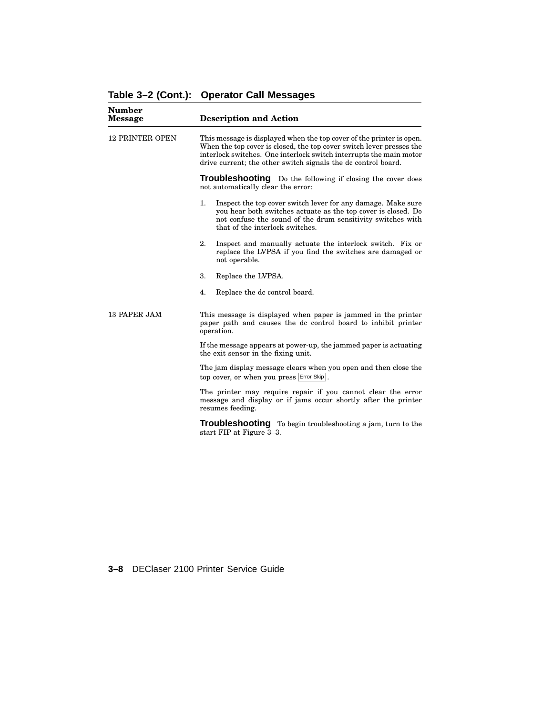| <b>Number</b><br><b>Message</b> | <b>Description and Action</b>                                                                                                                                                                                                                                                       |  |  |
|---------------------------------|-------------------------------------------------------------------------------------------------------------------------------------------------------------------------------------------------------------------------------------------------------------------------------------|--|--|
| <b>12 PRINTER OPEN</b>          | This message is displayed when the top cover of the printer is open.<br>When the top cover is closed, the top cover switch lever presses the<br>interlock switches. One interlock switch interrupts the main motor<br>drive current; the other switch signals the dc control board. |  |  |
|                                 | Troubleshooting Do the following if closing the cover does<br>not automatically clear the error:                                                                                                                                                                                    |  |  |
|                                 | Inspect the top cover switch lever for any damage. Make sure<br>1.<br>you hear both switches actuate as the top cover is closed. Do<br>not confuse the sound of the drum sensitivity switches with<br>that of the interlock switches.                                               |  |  |
|                                 | 2.<br>Inspect and manually actuate the interlock switch. Fix or<br>replace the LVPSA if you find the switches are damaged or<br>not operable.                                                                                                                                       |  |  |
|                                 | 3.<br>Replace the LVPSA.                                                                                                                                                                                                                                                            |  |  |
|                                 | Replace the dc control board.<br>4.                                                                                                                                                                                                                                                 |  |  |
| 13 PAPER JAM                    | This message is displayed when paper is jammed in the printer<br>paper path and causes the dc control board to inhibit printer<br>operation.                                                                                                                                        |  |  |
|                                 | If the message appears at power-up, the jammed paper is actuating<br>the exit sensor in the fixing unit.                                                                                                                                                                            |  |  |
|                                 | The jam display message clears when you open and then close the<br>top cover, or when you press Error Skip.                                                                                                                                                                         |  |  |
|                                 | The printer may require repair if you cannot clear the error<br>message and display or if jams occur shortly after the printer<br>resumes feeding.                                                                                                                                  |  |  |
|                                 | Troubleshootina<br>To begin troubleshooting a jam, turn to the                                                                                                                                                                                                                      |  |  |

start FIP at Figure 3–3.

| Table 3-2 (Cont.): Operator Call Messages |  |  |  |  |
|-------------------------------------------|--|--|--|--|
|-------------------------------------------|--|--|--|--|

**3–8** DEClaser 2100 Printer Service Guide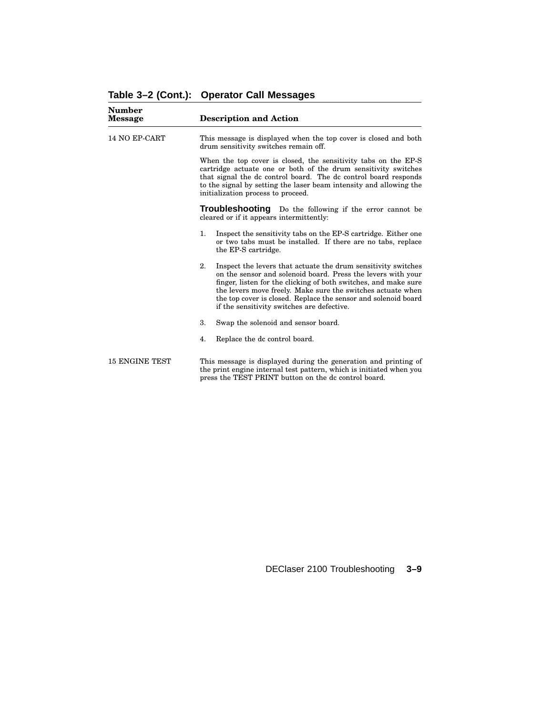| Number<br>Message     | <b>Description and Action</b>                                                                                                                                                                                                                                                                                                                                                         |  |
|-----------------------|---------------------------------------------------------------------------------------------------------------------------------------------------------------------------------------------------------------------------------------------------------------------------------------------------------------------------------------------------------------------------------------|--|
| <b>14 NO EP-CART</b>  | This message is displayed when the top cover is closed and both<br>drum sensitivity switches remain off.                                                                                                                                                                                                                                                                              |  |
|                       | When the top cover is closed, the sensitivity tabs on the EP-S<br>cartridge actuate one or both of the drum sensitivity switches<br>that signal the dc control board. The dc control board responds<br>to the signal by setting the laser beam intensity and allowing the<br>initialization process to proceed.                                                                       |  |
|                       | Troubleshooting<br>Do the following if the error cannot be<br>cleared or if it appears intermittently:                                                                                                                                                                                                                                                                                |  |
|                       | 1.<br>Inspect the sensitivity tabs on the EP-S cartridge. Either one<br>or two tabs must be installed. If there are no tabs, replace<br>the EP-S cartridge.                                                                                                                                                                                                                           |  |
|                       | 2.<br>Inspect the levers that actuate the drum sensitivity switches<br>on the sensor and solenoid board. Press the levers with your<br>finger, listen for the clicking of both switches, and make sure<br>the levers move freely. Make sure the switches actuate when<br>the top cover is closed. Replace the sensor and solenoid board<br>if the sensitivity switches are defective. |  |
|                       | 3.<br>Swap the solenoid and sensor board.                                                                                                                                                                                                                                                                                                                                             |  |
|                       | Replace the dc control board.<br>4.                                                                                                                                                                                                                                                                                                                                                   |  |
| <b>15 ENGINE TEST</b> | This message is displayed during the generation and printing of<br>the print engine internal test pattern, which is initiated when you<br>press the TEST PRINT button on the dc control board.                                                                                                                                                                                        |  |

DEClaser 2100 Troubleshooting **3–9**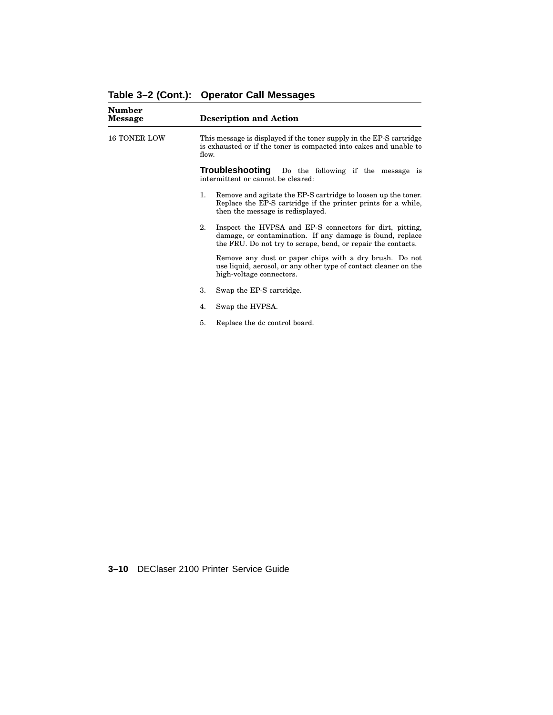| <b>Number</b><br><b>Message</b> | <b>Description and Action</b>                                                                                                                                                               |  |
|---------------------------------|---------------------------------------------------------------------------------------------------------------------------------------------------------------------------------------------|--|
| <b>16 TONER LOW</b>             | This message is displayed if the toner supply in the EP-S cartridge<br>is exhausted or if the toner is compacted into cakes and unable to<br>flow.                                          |  |
|                                 | <b>Troubleshooting</b> Do the following if the message is<br>intermittent or cannot be cleared:                                                                                             |  |
|                                 | Remove and agitate the EP-S cartridge to loosen up the toner.<br>1.<br>Replace the EP-S cartridge if the printer prints for a while,<br>then the message is redisplayed.                    |  |
|                                 | 2.<br>Inspect the HVPSA and EP-S connectors for dirt, pitting,<br>damage, or contamination. If any damage is found, replace<br>the FRU. Do not try to scrape, bend, or repair the contacts. |  |
|                                 | Remove any dust or paper chips with a dry brush. Do not<br>use liquid, aerosol, or any other type of contact cleaner on the<br>high-voltage connectors.                                     |  |
|                                 | 3.<br>Swap the EP-S cartridge.                                                                                                                                                              |  |
|                                 | Swap the HVPSA.<br>4.                                                                                                                                                                       |  |
|                                 | Replace the dc control board.<br>5.                                                                                                                                                         |  |

| Table 3-2 (Cont.): Operator Call Messages |  |  |  |  |
|-------------------------------------------|--|--|--|--|
|-------------------------------------------|--|--|--|--|

**3–10** DEClaser 2100 Printer Service Guide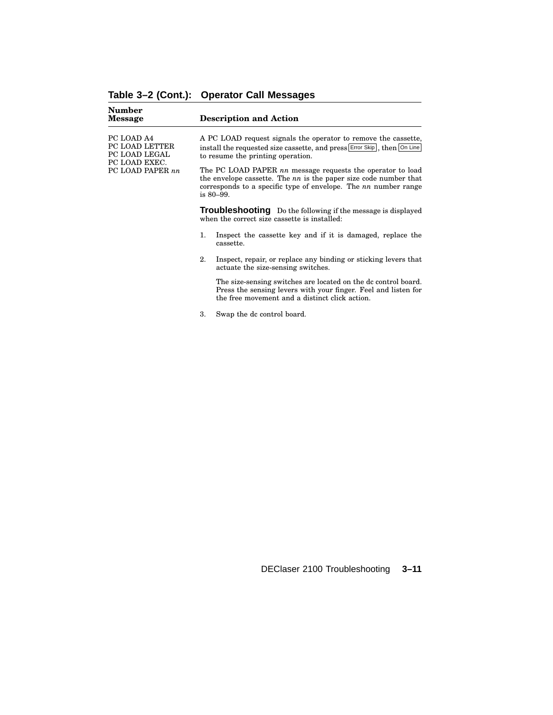| Number<br><b>Message</b>                                                           |                                                                                                                                                                                                                       | <b>Description and Action</b>                                                                                                                                                  |
|------------------------------------------------------------------------------------|-----------------------------------------------------------------------------------------------------------------------------------------------------------------------------------------------------------------------|--------------------------------------------------------------------------------------------------------------------------------------------------------------------------------|
| PC LOAD A4<br>PC LOAD LETTER<br>PC LOAD LEGAL<br>PC LOAD EXEC.<br>PC LOAD PAPER nn |                                                                                                                                                                                                                       | A PC LOAD request signals the operator to remove the cassette,<br>install the requested size cassette, and press Error Skip, then On Line<br>to resume the printing operation. |
|                                                                                    | The PC LOAD PAPER nn message requests the operator to load<br>the envelope cassette. The $nn$ is the paper size code number that<br>corresponds to a specific type of envelope. The nn number range<br>is $80 - 99$ . |                                                                                                                                                                                |
|                                                                                    |                                                                                                                                                                                                                       | <b>Troubleshooting</b> Do the following if the message is displayed<br>when the correct size cassette is installed:                                                            |
|                                                                                    | 1.                                                                                                                                                                                                                    | Inspect the cassette key and if it is damaged, replace the<br>cassette.                                                                                                        |
|                                                                                    | 2.                                                                                                                                                                                                                    | Inspect, repair, or replace any binding or sticking levers that<br>actuate the size-sensing switches.                                                                          |
|                                                                                    |                                                                                                                                                                                                                       | The size-sensing switches are located on the dc control board.<br>Press the sensing levers with your finger. Feel and listen for                                               |

3. Swap the dc control board.

the free movement and a distinct click action.

**Table 3–2 (Cont.): Operator Call Messages**

DEClaser 2100 Troubleshooting **3–11**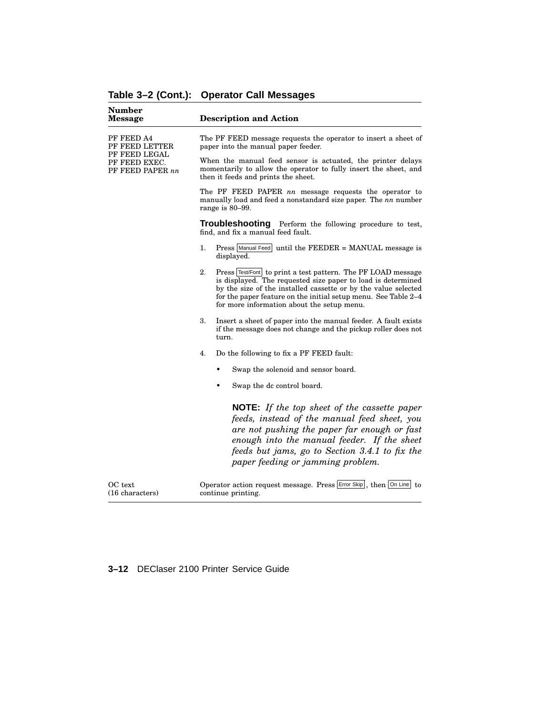| <b>Number</b><br>Message                                                           | <b>Description and Action</b>                                                                                                                                                                                                                                                                                        |
|------------------------------------------------------------------------------------|----------------------------------------------------------------------------------------------------------------------------------------------------------------------------------------------------------------------------------------------------------------------------------------------------------------------|
| PF FEED A4<br>PF FEED LETTER<br>PF FEED LEGAL<br>PF FEED EXEC.<br>PF FEED PAPER nn | The PF FEED message requests the operator to insert a sheet of<br>paper into the manual paper feeder.                                                                                                                                                                                                                |
|                                                                                    | When the manual feed sensor is actuated, the printer delays<br>momentarily to allow the operator to fully insert the sheet, and<br>then it feeds and prints the sheet.                                                                                                                                               |
|                                                                                    | The PF FEED PAPER nn message requests the operator to<br>manually load and feed a nonstandard size paper. The $nn$ number<br>range is 80-99.                                                                                                                                                                         |
|                                                                                    | Troubleshooting Perform the following procedure to test,<br>find, and fix a manual feed fault.                                                                                                                                                                                                                       |
|                                                                                    | Press Manual Feed until the FEEDER = MANUAL message is<br>1.<br>displayed.                                                                                                                                                                                                                                           |
|                                                                                    | 2.<br>Press Test/Font to print a test pattern. The PF LOAD message<br>is displayed. The requested size paper to load is determined<br>by the size of the installed cassette or by the value selected<br>for the paper feature on the initial setup menu. See Table 2-4<br>for more information about the setup menu. |
|                                                                                    | Insert a sheet of paper into the manual feeder. A fault exists<br>3.<br>if the message does not change and the pickup roller does not<br>turn.                                                                                                                                                                       |
|                                                                                    | Do the following to fix a PF FEED fault:<br>4.                                                                                                                                                                                                                                                                       |
|                                                                                    | Swap the solenoid and sensor board.                                                                                                                                                                                                                                                                                  |
|                                                                                    | Swap the dc control board.                                                                                                                                                                                                                                                                                           |
|                                                                                    | <b>NOTE:</b> If the top sheet of the cassette paper<br>feeds, instead of the manual feed sheet, you<br>are not pushing the paper far enough or fast<br>enough into the manual feeder. If the sheet<br>feeds but jams, go to Section 3.4.1 to fix the<br>paper feeding or jamming problem.                            |
| OC text<br>(16 characters)                                                         | Operator action request message. Press Error Skip, then On Line to<br>continue printing.                                                                                                                                                                                                                             |

# **Table 3–2 (Cont.): Operator Call Messages**

### **3–12** DEClaser 2100 Printer Service Guide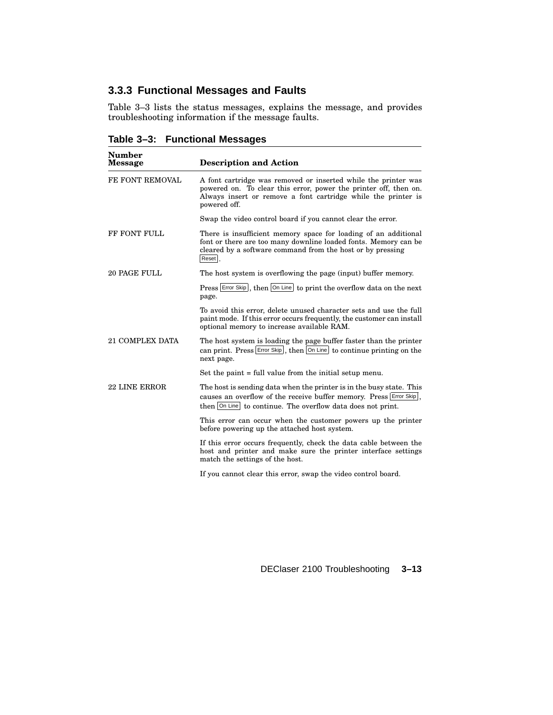## **3.3.3 Functional Messages and Faults**

Table 3–3 lists the status messages, explains the message, and provides troubleshooting information if the message faults.

**Table 3–3: Functional Messages**

| <b>Number</b><br><b>Message</b> | <b>Description and Action</b>                                                                                                                                                                                       |  |
|---------------------------------|---------------------------------------------------------------------------------------------------------------------------------------------------------------------------------------------------------------------|--|
| FE FONT REMOVAL                 | A font cartridge was removed or inserted while the printer was<br>powered on. To clear this error, power the printer off, then on.<br>Always insert or remove a font cartridge while the printer is<br>powered off. |  |
|                                 | Swap the video control board if you cannot clear the error.                                                                                                                                                         |  |
| <b>FF FONT FULL</b>             | There is insufficient memory space for loading of an additional<br>font or there are too many downline loaded fonts. Memory can be<br>cleared by a software command from the host or by pressing<br>Reset.          |  |
| <b>20 PAGE FULL</b>             | The host system is overflowing the page (input) buffer memory.                                                                                                                                                      |  |
|                                 | Press Error Skip, then On Line to print the overflow data on the next<br>page.                                                                                                                                      |  |
|                                 | To avoid this error, delete unused character sets and use the full<br>paint mode. If this error occurs frequently, the customer can install<br>optional memory to increase available RAM.                           |  |
| <b>21 COMPLEX DATA</b>          | The host system is loading the page buffer faster than the printer<br>can print. Press $\left \text{Error Skip}\right $ , then $\left \text{On Line}\right $ to continue printing on the<br>next page.              |  |
|                                 | Set the paint $=$ full value from the initial setup menu.                                                                                                                                                           |  |
| <b>22 LINE ERROR</b>            | The host is sending data when the printer is in the busy state. This<br>causes an overflow of the receive buffer memory. Press Error Skip,<br>then On Line to continue. The overflow data does not print.           |  |
|                                 | This error can occur when the customer powers up the printer<br>before powering up the attached host system.                                                                                                        |  |
|                                 | If this error occurs frequently, check the data cable between the<br>host and printer and make sure the printer interface settings<br>match the settings of the host.                                               |  |
|                                 | If you cannot clear this error, swap the video control board.                                                                                                                                                       |  |

DEClaser 2100 Troubleshooting **3–13**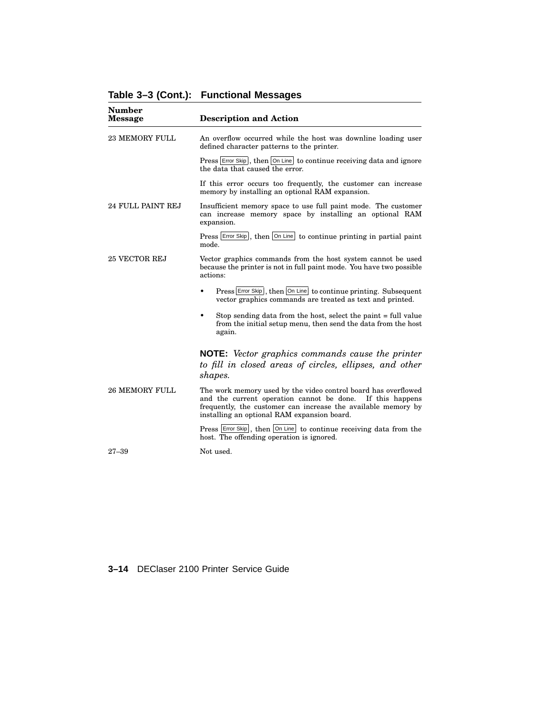| Number<br><b>Message</b> | <b>Description and Action</b>                                                                                                                                                                                                               |  |
|--------------------------|---------------------------------------------------------------------------------------------------------------------------------------------------------------------------------------------------------------------------------------------|--|
| <b>23 MEMORY FULL</b>    | An overflow occurred while the host was downline loading user<br>defined character patterns to the printer.                                                                                                                                 |  |
|                          | Press Error Skip, then On Line to continue receiving data and ignore<br>the data that caused the error.                                                                                                                                     |  |
|                          | If this error occurs too frequently, the customer can increase<br>memory by installing an optional RAM expansion.                                                                                                                           |  |
| 24 FULL PAINT REJ        | Insufficient memory space to use full paint mode. The customer<br>can increase memory space by installing an optional RAM<br>expansion.                                                                                                     |  |
|                          | Press Error Skip, then On Line to continue printing in partial paint<br>mode.                                                                                                                                                               |  |
| <b>25 VECTOR REJ</b>     | Vector graphics commands from the host system cannot be used<br>because the printer is not in full paint mode. You have two possible<br>actions:                                                                                            |  |
|                          | Press Error Skip, then On Line to continue printing. Subsequent<br>$\bullet$<br>vector graphics commands are treated as text and printed.                                                                                                   |  |
|                          | Stop sending data from the host, select the paint = full value<br>$\bullet$<br>from the initial setup menu, then send the data from the host<br>again.                                                                                      |  |
|                          | <b>NOTE:</b> Vector graphics commands cause the printer<br>to fill in closed areas of circles, ellipses, and other<br>shapes.                                                                                                               |  |
| <b>26 MEMORY FULL</b>    | The work memory used by the video control board has overflowed<br>and the current operation cannot be done. If this happens<br>frequently, the customer can increase the available memory by<br>installing an optional RAM expansion board. |  |
|                          | Press Error Skip, then On Line to continue receiving data from the<br>host. The offending operation is ignored.                                                                                                                             |  |
| $27 - 39$                | Not used.                                                                                                                                                                                                                                   |  |

# **Table 3–3 (Cont.): Functional Messages**

### **3–14** DEClaser 2100 Printer Service Guide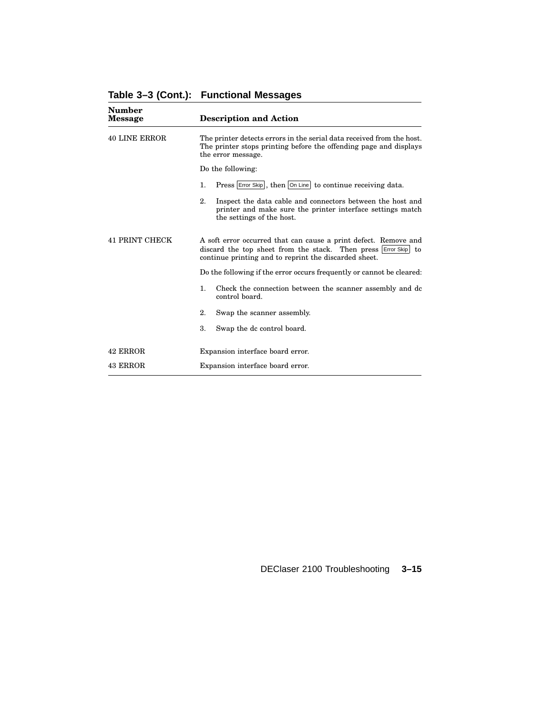| Number<br><b>Message</b> | <b>Description and Action</b>                                                                                                                                                                 |  |  |
|--------------------------|-----------------------------------------------------------------------------------------------------------------------------------------------------------------------------------------------|--|--|
| <b>40 LINE ERROR</b>     | The printer detects errors in the serial data received from the host.<br>The printer stops printing before the offending page and displays<br>the error message.                              |  |  |
|                          | Do the following:                                                                                                                                                                             |  |  |
|                          | Press Error Skip, then On Line to continue receiving data.<br>$\mathbf{1}$ .                                                                                                                  |  |  |
|                          | 2.<br>Inspect the data cable and connectors between the host and<br>printer and make sure the printer interface settings match<br>the settings of the host.                                   |  |  |
| <b>41 PRINT CHECK</b>    | A soft error occurred that can cause a print defect. Remove and<br>discard the top sheet from the stack. Then press Error Skip<br>to<br>continue printing and to reprint the discarded sheet. |  |  |
|                          | Do the following if the error occurs frequently or cannot be cleared:                                                                                                                         |  |  |
|                          | $\mathbf{1}$ .<br>Check the connection between the scanner assembly and dc<br>control board.                                                                                                  |  |  |
|                          | 2.<br>Swap the scanner assembly.                                                                                                                                                              |  |  |
|                          | 3.<br>Swap the dc control board.                                                                                                                                                              |  |  |
| 42 ERROR                 | Expansion interface board error.                                                                                                                                                              |  |  |
| 43 ERROR                 | Expansion interface board error.                                                                                                                                                              |  |  |

**Table 3–3 (Cont.): Functional Messages**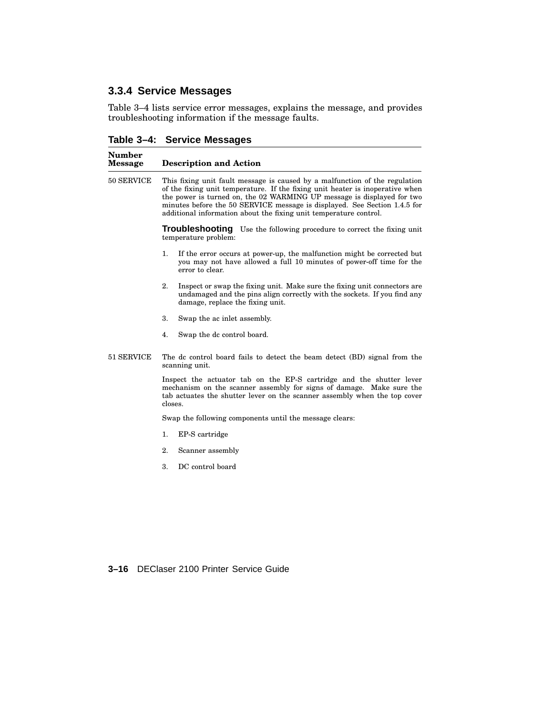## **3.3.4 Service Messages**

Table 3–4 lists service error messages, explains the message, and provides troubleshooting information if the message faults.

**Table 3–4: Service Messages**

| Number<br><b>Message</b> | <b>Description and Action</b>                                                                                                                                                                                                                                                                                                                                                            |  |  |
|--------------------------|------------------------------------------------------------------------------------------------------------------------------------------------------------------------------------------------------------------------------------------------------------------------------------------------------------------------------------------------------------------------------------------|--|--|
| 50 SERVICE               | This fixing unit fault message is caused by a malfunction of the regulation<br>of the fixing unit temperature. If the fixing unit heater is inoperative when<br>the power is turned on, the 02 WARMING UP message is displayed for two<br>minutes before the 50 SERVICE message is displayed. See Section 1.4.5 for<br>additional information about the fixing unit temperature control. |  |  |
|                          | <b>Troubleshooting</b> Use the following procedure to correct the fixing unit<br>temperature problem:                                                                                                                                                                                                                                                                                    |  |  |
|                          | $\mathbf{1}$ .<br>If the error occurs at power-up, the malfunction might be corrected but<br>you may not have allowed a full 10 minutes of power-off time for the<br>error to clear.                                                                                                                                                                                                     |  |  |
|                          | 2.<br>Inspect or swap the fixing unit. Make sure the fixing unit connectors are<br>undamaged and the pins align correctly with the sockets. If you find any<br>damage, replace the fixing unit.                                                                                                                                                                                          |  |  |
|                          | 3.<br>Swap the ac inlet assembly.                                                                                                                                                                                                                                                                                                                                                        |  |  |
|                          | 4.<br>Swap the dc control board.                                                                                                                                                                                                                                                                                                                                                         |  |  |
| 51 SERVICE               | The dc control board fails to detect the beam detect (BD) signal from the<br>scanning unit.                                                                                                                                                                                                                                                                                              |  |  |
|                          | Inspect the actuator tab on the EP-S cartridge and the shutter lever<br>mechanism on the scanner assembly for signs of damage. Make sure the<br>tab actuates the shutter lever on the scanner assembly when the top cover<br>closes.                                                                                                                                                     |  |  |
|                          | Swap the following components until the message clears:                                                                                                                                                                                                                                                                                                                                  |  |  |
|                          | 1.<br>EP-S cartridge                                                                                                                                                                                                                                                                                                                                                                     |  |  |
|                          | 2.<br>Scanner assembly                                                                                                                                                                                                                                                                                                                                                                   |  |  |
|                          | 3.<br>DC control board                                                                                                                                                                                                                                                                                                                                                                   |  |  |

**3–16** DEClaser 2100 Printer Service Guide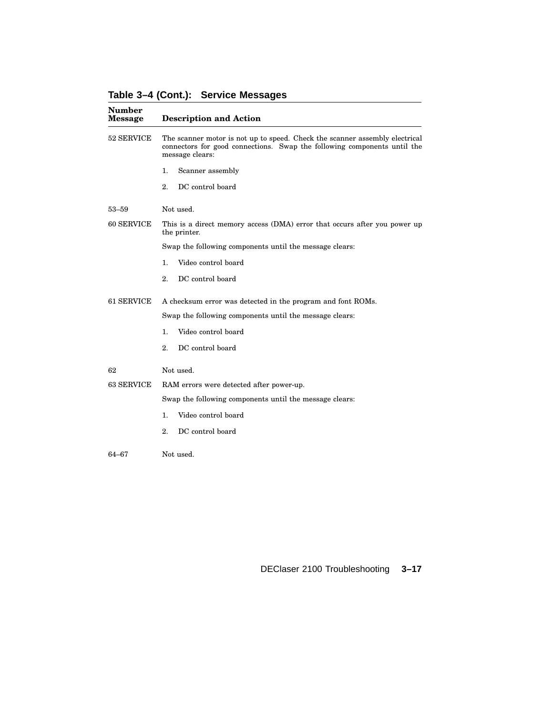**Table 3–4 (Cont.): Service Messages**

| Number<br><b>Message</b> | <b>Description and Action</b>                                                                                                                                              |
|--------------------------|----------------------------------------------------------------------------------------------------------------------------------------------------------------------------|
| 52 SERVICE               | The scanner motor is not up to speed. Check the scanner assembly electrical<br>connectors for good connections. Swap the following components until the<br>message clears: |
|                          | Scanner assembly<br>1.                                                                                                                                                     |
|                          | 2.<br>DC control board                                                                                                                                                     |
| $53 - 59$                | Not used.                                                                                                                                                                  |
| 60 SERVICE               | This is a direct memory access (DMA) error that occurs after you power up<br>the printer.                                                                                  |
|                          | Swap the following components until the message clears:                                                                                                                    |
|                          | Video control board<br>1.                                                                                                                                                  |
|                          | DC control board<br>2.                                                                                                                                                     |
| 61 SERVICE               | A checksum error was detected in the program and font ROMs.                                                                                                                |
|                          | Swap the following components until the message clears:                                                                                                                    |
|                          | Video control board<br>1.                                                                                                                                                  |
|                          | 2.<br>DC control board                                                                                                                                                     |
| 62                       | Not used.                                                                                                                                                                  |
| 63 SERVICE               | RAM errors were detected after power-up.                                                                                                                                   |
|                          | Swap the following components until the message clears:                                                                                                                    |
|                          | Video control board<br>1.                                                                                                                                                  |
|                          | DC control board<br>2.                                                                                                                                                     |
| 64–67                    | Not used.                                                                                                                                                                  |
|                          |                                                                                                                                                                            |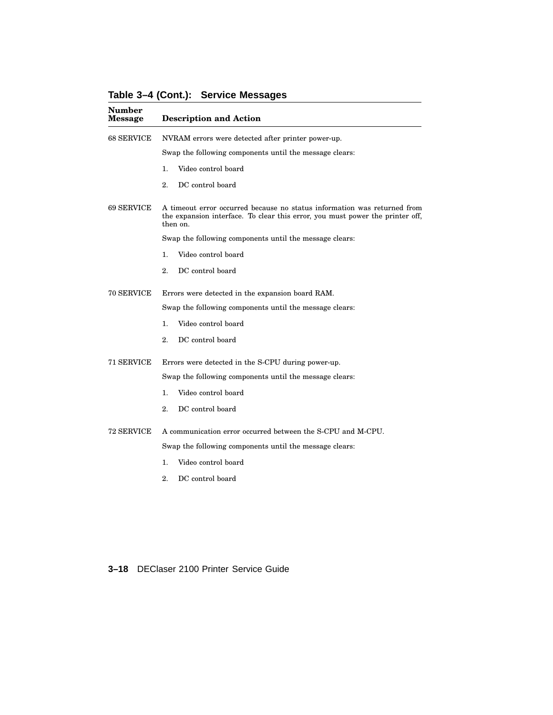#### **Table 3–4 (Cont.): Service Messages**

| Number<br>Message | <b>Description and Action</b><br>NVRAM errors were detected after printer power-up.<br>Swap the following components until the message clears:                        |  |  |
|-------------------|-----------------------------------------------------------------------------------------------------------------------------------------------------------------------|--|--|
| 68 SERVICE        |                                                                                                                                                                       |  |  |
|                   |                                                                                                                                                                       |  |  |
|                   | Video control board<br>1.                                                                                                                                             |  |  |
|                   | 2.<br>DC control board                                                                                                                                                |  |  |
| 69 SERVICE        | A timeout error occurred because no status information was returned from<br>the expansion interface. To clear this error, you must power the printer off,<br>then on. |  |  |
|                   | Swap the following components until the message clears:                                                                                                               |  |  |
|                   | Video control board<br>1.                                                                                                                                             |  |  |
|                   | 2.<br>DC control board                                                                                                                                                |  |  |
| 70 SERVICE        | Errors were detected in the expansion board RAM.                                                                                                                      |  |  |
|                   | Swap the following components until the message clears:                                                                                                               |  |  |
|                   | Video control board<br>1.                                                                                                                                             |  |  |
|                   | DC control board<br>2.                                                                                                                                                |  |  |
| 71 SERVICE        | Errors were detected in the S-CPU during power-up.                                                                                                                    |  |  |
|                   | Swap the following components until the message clears:                                                                                                               |  |  |
|                   | Video control board<br>1.                                                                                                                                             |  |  |
|                   | DC control board<br>2.                                                                                                                                                |  |  |
| 72 SERVICE        | A communication error occurred between the S-CPU and M-CPU.                                                                                                           |  |  |
|                   | Swap the following components until the message clears:                                                                                                               |  |  |
|                   | Video control board<br>1.                                                                                                                                             |  |  |
|                   | DC control board<br>2.                                                                                                                                                |  |  |
|                   |                                                                                                                                                                       |  |  |

#### **3–18** DEClaser 2100 Printer Service Guide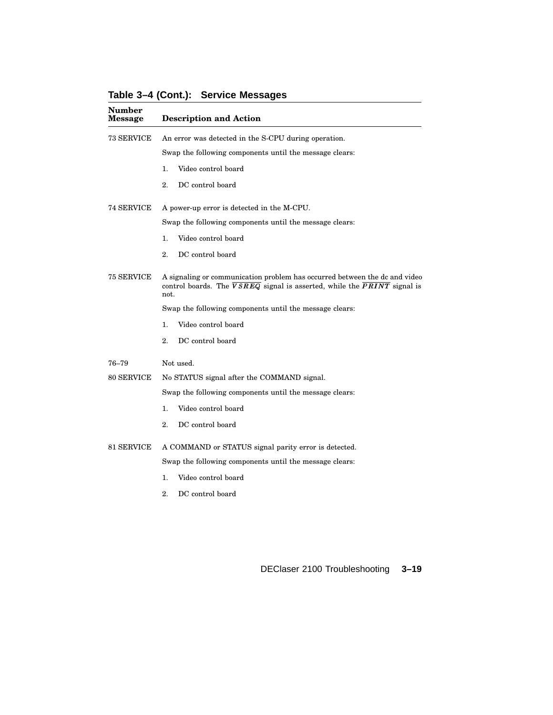|  |  |  | Table 3-4 (Cont.): Service Messages |
|--|--|--|-------------------------------------|
|--|--|--|-------------------------------------|

| <b>Number</b><br>Message | <b>Description and Action</b>                                                                                                                                                           |  |  |
|--------------------------|-----------------------------------------------------------------------------------------------------------------------------------------------------------------------------------------|--|--|
| 73 SERVICE               | An error was detected in the S-CPU during operation.                                                                                                                                    |  |  |
|                          | Swap the following components until the message clears:                                                                                                                                 |  |  |
|                          | Video control board<br>1.                                                                                                                                                               |  |  |
|                          | 2.<br>DC control board                                                                                                                                                                  |  |  |
| 74 SERVICE               | A power-up error is detected in the M-CPU.                                                                                                                                              |  |  |
|                          | Swap the following components until the message clears:                                                                                                                                 |  |  |
|                          | 1.<br>Video control board                                                                                                                                                               |  |  |
|                          | 2.<br>DC control board                                                                                                                                                                  |  |  |
| 75 SERVICE               | A signaling or communication problem has occurred between the dc and video<br>control boards. The $\overline{VSREG}$ signal is asserted, while the $\overline{PRINT}$ signal is<br>not. |  |  |
|                          | Swap the following components until the message clears:                                                                                                                                 |  |  |
|                          | Video control board<br>1.                                                                                                                                                               |  |  |
|                          | 2.<br>DC control board                                                                                                                                                                  |  |  |
| 76–79                    | Not used.                                                                                                                                                                               |  |  |
| 80 SERVICE               | No STATUS signal after the COMMAND signal.                                                                                                                                              |  |  |
|                          | Swap the following components until the message clears:                                                                                                                                 |  |  |
|                          | Video control board<br>1.                                                                                                                                                               |  |  |
|                          | 2.<br>DC control board                                                                                                                                                                  |  |  |
| 81 SERVICE               | A COMMAND or STATUS signal parity error is detected.                                                                                                                                    |  |  |
|                          | Swap the following components until the message clears:                                                                                                                                 |  |  |
|                          | Video control board<br>1.                                                                                                                                                               |  |  |
|                          | 2.<br>DC control board                                                                                                                                                                  |  |  |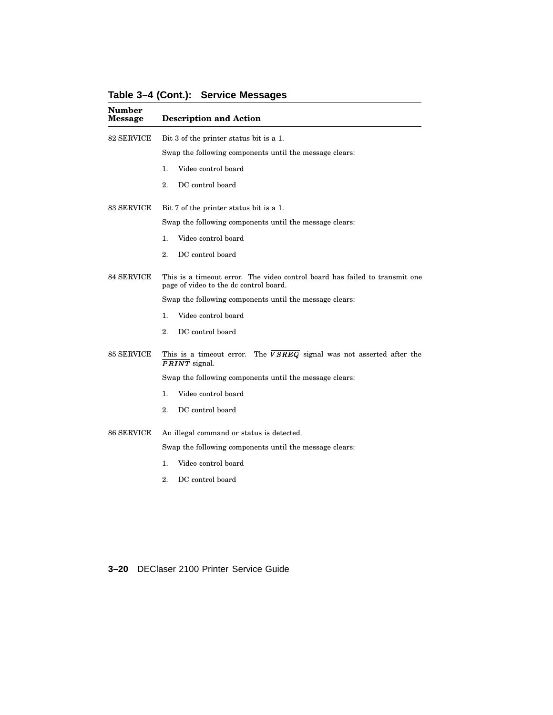**Number Message Description and Action** 82 SERVICE Bit 3 of the printer status bit is a 1. Swap the following components until the message clears: 1. Video control board 2. DC control board 83 SERVICE Bit 7 of the printer status bit is a 1. Swap the following components until the message clears: 1. Video control board 2. DC control board 84 SERVICE This is a timeout error. The video control board has failed to transmit one page of video to the dc control board. Swap the following components until the message clears: 1. Video control board 2. DC control board  $85$  SERVICE This is a timeout error. The  $VSREG$  signal was not asserted after the  $PRINT$  signal. Swap the following components until the message clears: 1. Video control board 2. DC control board 86 SERVICE An illegal command or status is detected. Swap the following components until the message clears: 1. Video control board

**Table 3–4 (Cont.): Service Messages**

2. DC control board

**3–20** DEClaser 2100 Printer Service Guide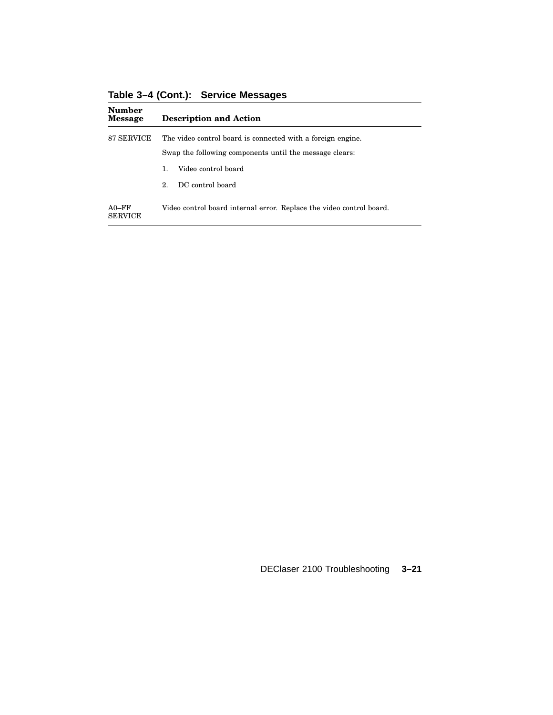**Table 3–4 (Cont.): Service Messages**

| <b>Number</b><br><b>Message</b> | <b>Description and Action</b>                                        |  |  |
|---------------------------------|----------------------------------------------------------------------|--|--|
| 87 SERVICE                      | The video control board is connected with a foreign engine.          |  |  |
|                                 | Swap the following components until the message clears:              |  |  |
|                                 | Video control board<br>1.                                            |  |  |
|                                 | DC control board<br>$2^{\circ}$                                      |  |  |
| $A0-FF$<br><b>SERVICE</b>       | Video control board internal error. Replace the video control board. |  |  |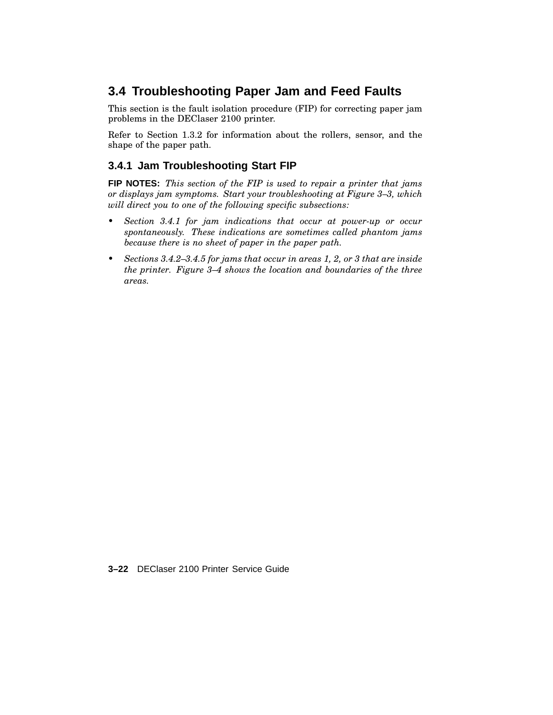## **3.4 Troubleshooting Paper Jam and Feed Faults**

This section is the fault isolation procedure (FIP) for correcting paper jam problems in the DEClaser 2100 printer.

Refer to Section 1.3.2 for information about the rollers, sensor, and the shape of the paper path.

### **3.4.1 Jam Troubleshooting Start FIP**

**FIP NOTES:** *This section of the FIP is used to repair a printer that jams or displays jam symptoms. Start your troubleshooting at Figure 3–3, which will direct you to one of the following specific subsections:*

- *• Section 3.4.1 for jam indications that occur at power-up or occur spontaneously. These indications are sometimes called phantom jams because there is no sheet of paper in the paper path.*
- *• Sections 3.4.2–3.4.5 for jams that occur in areas 1, 2, or 3 that are inside the printer. Figure 3–4 shows the location and boundaries of the three areas.*

**3–22** DEClaser 2100 Printer Service Guide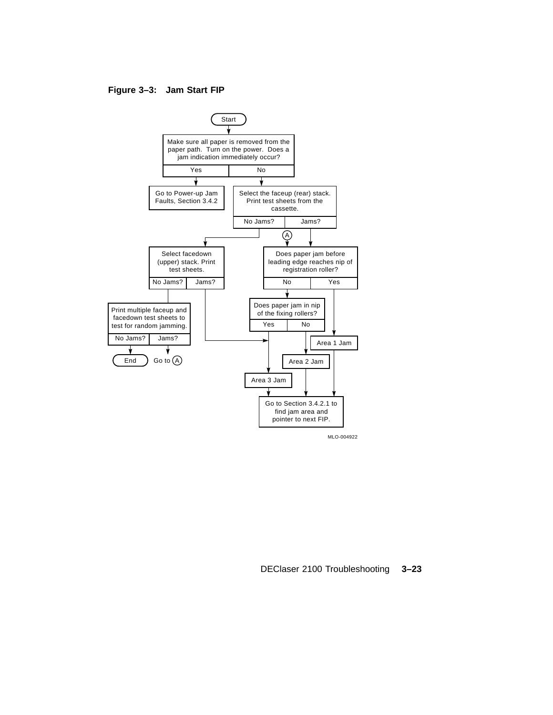#### **Figure 3–3: Jam Start FIP**

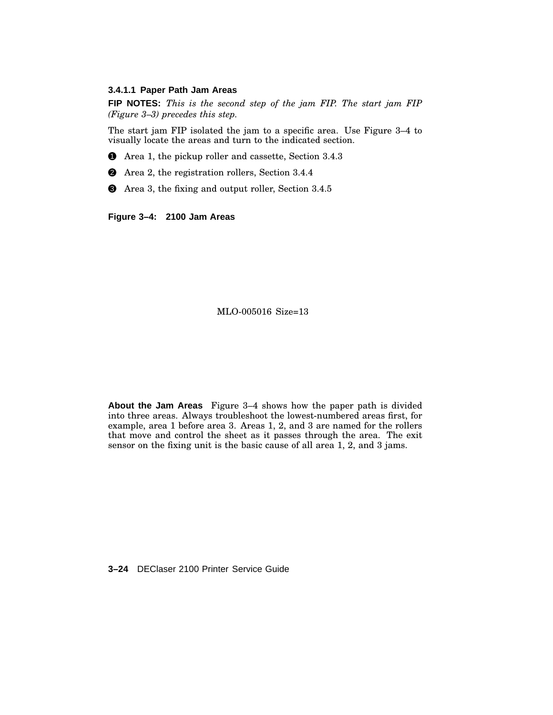#### **3.4.1.1 Paper Path Jam Areas**

**FIP NOTES:** *This is the second step of the jam FIP. The start jam FIP (Figure 3–3) precedes this step.*

The start jam FIP isolated the jam to a specific area. Use Figure 3–4 to visually locate the areas and turn to the indicated section.

**1** Area 1, the pickup roller and cassette, Section 3.4.3

2 Area 2, the registration rollers, Section 3.4.4

3 Area 3, the fixing and output roller, Section 3.4.5

**Figure 3–4: 2100 Jam Areas**

MLO-005016 Size=13

**About the Jam Areas** Figure 3–4 shows how the paper path is divided into three areas. Always troubleshoot the lowest-numbered areas first, for example, area 1 before area 3. Areas 1, 2, and 3 are named for the rollers that move and control the sheet as it passes through the area. The exit sensor on the fixing unit is the basic cause of all area 1, 2, and 3 jams.

**3–24** DEClaser 2100 Printer Service Guide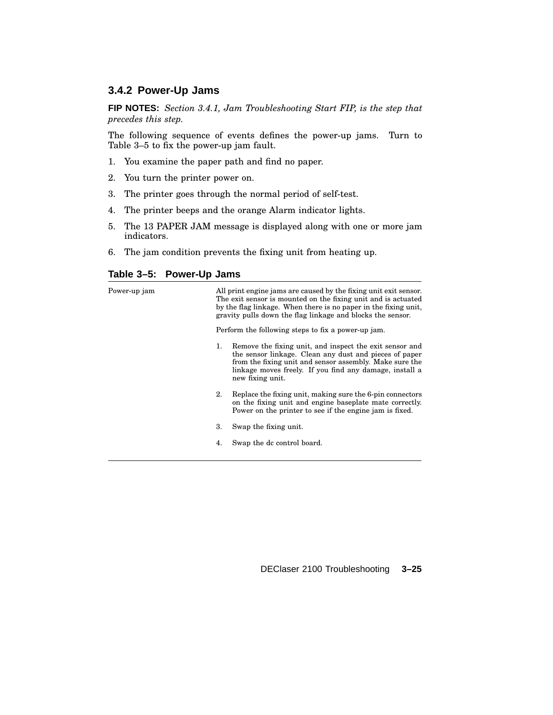#### **3.4.2 Power-Up Jams**

**FIP NOTES:** *Section 3.4.1, Jam Troubleshooting Start FIP, is the step that precedes this step.*

The following sequence of events defines the power-up jams. Turn to Table 3–5 to fix the power-up jam fault.

- 1. You examine the paper path and find no paper.
- 2. You turn the printer power on.
- 3. The printer goes through the normal period of self-test.
- 4. The printer beeps and the orange Alarm indicator lights.
- 5. The 13 PAPER JAM message is displayed along with one or more jam indicators.
- 6. The jam condition prevents the fixing unit from heating up.

#### **Table 3–5: Power-Up Jams**

| All print engine jams are caused by the fixing unit exit sensor.<br>The exit sensor is mounted on the fixing unit and is actuated<br>by the flag linkage. When there is no paper in the fixing unit,<br>gravity pulls down the flag linkage and blocks the sensor. |                                                                                                                                                                                                                                                             |  |
|--------------------------------------------------------------------------------------------------------------------------------------------------------------------------------------------------------------------------------------------------------------------|-------------------------------------------------------------------------------------------------------------------------------------------------------------------------------------------------------------------------------------------------------------|--|
|                                                                                                                                                                                                                                                                    | Perform the following steps to fix a power-up jam.                                                                                                                                                                                                          |  |
| 1.                                                                                                                                                                                                                                                                 | Remove the fixing unit, and inspect the exit sensor and<br>the sensor linkage. Clean any dust and pieces of paper<br>from the fixing unit and sensor assembly. Make sure the<br>linkage moves freely. If you find any damage, install a<br>new fixing unit. |  |
| 2.                                                                                                                                                                                                                                                                 | Replace the fixing unit, making sure the 6-pin connectors<br>on the fixing unit and engine baseplate mate correctly.<br>Power on the printer to see if the engine jam is fixed.                                                                             |  |
| 3.                                                                                                                                                                                                                                                                 | Swap the fixing unit.                                                                                                                                                                                                                                       |  |
| 4.                                                                                                                                                                                                                                                                 | Swap the dc control board.                                                                                                                                                                                                                                  |  |
|                                                                                                                                                                                                                                                                    |                                                                                                                                                                                                                                                             |  |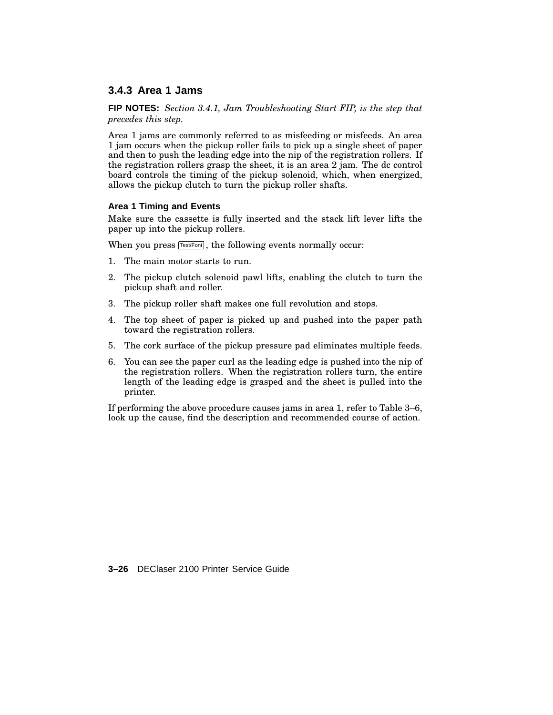#### **3.4.3 Area 1 Jams**

**FIP NOTES:** *Section 3.4.1, Jam Troubleshooting Start FIP, is the step that precedes this step.*

Area 1 jams are commonly referred to as misfeeding or misfeeds. An area 1 jam occurs when the pickup roller fails to pick up a single sheet of paper and then to push the leading edge into the nip of the registration rollers. If the registration rollers grasp the sheet, it is an area 2 jam. The dc control board controls the timing of the pickup solenoid, which, when energized, allows the pickup clutch to turn the pickup roller shafts.

#### **Area 1 Timing and Events**

Make sure the cassette is fully inserted and the stack lift lever lifts the paper up into the pickup rollers.

When you press **Test/Font**, the following events normally occur:

- 1. The main motor starts to run.
- 2. The pickup clutch solenoid pawl lifts, enabling the clutch to turn the pickup shaft and roller.
- 3. The pickup roller shaft makes one full revolution and stops.
- 4. The top sheet of paper is picked up and pushed into the paper path toward the registration rollers.
- 5. The cork surface of the pickup pressure pad eliminates multiple feeds.
- 6. You can see the paper curl as the leading edge is pushed into the nip of the registration rollers. When the registration rollers turn, the entire length of the leading edge is grasped and the sheet is pulled into the printer.

If performing the above procedure causes jams in area 1, refer to Table 3–6, look up the cause, find the description and recommended course of action.

**3–26** DEClaser 2100 Printer Service Guide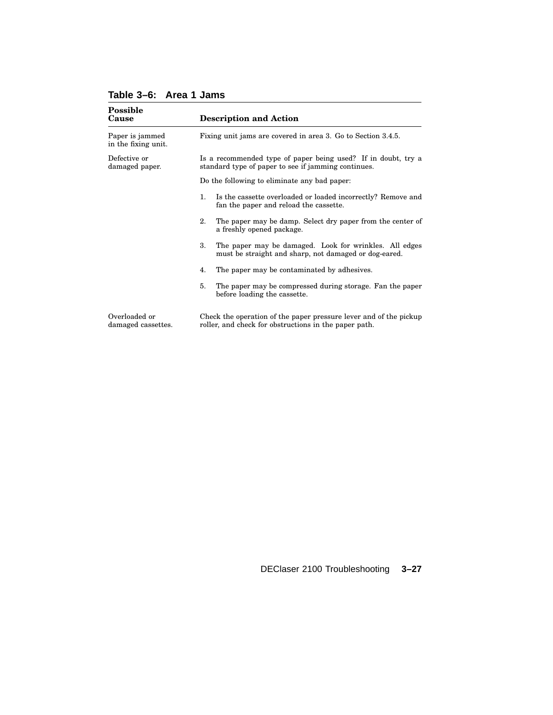| <b>Possible</b><br>Cause               | <b>Description and Action</b>                                                                                              |  |  |
|----------------------------------------|----------------------------------------------------------------------------------------------------------------------------|--|--|
| Paper is jammed<br>in the fixing unit. | Fixing unit jams are covered in area 3. Go to Section 3.4.5.                                                               |  |  |
| Defective or<br>damaged paper.         | Is a recommended type of paper being used? If in doubt, try a<br>standard type of paper to see if jamming continues.       |  |  |
|                                        | Do the following to eliminate any bad paper:                                                                               |  |  |
|                                        | Is the cassette overloaded or loaded incorrectly? Remove and<br>1.<br>fan the paper and reload the cassette.               |  |  |
|                                        | 2.<br>The paper may be damp. Select dry paper from the center of<br>a freshly opened package.                              |  |  |
|                                        | 3.<br>The paper may be damaged. Look for wrinkles. All edges<br>must be straight and sharp, not damaged or dog-eared.      |  |  |
|                                        | The paper may be contaminated by adhesives.<br>4.                                                                          |  |  |
|                                        | 5.<br>The paper may be compressed during storage. Fan the paper<br>before loading the cassette.                            |  |  |
| Overloaded or<br>damaged cassettes.    | Check the operation of the paper pressure lever and of the pickup<br>roller, and check for obstructions in the paper path. |  |  |

### **Table 3–6: Area 1 Jams**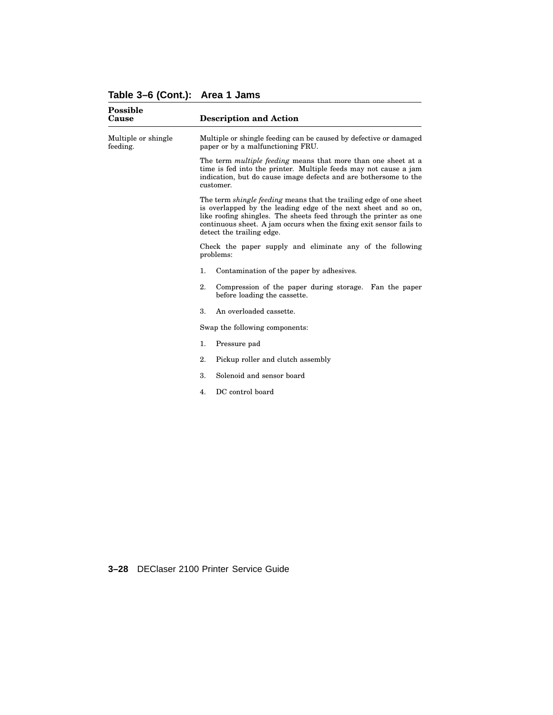## **Table 3–6 (Cont.): Area 1 Jams**

| <b>Possible</b><br>Cause        | <b>Description and Action</b>                                                                                                                                                                                                                                                                                        |  |  |
|---------------------------------|----------------------------------------------------------------------------------------------------------------------------------------------------------------------------------------------------------------------------------------------------------------------------------------------------------------------|--|--|
| Multiple or shingle<br>feeding. | Multiple or shingle feeding can be caused by defective or damaged<br>paper or by a malfunctioning FRU.                                                                                                                                                                                                               |  |  |
|                                 | The term <i>multiple feeding</i> means that more than one sheet at a<br>time is fed into the printer. Multiple feeds may not cause a jam<br>indication, but do cause image defects and are bothersome to the<br>customer.                                                                                            |  |  |
|                                 | The term <i>shingle feeding</i> means that the trailing edge of one sheet<br>is overlapped by the leading edge of the next sheet and so on,<br>like roofing shingles. The sheets feed through the printer as one<br>continuous sheet. A jam occurs when the fixing exit sensor fails to<br>detect the trailing edge. |  |  |
|                                 | Check the paper supply and eliminate any of the following<br>problems:                                                                                                                                                                                                                                               |  |  |
|                                 | 1.<br>Contamination of the paper by adhesives.                                                                                                                                                                                                                                                                       |  |  |
|                                 | 2.<br>Compression of the paper during storage. Fan the paper<br>before loading the cassette.                                                                                                                                                                                                                         |  |  |
|                                 | 3.<br>An overloaded cassette.                                                                                                                                                                                                                                                                                        |  |  |
|                                 | Swap the following components:                                                                                                                                                                                                                                                                                       |  |  |
|                                 | 1.<br>Pressure pad                                                                                                                                                                                                                                                                                                   |  |  |
|                                 | 2.<br>Pickup roller and clutch assembly                                                                                                                                                                                                                                                                              |  |  |
|                                 | 3.<br>Solenoid and sensor board                                                                                                                                                                                                                                                                                      |  |  |
|                                 | DC control board<br>4.                                                                                                                                                                                                                                                                                               |  |  |
|                                 |                                                                                                                                                                                                                                                                                                                      |  |  |
|                                 |                                                                                                                                                                                                                                                                                                                      |  |  |
|                                 |                                                                                                                                                                                                                                                                                                                      |  |  |
|                                 |                                                                                                                                                                                                                                                                                                                      |  |  |

**3–28** DEClaser 2100 Printer Service Guide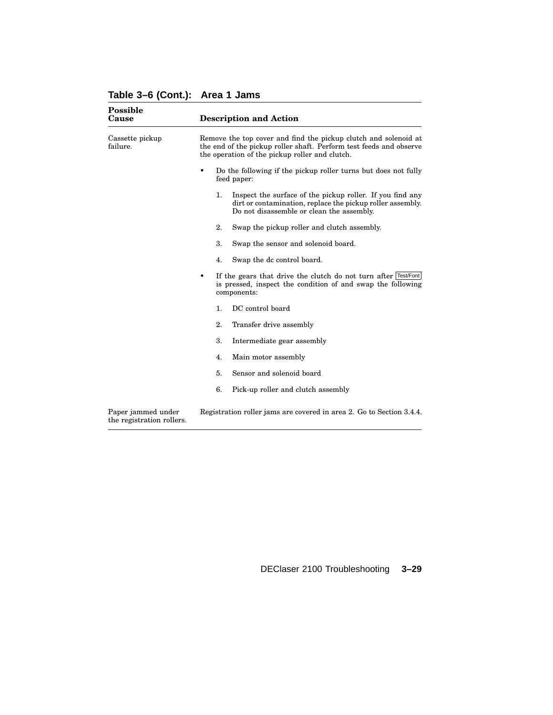|  |  | Table 3-6 (Cont.): Area 1 Jams |
|--|--|--------------------------------|
|--|--|--------------------------------|

| <b>Possible</b><br>Cause                        | <b>Description and Action</b>                                                                                                                                                           |                                                                                                                                                                      |  |
|-------------------------------------------------|-----------------------------------------------------------------------------------------------------------------------------------------------------------------------------------------|----------------------------------------------------------------------------------------------------------------------------------------------------------------------|--|
| Cassette pickup<br>failure.                     | Remove the top cover and find the pickup clutch and solenoid at<br>the end of the pickup roller shaft. Perform test feeds and observe<br>the operation of the pickup roller and clutch. |                                                                                                                                                                      |  |
|                                                 | Do the following if the pickup roller turns but does not fully<br>feed paper:                                                                                                           |                                                                                                                                                                      |  |
|                                                 | 1.                                                                                                                                                                                      | Inspect the surface of the pickup roller. If you find any<br>dirt or contamination, replace the pickup roller assembly.<br>Do not disassemble or clean the assembly. |  |
|                                                 | 2.                                                                                                                                                                                      | Swap the pickup roller and clutch assembly.                                                                                                                          |  |
|                                                 | 3.                                                                                                                                                                                      | Swap the sensor and solenoid board.                                                                                                                                  |  |
|                                                 | 4.                                                                                                                                                                                      | Swap the dc control board.                                                                                                                                           |  |
|                                                 | ٠<br>components:                                                                                                                                                                        | If the gears that drive the clutch do not turn after Test/Font<br>is pressed, inspect the condition of and swap the following                                        |  |
|                                                 | 1.                                                                                                                                                                                      | DC control board                                                                                                                                                     |  |
|                                                 | 2.                                                                                                                                                                                      | Transfer drive assembly                                                                                                                                              |  |
|                                                 | 3.                                                                                                                                                                                      | Intermediate gear assembly                                                                                                                                           |  |
|                                                 | 4.                                                                                                                                                                                      | Main motor assembly                                                                                                                                                  |  |
|                                                 | 5.                                                                                                                                                                                      | Sensor and solenoid board                                                                                                                                            |  |
|                                                 | 6.                                                                                                                                                                                      | Pick-up roller and clutch assembly                                                                                                                                   |  |
| Paper jammed under<br>the registration rollers. | Registration roller jams are covered in area 2. Go to Section 3.4.4.                                                                                                                    |                                                                                                                                                                      |  |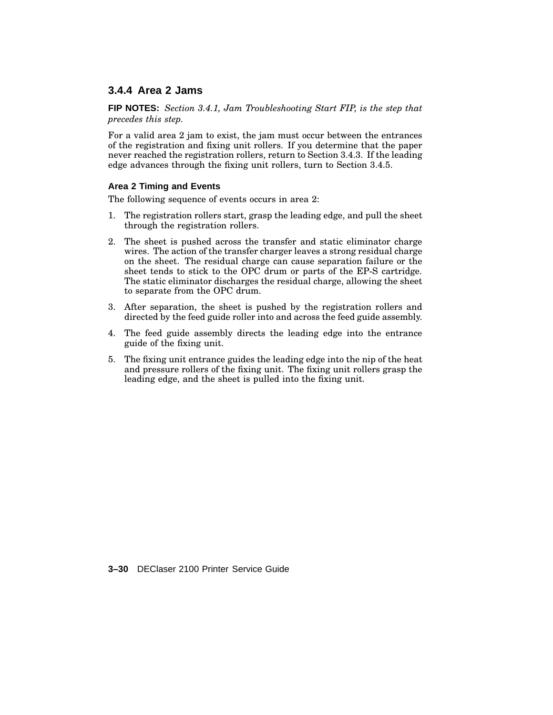#### **3.4.4 Area 2 Jams**

**FIP NOTES:** *Section 3.4.1, Jam Troubleshooting Start FIP, is the step that precedes this step.*

For a valid area 2 jam to exist, the jam must occur between the entrances of the registration and fixing unit rollers. If you determine that the paper never reached the registration rollers, return to Section 3.4.3. If the leading edge advances through the fixing unit rollers, turn to Section 3.4.5.

#### **Area 2 Timing and Events**

The following sequence of events occurs in area 2:

- 1. The registration rollers start, grasp the leading edge, and pull the sheet through the registration rollers.
- 2. The sheet is pushed across the transfer and static eliminator charge wires. The action of the transfer charger leaves a strong residual charge on the sheet. The residual charge can cause separation failure or the sheet tends to stick to the OPC drum or parts of the EP-S cartridge. The static eliminator discharges the residual charge, allowing the sheet to separate from the OPC drum.
- 3. After separation, the sheet is pushed by the registration rollers and directed by the feed guide roller into and across the feed guide assembly.
- 4. The feed guide assembly directs the leading edge into the entrance guide of the fixing unit.
- 5. The fixing unit entrance guides the leading edge into the nip of the heat and pressure rollers of the fixing unit. The fixing unit rollers grasp the leading edge, and the sheet is pulled into the fixing unit.

**3–30** DEClaser 2100 Printer Service Guide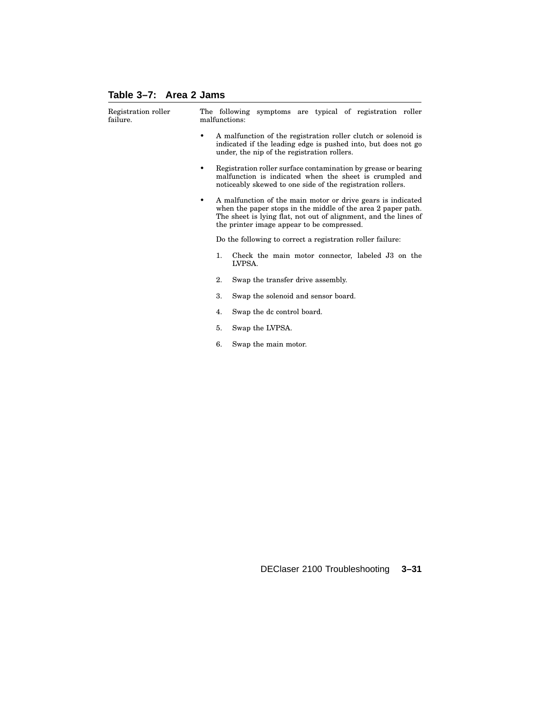### **Table 3–7: Area 2 Jams**

| Registration roller<br>failure. |   | malfunctions: | The following symptoms are typical of registration roller                                                                                                                                                                                    |
|---------------------------------|---|---------------|----------------------------------------------------------------------------------------------------------------------------------------------------------------------------------------------------------------------------------------------|
|                                 | ٠ |               | A malfunction of the registration roller clutch or solenoid is<br>indicated if the leading edge is pushed into, but does not go<br>under, the nip of the registration rollers.                                                               |
|                                 | ٠ |               | Registration roller surface contamination by grease or bearing<br>malfunction is indicated when the sheet is crumpled and<br>noticeably skewed to one side of the registration rollers.                                                      |
|                                 | ٠ |               | A malfunction of the main motor or drive gears is indicated<br>when the paper stops in the middle of the area 2 paper path.<br>The sheet is lying flat, not out of alignment, and the lines of<br>the printer image appear to be compressed. |
|                                 |   |               | Do the following to correct a registration roller failure:                                                                                                                                                                                   |
|                                 |   | 1.            | Check the main motor connector, labeled J3 on the<br>LVPSA.                                                                                                                                                                                  |
|                                 |   | 2.            | Swap the transfer drive assembly.                                                                                                                                                                                                            |
|                                 |   | 3.            | Swap the solenoid and sensor board.                                                                                                                                                                                                          |
|                                 |   | 4.            | Swap the dc control board.                                                                                                                                                                                                                   |
|                                 |   | 5.            | Swap the LVPSA.                                                                                                                                                                                                                              |
|                                 |   | 6.            | Swap the main motor.                                                                                                                                                                                                                         |
|                                 |   |               |                                                                                                                                                                                                                                              |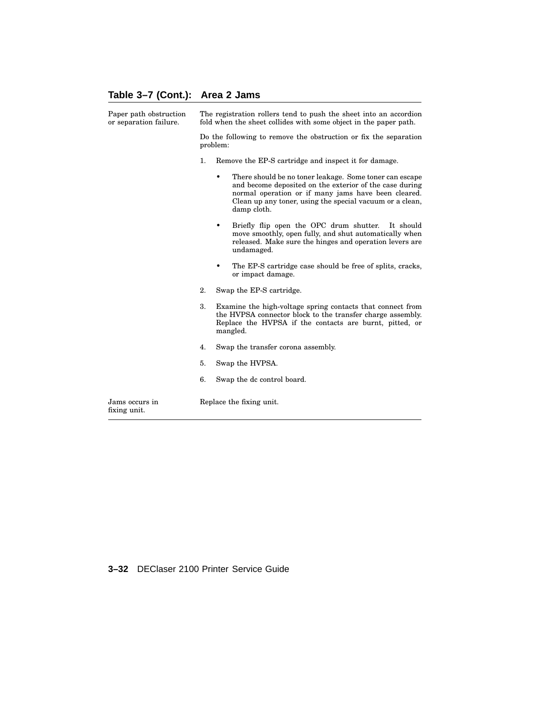# **Table 3–7 (Cont.): Area 2 Jams**

| Paper path obstruction<br>or separation failure. | The registration rollers tend to push the sheet into an accordion<br>fold when the sheet collides with some object in the paper path. |                                                                                                                                                                                                                                                           |
|--------------------------------------------------|---------------------------------------------------------------------------------------------------------------------------------------|-----------------------------------------------------------------------------------------------------------------------------------------------------------------------------------------------------------------------------------------------------------|
|                                                  | Do the following to remove the obstruction or fix the separation<br>problem:                                                          |                                                                                                                                                                                                                                                           |
|                                                  | 1.                                                                                                                                    | Remove the EP-S cartridge and inspect it for damage.                                                                                                                                                                                                      |
|                                                  |                                                                                                                                       | There should be no toner leakage. Some toner can escape<br>٠<br>and become deposited on the exterior of the case during<br>normal operation or if many jams have been cleared.<br>Clean up any toner, using the special vacuum or a clean,<br>damp cloth. |
|                                                  |                                                                                                                                       | Briefly flip open the OPC drum shutter.<br>$\bullet$<br>It should<br>move smoothly, open fully, and shut automatically when<br>released. Make sure the hinges and operation levers are<br>undamaged.                                                      |
|                                                  |                                                                                                                                       | The EP-S cartridge case should be free of splits, cracks,<br>or impact damage.                                                                                                                                                                            |
|                                                  | 2.                                                                                                                                    | Swap the EP-S cartridge.                                                                                                                                                                                                                                  |
|                                                  | 3.                                                                                                                                    | Examine the high-voltage spring contacts that connect from<br>the HVPSA connector block to the transfer charge assembly.<br>Replace the HVPSA if the contacts are burnt, pitted, or<br>mangled.                                                           |
|                                                  | 4.                                                                                                                                    | Swap the transfer corona assembly.                                                                                                                                                                                                                        |
|                                                  | 5.                                                                                                                                    | Swap the HVPSA.                                                                                                                                                                                                                                           |
|                                                  | 6.                                                                                                                                    | Swap the dc control board.                                                                                                                                                                                                                                |
| Jams occurs in<br>fixing unit.                   |                                                                                                                                       | Replace the fixing unit.                                                                                                                                                                                                                                  |

#### **3–32** DEClaser 2100 Printer Service Guide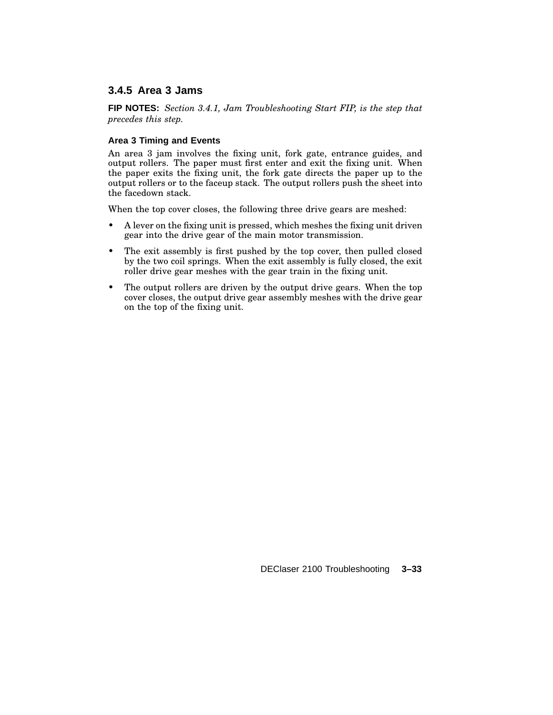### **3.4.5 Area 3 Jams**

**FIP NOTES:** *Section 3.4.1, Jam Troubleshooting Start FIP, is the step that precedes this step.*

#### **Area 3 Timing and Events**

An area 3 jam involves the fixing unit, fork gate, entrance guides, and output rollers. The paper must first enter and exit the fixing unit. When the paper exits the fixing unit, the fork gate directs the paper up to the output rollers or to the faceup stack. The output rollers push the sheet into the facedown stack.

When the top cover closes, the following three drive gears are meshed:

- A lever on the fixing unit is pressed, which meshes the fixing unit driven gear into the drive gear of the main motor transmission.
- The exit assembly is first pushed by the top cover, then pulled closed by the two coil springs. When the exit assembly is fully closed, the exit roller drive gear meshes with the gear train in the fixing unit.
- The output rollers are driven by the output drive gears. When the top cover closes, the output drive gear assembly meshes with the drive gear on the top of the fixing unit.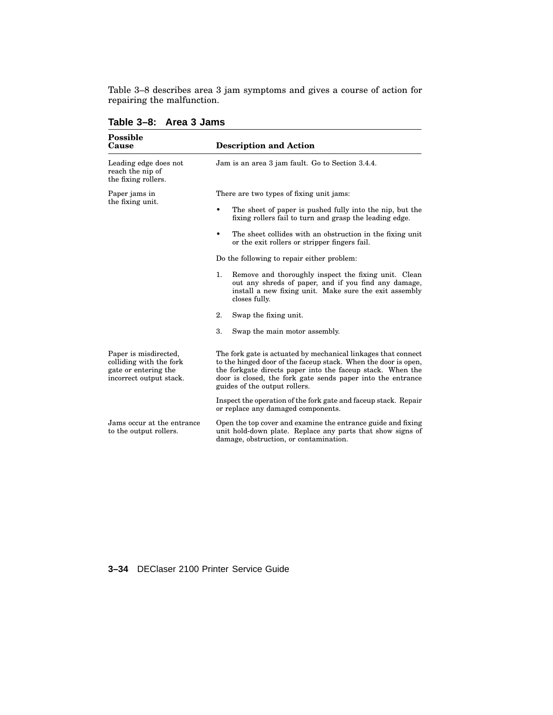Table 3–8 describes area 3 jam symptoms and gives a course of action for repairing the malfunction.

| <b>Possible</b><br>Cause                                                                            | <b>Description and Action</b>                                                                                                                                                                                                                                                                 |
|-----------------------------------------------------------------------------------------------------|-----------------------------------------------------------------------------------------------------------------------------------------------------------------------------------------------------------------------------------------------------------------------------------------------|
| Leading edge does not<br>reach the nip of<br>the fixing rollers.                                    | Jam is an area 3 jam fault. Go to Section 3.4.4.                                                                                                                                                                                                                                              |
| Paper jams in                                                                                       | There are two types of fixing unit jams:                                                                                                                                                                                                                                                      |
| the fixing unit.                                                                                    | The sheet of paper is pushed fully into the nip, but the<br>fixing rollers fail to turn and grasp the leading edge.                                                                                                                                                                           |
|                                                                                                     | The sheet collides with an obstruction in the fixing unit<br>or the exit rollers or stripper fingers fail.                                                                                                                                                                                    |
|                                                                                                     | Do the following to repair either problem:                                                                                                                                                                                                                                                    |
|                                                                                                     | 1.<br>Remove and thoroughly inspect the fixing unit. Clean<br>out any shreds of paper, and if you find any damage,<br>install a new fixing unit. Make sure the exit assembly<br>closes fully.                                                                                                 |
|                                                                                                     | 2.<br>Swap the fixing unit.                                                                                                                                                                                                                                                                   |
|                                                                                                     | 3.<br>Swap the main motor assembly.                                                                                                                                                                                                                                                           |
| Paper is misdirected,<br>colliding with the fork<br>gate or entering the<br>incorrect output stack. | The fork gate is actuated by mechanical linkages that connect<br>to the hinged door of the faceup stack. When the door is open,<br>the forkgate directs paper into the faceup stack. When the<br>door is closed, the fork gate sends paper into the entrance<br>guides of the output rollers. |
|                                                                                                     | Inspect the operation of the fork gate and faceup stack. Repair<br>or replace any damaged components.                                                                                                                                                                                         |
| Jams occur at the entrance<br>to the output rollers.                                                | Open the top cover and examine the entrance guide and fixing<br>unit hold-down plate. Replace any parts that show signs of<br>damage, obstruction, or contamination.                                                                                                                          |

**Table 3–8: Area 3 Jams**

**3–34** DEClaser 2100 Printer Service Guide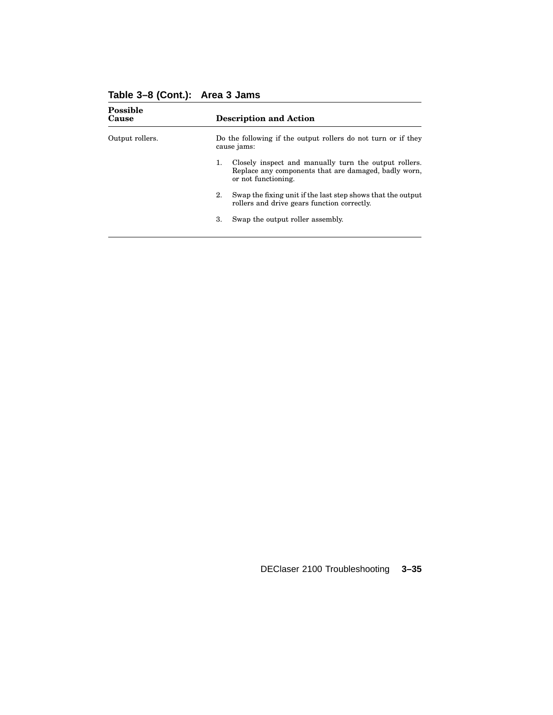| <b>Description and Action</b>                                                                                                              |
|--------------------------------------------------------------------------------------------------------------------------------------------|
| Do the following if the output rollers do not turn or if they<br>cause jams:                                                               |
| Closely inspect and manually turn the output rollers.<br>1.<br>Replace any components that are damaged, badly worn,<br>or not functioning. |
| Swap the fixing unit if the last step shows that the output<br>2.<br>rollers and drive gears function correctly.                           |
| 3.<br>Swap the output roller assembly.                                                                                                     |
|                                                                                                                                            |

## **Table 3–8 (Cont.): Area 3 Jams**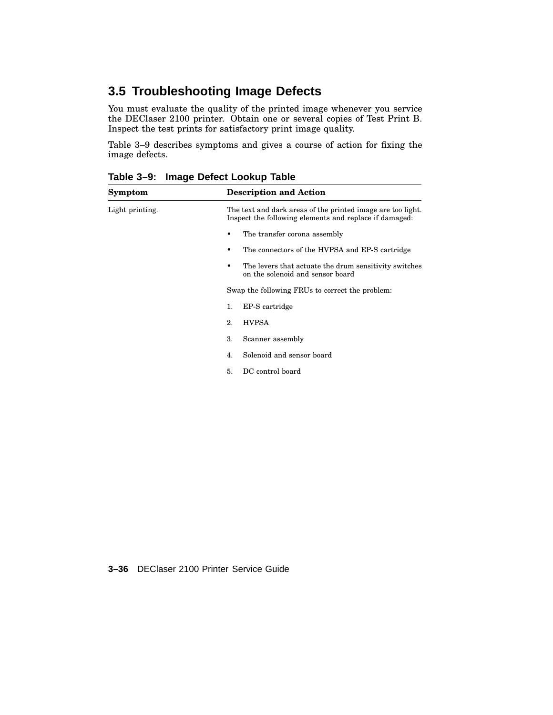# **3.5 Troubleshooting Image Defects**

You must evaluate the quality of the printed image whenever you service the DEClaser 2100 printer. Obtain one or several copies of Test Print B. Inspect the test prints for satisfactory print image quality.

Table 3–9 describes symptoms and gives a course of action for fixing the image defects.

| Symptom         | <b>Description and Action</b>                                                                                         |
|-----------------|-----------------------------------------------------------------------------------------------------------------------|
| Light printing. | The text and dark areas of the printed image are too light.<br>Inspect the following elements and replace if damaged: |
|                 | The transfer corona assembly                                                                                          |
|                 | The connectors of the HVPSA and EP-S cartridge                                                                        |
|                 | The levers that actuate the drum sensitivity switches<br>on the solenoid and sensor board                             |
|                 | Swap the following FRUs to correct the problem:                                                                       |
|                 | EP-S cartridge<br>1.                                                                                                  |
|                 | <b>HVPSA</b><br>2.                                                                                                    |
|                 | 3.<br>Scanner assembly                                                                                                |
|                 | Solenoid and sensor board<br>4.                                                                                       |
|                 | DC control board<br>5.                                                                                                |
|                 |                                                                                                                       |

**Table 3–9: Image Defect Lookup Table**

**3–36** DEClaser 2100 Printer Service Guide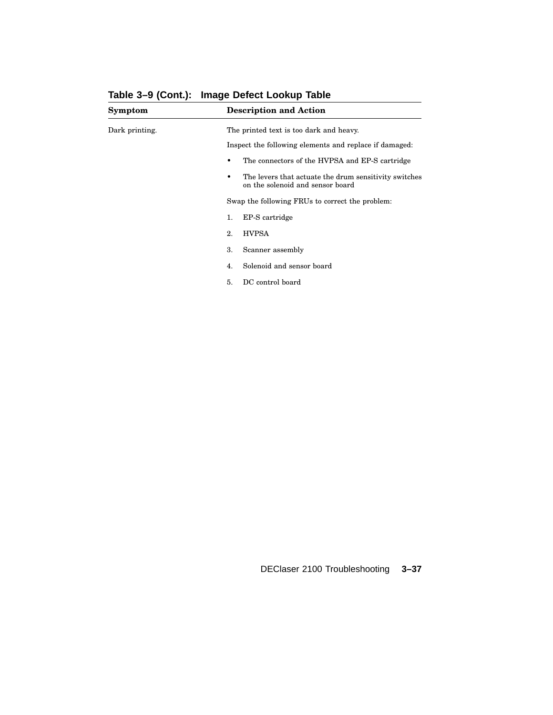| Symptom        | <b>Description and Action</b>                                                             |
|----------------|-------------------------------------------------------------------------------------------|
| Dark printing. | The printed text is too dark and heavy.                                                   |
|                | Inspect the following elements and replace if damaged:                                    |
|                | The connectors of the HVPSA and EP-S cartridge<br>٠                                       |
|                | The levers that actuate the drum sensitivity switches<br>on the solenoid and sensor board |
|                | Swap the following FRUs to correct the problem:                                           |
|                | EP-S cartridge<br>1.                                                                      |
|                | <b>HVPSA</b><br>2.                                                                        |
|                | Scanner assembly<br>3.                                                                    |
|                | Solenoid and sensor board<br>4.                                                           |
|                | DC control board<br>5.                                                                    |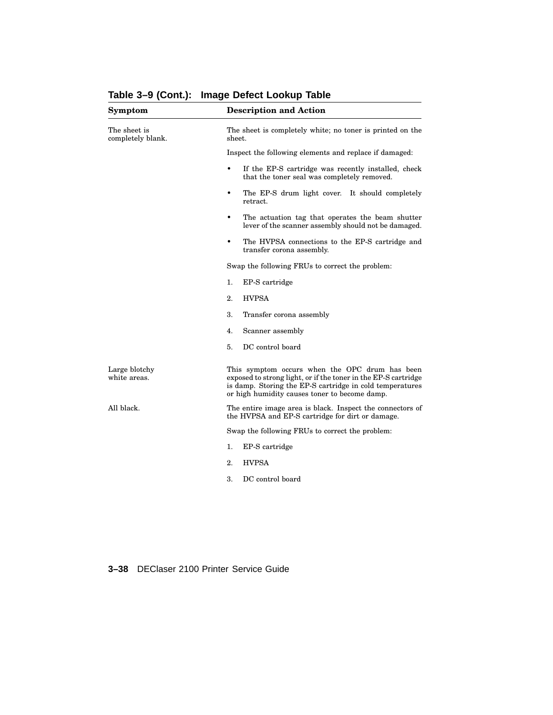| Symptom                           | <b>Description and Action</b>                                                                                                                                                                                                 |  |
|-----------------------------------|-------------------------------------------------------------------------------------------------------------------------------------------------------------------------------------------------------------------------------|--|
| The sheet is<br>completely blank. | The sheet is completely white; no toner is printed on the<br>sheet.                                                                                                                                                           |  |
|                                   | Inspect the following elements and replace if damaged:                                                                                                                                                                        |  |
|                                   | If the EP-S cartridge was recently installed, check<br>$\bullet$<br>that the toner seal was completely removed.                                                                                                               |  |
|                                   | The EP-S drum light cover. It should completely<br>$\bullet$<br>retract.                                                                                                                                                      |  |
|                                   | The actuation tag that operates the beam shutter<br>$\bullet$<br>lever of the scanner assembly should not be damaged.                                                                                                         |  |
|                                   | The HVPSA connections to the EP-S cartridge and<br>$\bullet$<br>transfer corona assembly.                                                                                                                                     |  |
|                                   | Swap the following FRUs to correct the problem:                                                                                                                                                                               |  |
|                                   | 1.<br>EP-S cartridge                                                                                                                                                                                                          |  |
|                                   | <b>HVPSA</b><br>2.                                                                                                                                                                                                            |  |
|                                   | 3.<br>Transfer corona assembly                                                                                                                                                                                                |  |
|                                   | 4.<br>Scanner assembly                                                                                                                                                                                                        |  |
|                                   | DC control board<br>5.                                                                                                                                                                                                        |  |
| Large blotchy<br>white areas.     | This symptom occurs when the OPC drum has been<br>exposed to strong light, or if the toner in the EP-S cartridge<br>is damp. Storing the EP-S cartridge in cold temperatures<br>or high humidity causes toner to become damp. |  |
| All black.                        | The entire image area is black. Inspect the connectors of<br>the HVPSA and EP-S cartridge for dirt or damage.                                                                                                                 |  |
|                                   | Swap the following FRUs to correct the problem:                                                                                                                                                                               |  |
|                                   | 1.<br>EP-S cartridge                                                                                                                                                                                                          |  |
|                                   | 2.<br><b>HVPSA</b>                                                                                                                                                                                                            |  |
|                                   | DC control board<br>3.                                                                                                                                                                                                        |  |
|                                   |                                                                                                                                                                                                                               |  |

**Table 3–9 (Cont.): Image Defect Lookup Table**

**3–38** DEClaser 2100 Printer Service Guide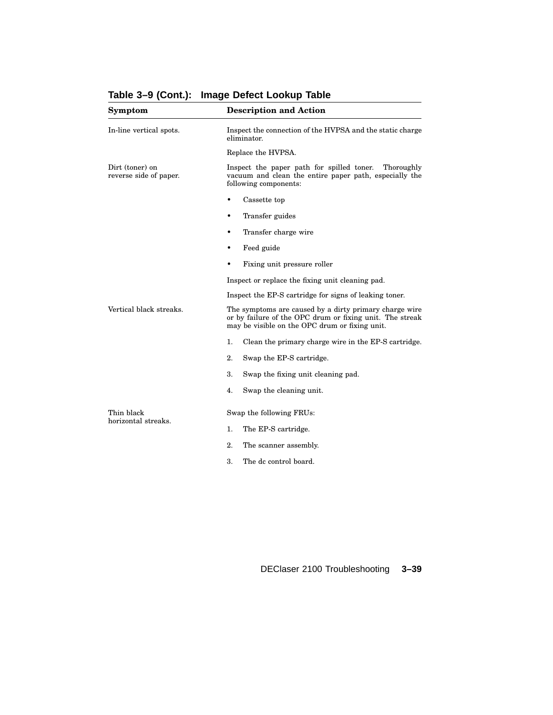| <b>Symptom</b>                            | <b>Description and Action</b>                                                                                                                                        |
|-------------------------------------------|----------------------------------------------------------------------------------------------------------------------------------------------------------------------|
| In-line vertical spots.                   | Inspect the connection of the HVPSA and the static charge<br>eliminator.                                                                                             |
|                                           | Replace the HVPSA.                                                                                                                                                   |
| Dirt (toner) on<br>reverse side of paper. | Inspect the paper path for spilled toner.<br>Thoroughly<br>vacuum and clean the entire paper path, especially the<br>following components:                           |
|                                           | Cassette top<br>$\bullet$                                                                                                                                            |
|                                           | Transfer guides<br>$\bullet$                                                                                                                                         |
|                                           | Transfer charge wire<br>$\bullet$                                                                                                                                    |
|                                           | Feed guide                                                                                                                                                           |
|                                           | Fixing unit pressure roller<br>٠                                                                                                                                     |
|                                           | Inspect or replace the fixing unit cleaning pad.                                                                                                                     |
|                                           | Inspect the EP-S cartridge for signs of leaking toner.                                                                                                               |
| Vertical black streaks.                   | The symptoms are caused by a dirty primary charge wire<br>or by failure of the OPC drum or fixing unit. The streak<br>may be visible on the OPC drum or fixing unit. |
|                                           | 1.<br>Clean the primary charge wire in the EP-S cartridge.                                                                                                           |
|                                           | 2.<br>Swap the EP-S cartridge.                                                                                                                                       |
|                                           | 3.<br>Swap the fixing unit cleaning pad.                                                                                                                             |
|                                           | Swap the cleaning unit.<br>4.                                                                                                                                        |
| Thin black                                | Swap the following FRUs:                                                                                                                                             |
| horizontal streaks.                       | 1.<br>The EP-S cartridge.                                                                                                                                            |
|                                           | 2.<br>The scanner assembly.                                                                                                                                          |
|                                           | 3.<br>The dc control board.                                                                                                                                          |

## **Table 3–9 (Cont.): Image Defect Lookup Table**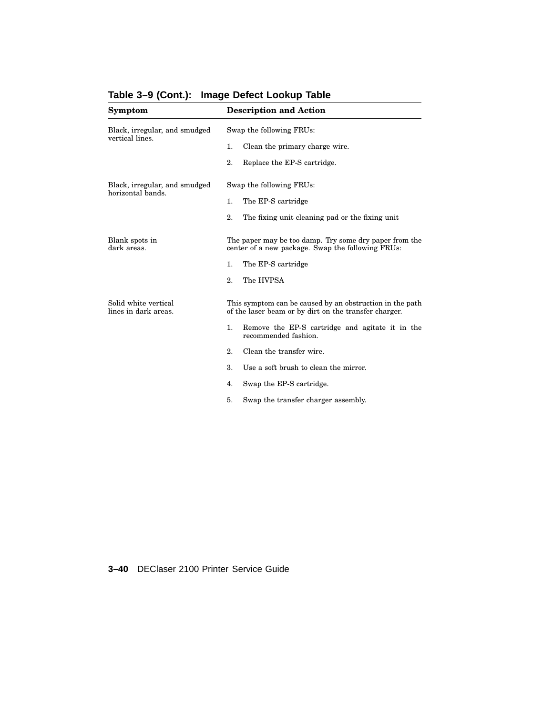| Symptom                                            | <b>Description and Action</b>                                                                                     |
|----------------------------------------------------|-------------------------------------------------------------------------------------------------------------------|
| Black, irregular, and smudged<br>vertical lines.   | Swap the following FRUs:                                                                                          |
|                                                    | Clean the primary charge wire.<br>1.                                                                              |
|                                                    | 2.<br>Replace the EP-S cartridge.                                                                                 |
| Black, irregular, and smudged<br>horizontal bands. | Swap the following FRUs:                                                                                          |
|                                                    | The EP-S cartridge<br>1.                                                                                          |
|                                                    | 2.<br>The fixing unit cleaning pad or the fixing unit                                                             |
| Blank spots in<br>dark areas.                      | The paper may be too damp. Try some dry paper from the<br>center of a new package. Swap the following FRUs:       |
|                                                    | 1.<br>The EP-S cartridge                                                                                          |
|                                                    | 2.<br>The HVPSA                                                                                                   |
| Solid white vertical<br>lines in dark areas.       | This symptom can be caused by an obstruction in the path<br>of the laser beam or by dirt on the transfer charger. |
|                                                    | 1.<br>Remove the EP-S cartridge and agitate it in the<br>recommended fashion.                                     |
|                                                    | Clean the transfer wire.<br>2.                                                                                    |
|                                                    | 3.<br>Use a soft brush to clean the mirror.                                                                       |
|                                                    | Swap the EP-S cartridge.<br>4.                                                                                    |
|                                                    | 5.<br>Swap the transfer charger assembly.                                                                         |

# **Table 3–9 (Cont.): Image Defect Lookup Table**

**3–40** DEClaser 2100 Printer Service Guide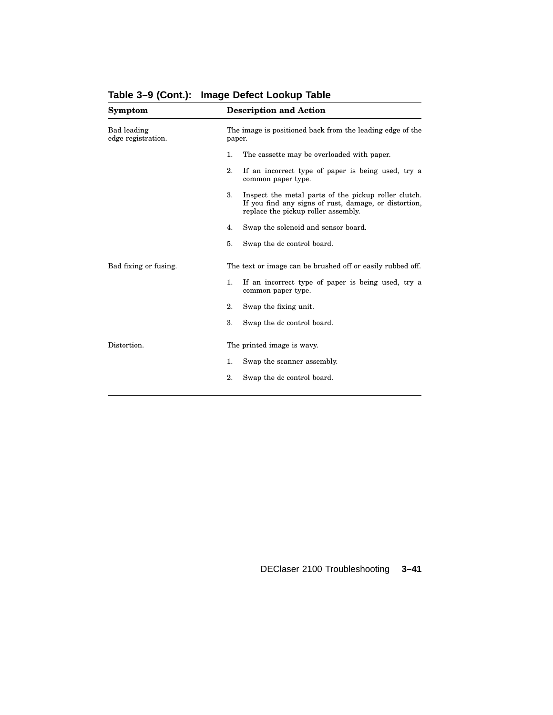| Symptom                           | <b>Description and Action</b>                                                                                                                              |
|-----------------------------------|------------------------------------------------------------------------------------------------------------------------------------------------------------|
| Bad leading<br>edge registration. | The image is positioned back from the leading edge of the<br>paper.                                                                                        |
|                                   | 1.<br>The cassette may be overloaded with paper.                                                                                                           |
|                                   | 2.<br>If an incorrect type of paper is being used, try a<br>common paper type.                                                                             |
|                                   | 3.<br>Inspect the metal parts of the pickup roller clutch.<br>If you find any signs of rust, damage, or distortion,<br>replace the pickup roller assembly. |
|                                   | Swap the solenoid and sensor board.<br>4.                                                                                                                  |
|                                   | 5.<br>Swap the dc control board.                                                                                                                           |
| Bad fixing or fusing.             | The text or image can be brushed off or easily rubbed off.                                                                                                 |
|                                   | 1.<br>If an incorrect type of paper is being used, try a<br>common paper type.                                                                             |
|                                   | 2.<br>Swap the fixing unit.                                                                                                                                |
|                                   | 3.<br>Swap the dc control board.                                                                                                                           |
| Distortion.                       | The printed image is wavy.                                                                                                                                 |
|                                   | 1.<br>Swap the scanner assembly.                                                                                                                           |
|                                   | 2.<br>Swap the dc control board.                                                                                                                           |
|                                   |                                                                                                                                                            |

**Table 3–9 (Cont.): Image Defect Lookup Table**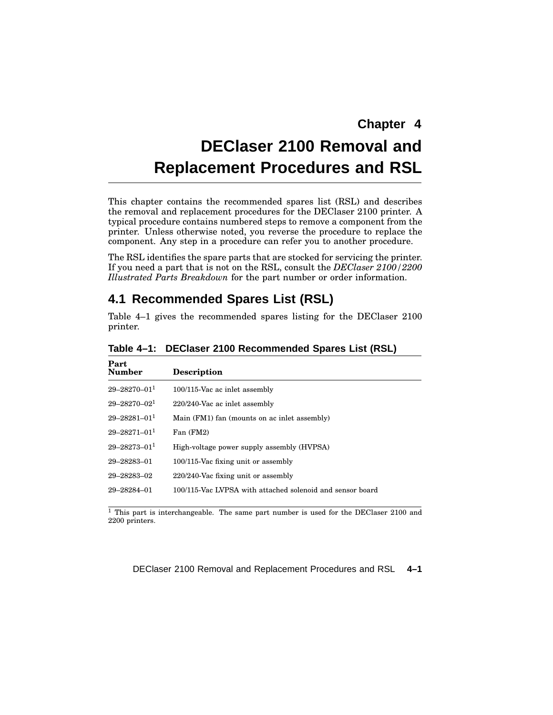# **DEClaser 2100 Removal and Replacement Procedures and RSL**

This chapter contains the recommended spares list (RSL) and describes the removal and replacement procedures for the DEClaser 2100 printer. A typical procedure contains numbered steps to remove a component from the printer. Unless otherwise noted, you reverse the procedure to replace the component. Any step in a procedure can refer you to another procedure.

The RSL identifies the spare parts that are stocked for servicing the printer. If you need a part that is not on the RSL, consult the *DEClaser 2100/2200 Illustrated Parts Breakdown* for the part number or order information.

## **4.1 Recommended Spares List (RSL)**

Table 4–1 gives the recommended spares listing for the DEClaser 2100 printer.

| Part<br><b>Number</b> | <b>Description</b>                                        |
|-----------------------|-----------------------------------------------------------|
| $29 - 28270 - 011$    | 100/115-Vac ac inlet assembly                             |
| $29 - 28270 - 021$    | 220/240-Vac ac inlet assembly                             |
| $29 - 28281 - 011$    | Main (FM1) fan (mounts on ac inlet assembly)              |
| $29 - 28271 - 011$    | Fan (FM2)                                                 |
| $29 - 28273 - 011$    | High-voltage power supply assembly (HVPSA)                |
| 29-28283-01           | 100/115-Vac fixing unit or assembly                       |
| 29-28283-02           | $220/240$ -Vac fixing unit or assembly                    |
| 29-28284-01           | 100/115-Vac LVPSA with attached solenoid and sensor board |
|                       |                                                           |

**Table 4–1: DEClaser 2100 Recommended Spares List (RSL)**

<sup>1</sup> This part is interchangeable. The same part number is used for the DEClaser 2100 and 2200 printers.

DEClaser 2100 Removal and Replacement Procedures and RSL **4–1**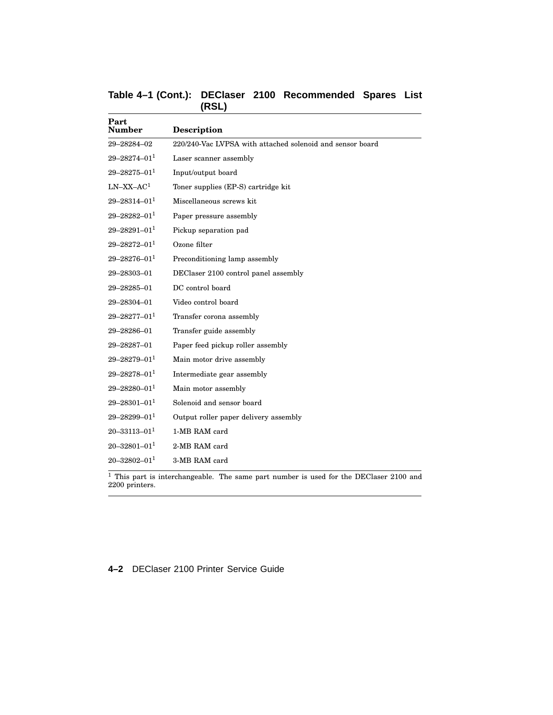| Table 4-1 (Cont.): DEClaser 2100 Recommended Spares List |       |  |  |
|----------------------------------------------------------|-------|--|--|
|                                                          | (RSL) |  |  |

| Part<br><b>Number</b> | <b>Description</b>                                        |
|-----------------------|-----------------------------------------------------------|
| 29-28284-02           | 220/240-Vac LVPSA with attached solenoid and sensor board |
| $29 - 28274 - 011$    | Laser scanner assembly                                    |
| $29 - 28275 - 011$    | Input/output board                                        |
| $LN-XX-AC1$           | Toner supplies (EP-S) cartridge kit                       |
| $29 - 28314 - 011$    | Miscellaneous screws kit                                  |
| $29 - 28282 - 011$    | Paper pressure assembly                                   |
| $29 - 28291 - 011$    | Pickup separation pad                                     |
| $29 - 28272 - 011$    | Ozone filter                                              |
| $29 - 28276 - 011$    | Preconditioning lamp assembly                             |
| 29-28303-01           | DEClaser 2100 control panel assembly                      |
| 29-28285-01           | DC control board                                          |
| 29-28304-01           | Video control board                                       |
| $29 - 28277 - 011$    | Transfer corona assembly                                  |
| 29-28286-01           | Transfer guide assembly                                   |
| 29-28287-01           | Paper feed pickup roller assembly                         |
| $29 - 28279 - 011$    | Main motor drive assembly                                 |
| $29 - 28278 - 01^1$   | Intermediate gear assembly                                |
| $29 - 28280 - 011$    | Main motor assembly                                       |
| $29 - 28301 - 011$    | Solenoid and sensor board                                 |
| $29 - 28299 - 011$    | Output roller paper delivery assembly                     |
| $20 - 33113 - 01^1$   | 1-MB RAM card                                             |
| $20 - 32801 - 011$    | 2-MB RAM card                                             |
| $20 - 32802 - 011$    | 3-MB RAM card                                             |

2200 printers.

**4–2** DEClaser 2100 Printer Service Guide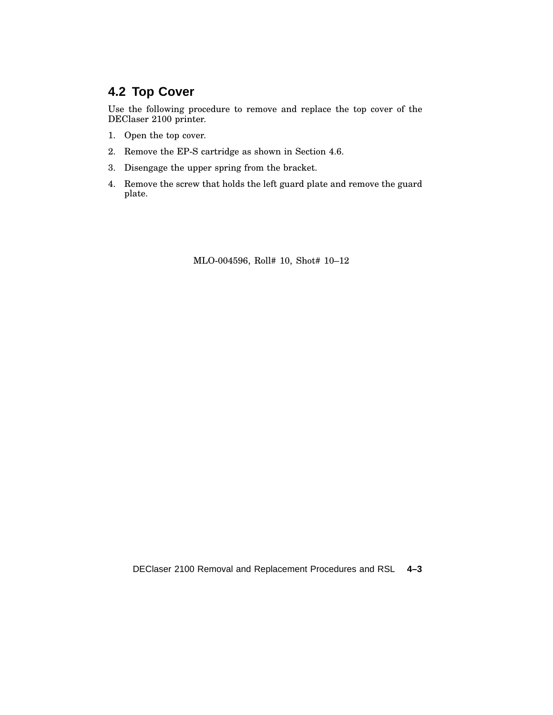# **4.2 Top Cover**

Use the following procedure to remove and replace the top cover of the DEClaser 2100 printer.

- 1. Open the top cover.
- 2. Remove the EP-S cartridge as shown in Section 4.6.
- 3. Disengage the upper spring from the bracket.
- 4. Remove the screw that holds the left guard plate and remove the guard plate.

MLO-004596, Roll# 10, Shot# 10–12

DEClaser 2100 Removal and Replacement Procedures and RSL **4–3**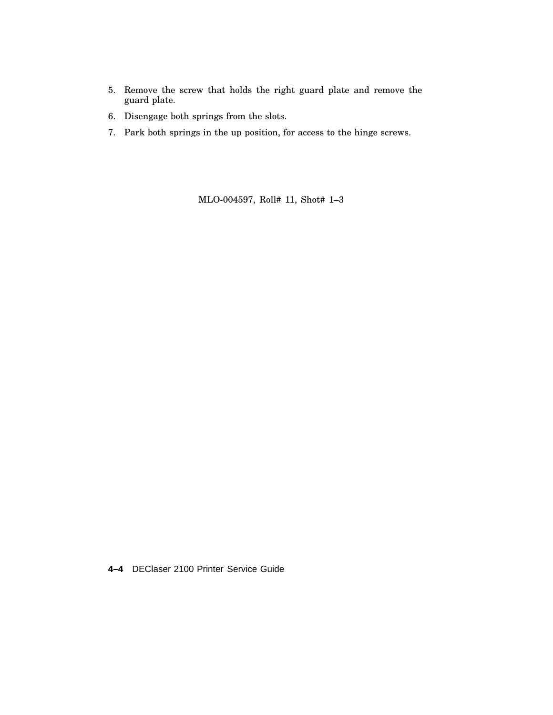- 5. Remove the screw that holds the right guard plate and remove the guard plate.
- 6. Disengage both springs from the slots.
- 7. Park both springs in the up position, for access to the hinge screws.

MLO-004597, Roll# 11, Shot# 1–3

**4–4** DEClaser 2100 Printer Service Guide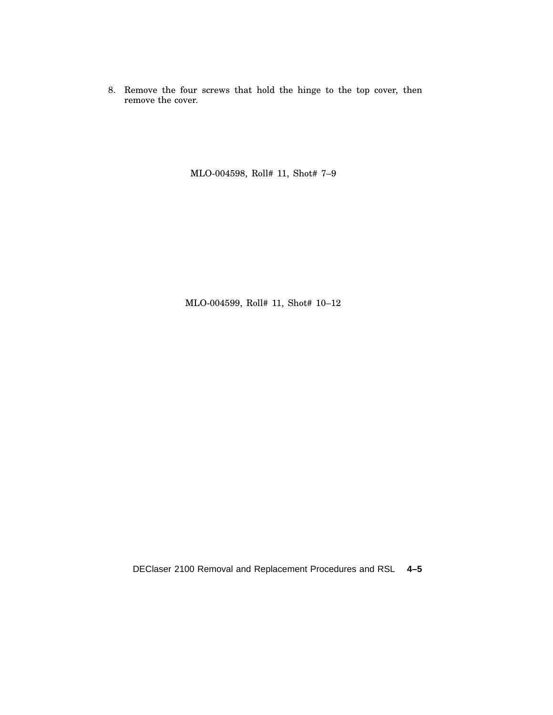8. Remove the four screws that hold the hinge to the top cover, then remove the cover.

MLO-004598, Roll# 11, Shot# 7–9

MLO-004599, Roll# 11, Shot# 10–12

DEClaser 2100 Removal and Replacement Procedures and RSL **4–5**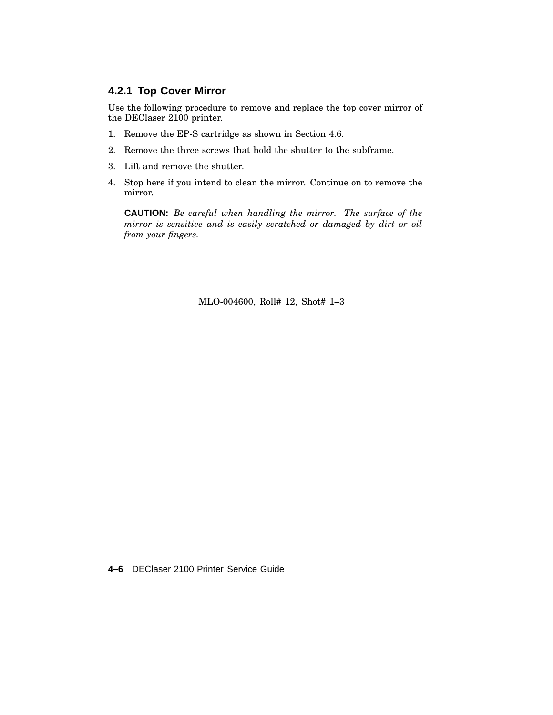#### **4.2.1 Top Cover Mirror**

Use the following procedure to remove and replace the top cover mirror of the DEClaser 2100 printer.

- 1. Remove the EP-S cartridge as shown in Section 4.6.
- 2. Remove the three screws that hold the shutter to the subframe.
- 3. Lift and remove the shutter.
- 4. Stop here if you intend to clean the mirror. Continue on to remove the mirror.

**CAUTION:** *Be careful when handling the mirror. The surface of the mirror is sensitive and is easily scratched or damaged by dirt or oil from your fingers.*

MLO-004600, Roll# 12, Shot# 1–3

**4–6** DEClaser 2100 Printer Service Guide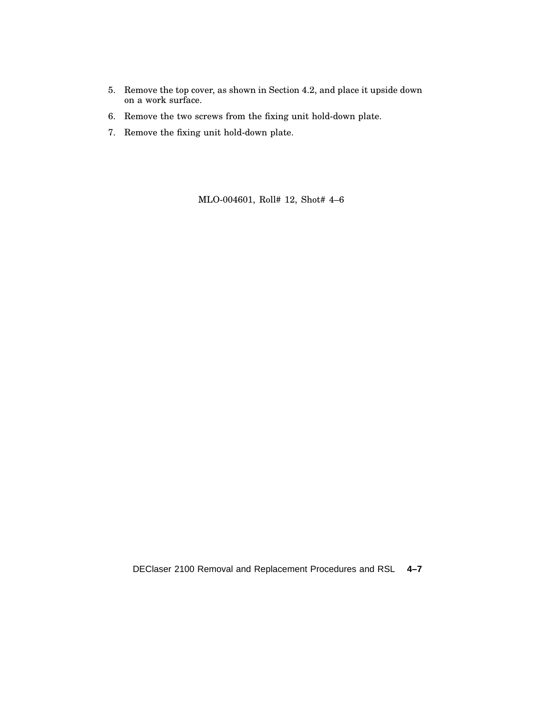- 5. Remove the top cover, as shown in Section 4.2, and place it upside down on a work surface.
- 6. Remove the two screws from the fixing unit hold-down plate.
- 7. Remove the fixing unit hold-down plate.

MLO-004601, Roll# 12, Shot# 4–6

DEClaser 2100 Removal and Replacement Procedures and RSL **4–7**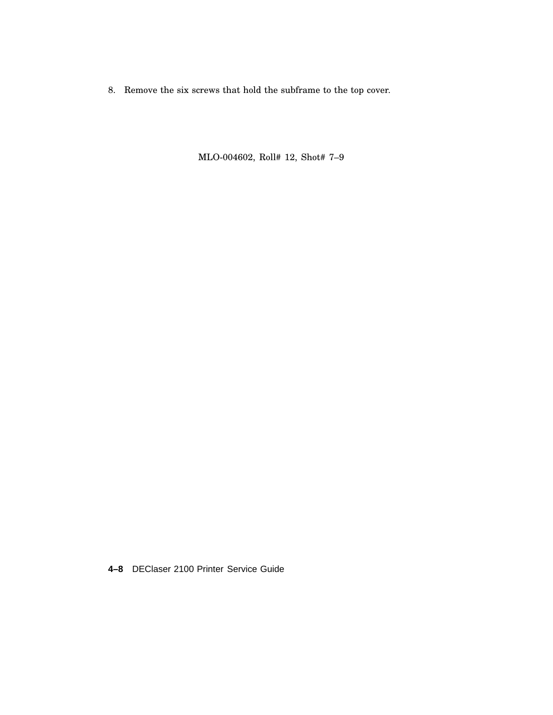8. Remove the six screws that hold the subframe to the top cover.

MLO-004602, Roll# 12, Shot# 7–9

**4–8** DEClaser 2100 Printer Service Guide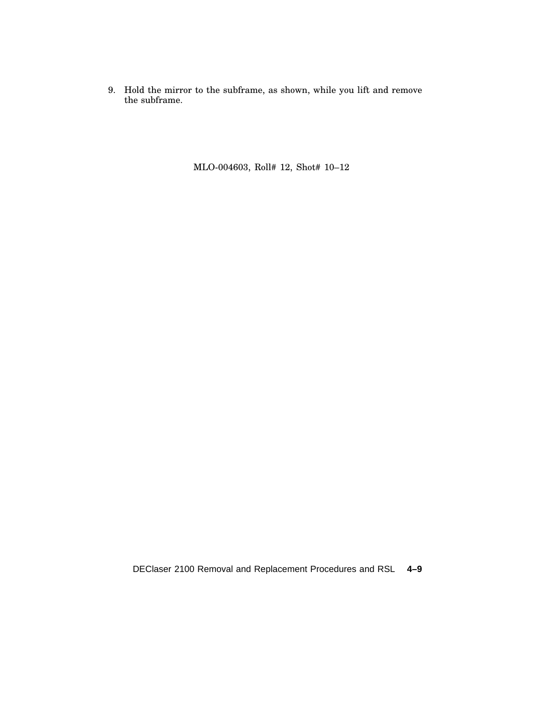9. Hold the mirror to the subframe, as shown, while you lift and remove the subframe.

MLO-004603, Roll# 12, Shot# 10–12

DEClaser 2100 Removal and Replacement Procedures and RSL **4–9**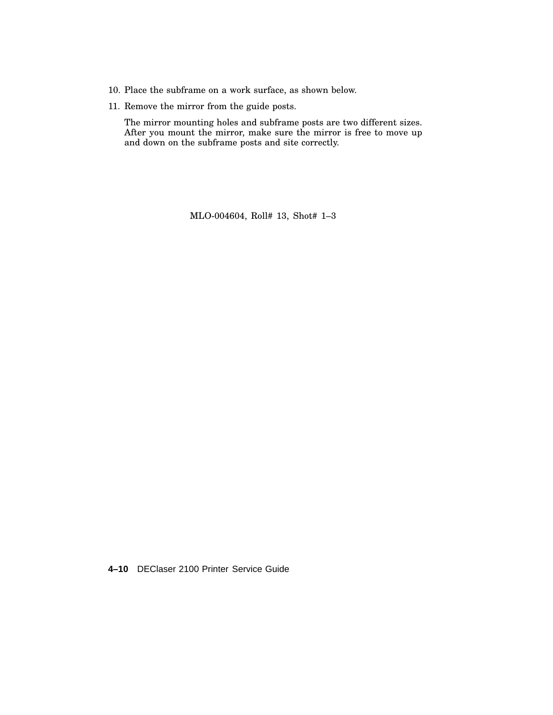- 10. Place the subframe on a work surface, as shown below.
- 11. Remove the mirror from the guide posts.

The mirror mounting holes and subframe posts are two different sizes. After you mount the mirror, make sure the mirror is free to move up and down on the subframe posts and site correctly.

MLO-004604, Roll# 13, Shot# 1–3

**4–10** DEClaser 2100 Printer Service Guide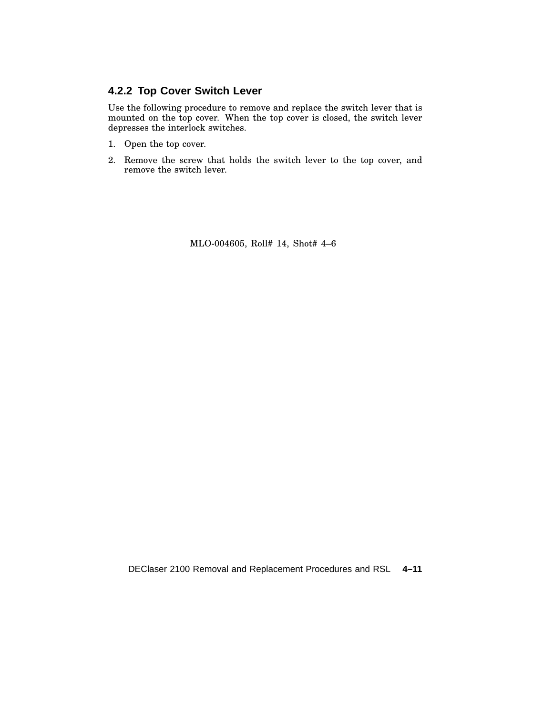#### **4.2.2 Top Cover Switch Lever**

Use the following procedure to remove and replace the switch lever that is mounted on the top cover. When the top cover is closed, the switch lever depresses the interlock switches.

- 1. Open the top cover.
- 2. Remove the screw that holds the switch lever to the top cover, and remove the switch lever.

MLO-004605, Roll# 14, Shot# 4–6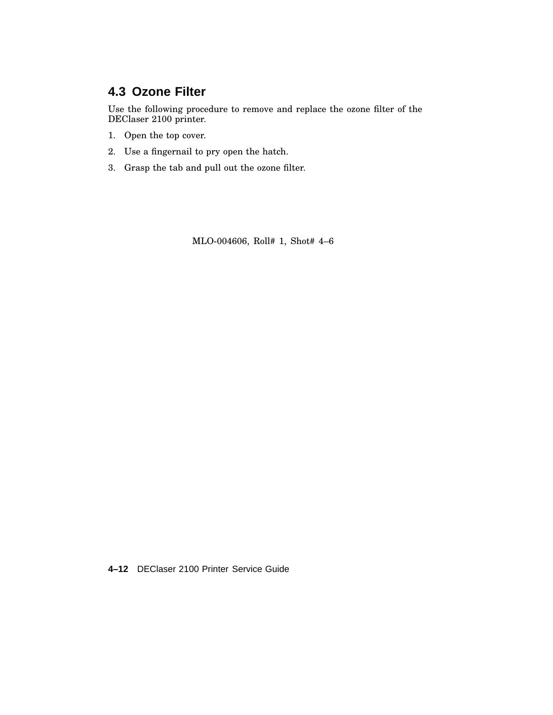# **4.3 Ozone Filter**

Use the following procedure to remove and replace the ozone filter of the DEClaser 2100 printer.

- 1. Open the top cover.
- 2. Use a fingernail to pry open the hatch.
- 3. Grasp the tab and pull out the ozone filter.

MLO-004606, Roll# 1, Shot# 4–6

**4–12** DEClaser 2100 Printer Service Guide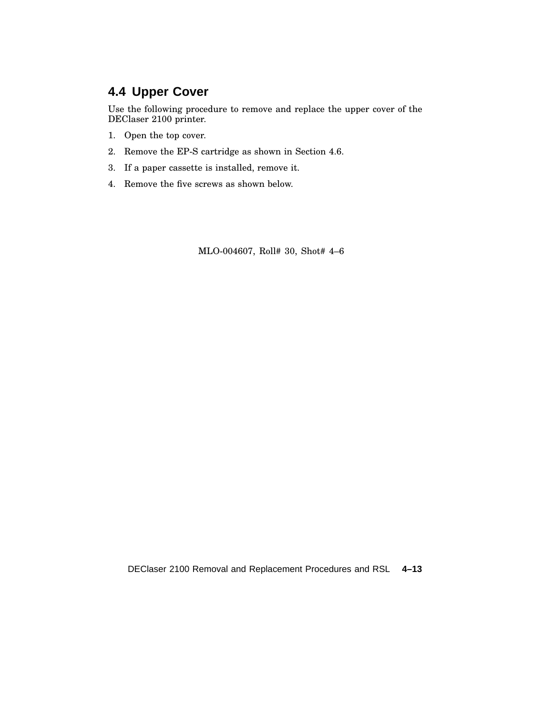# **4.4 Upper Cover**

Use the following procedure to remove and replace the upper cover of the DEClaser 2100 printer.

- 1. Open the top cover.
- 2. Remove the EP-S cartridge as shown in Section 4.6.
- 3. If a paper cassette is installed, remove it.
- 4. Remove the five screws as shown below.

MLO-004607, Roll# 30, Shot# 4–6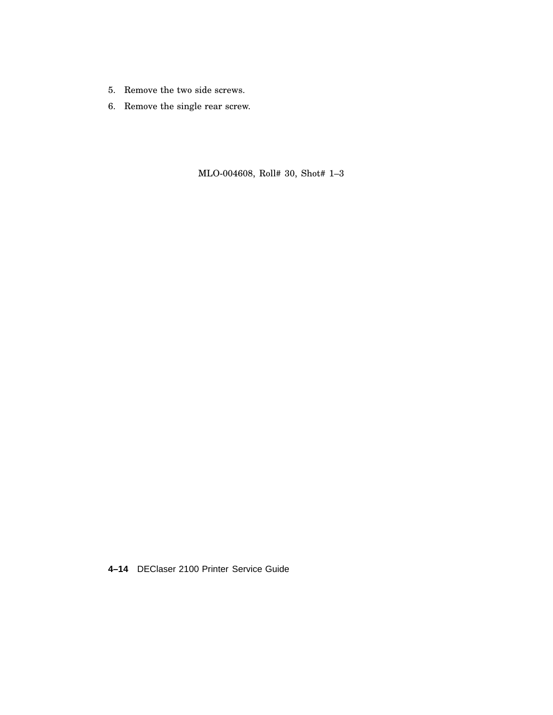- 5. Remove the two side screws.
- 6. Remove the single rear screw.

MLO-004608, Roll# 30, Shot# 1–3

**4–14** DEClaser 2100 Printer Service Guide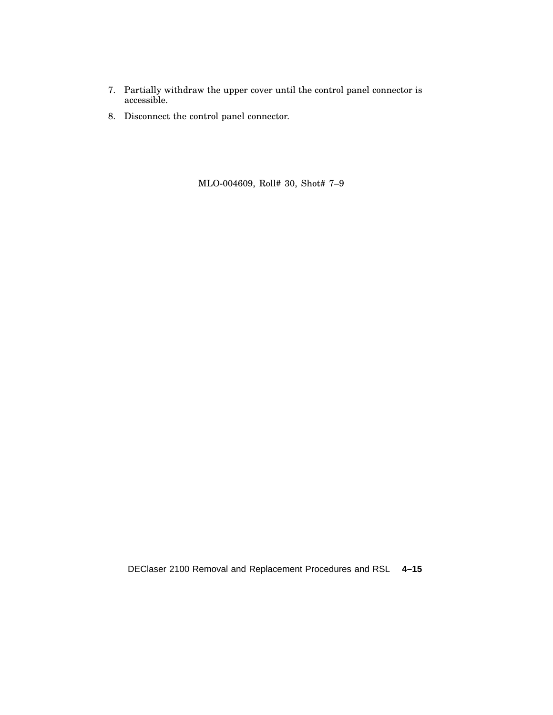- 7. Partially withdraw the upper cover until the control panel connector is accessible.
- 8. Disconnect the control panel connector.

MLO-004609, Roll# 30, Shot# 7–9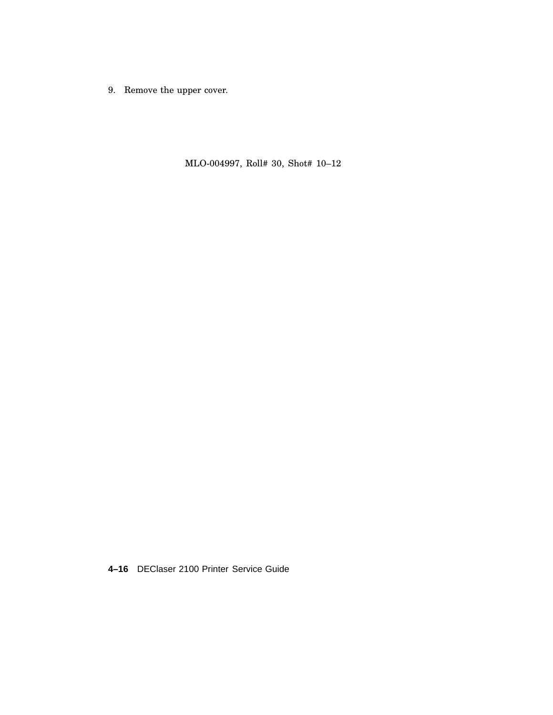9. Remove the upper cover.

MLO-004997, Roll# 30, Shot# 10–12

**4–16** DEClaser 2100 Printer Service Guide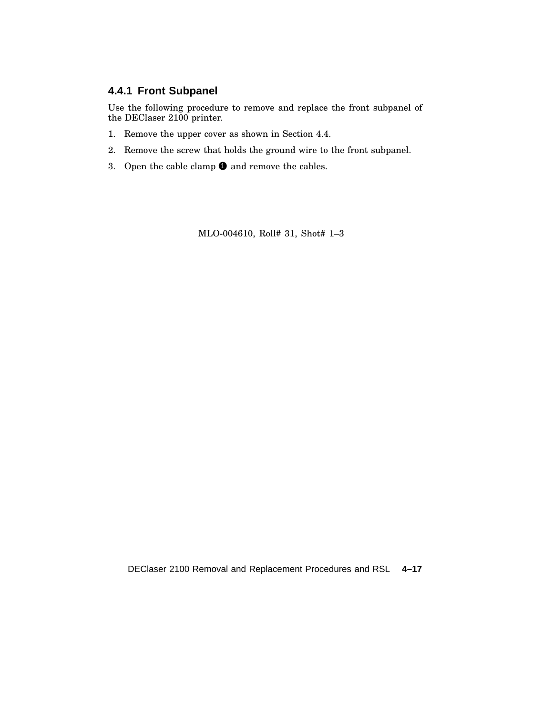#### **4.4.1 Front Subpanel**

Use the following procedure to remove and replace the front subpanel of the DEClaser 2100 printer.

- 1. Remove the upper cover as shown in Section 4.4.
- 2. Remove the screw that holds the ground wire to the front subpanel.
- 3. Open the cable clamp  $\bullet$  and remove the cables.

MLO-004610, Roll# 31, Shot# 1–3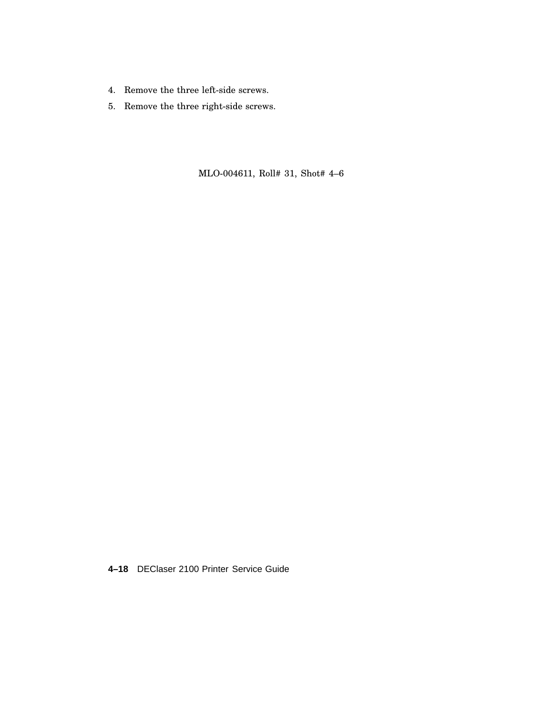- 4. Remove the three left-side screws.
- 5. Remove the three right-side screws.

MLO-004611, Roll# 31, Shot# 4–6

**4–18** DEClaser 2100 Printer Service Guide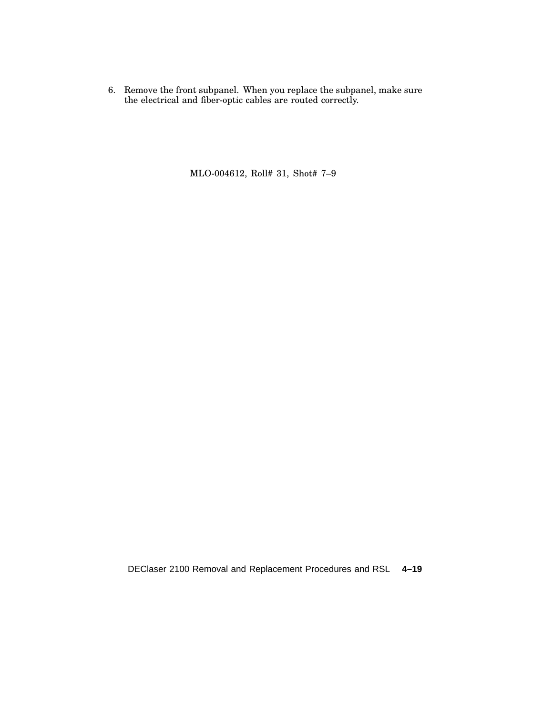6. Remove the front subpanel. When you replace the subpanel, make sure the electrical and fiber-optic cables are routed correctly.

MLO-004612, Roll# 31, Shot# 7–9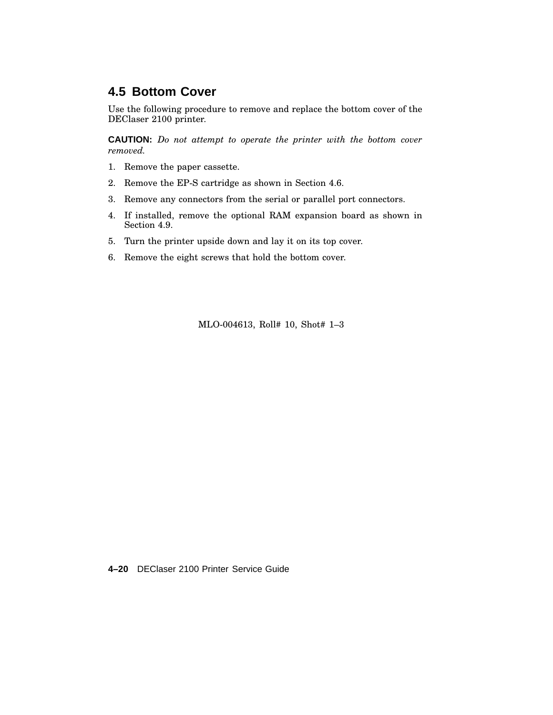### **4.5 Bottom Cover**

Use the following procedure to remove and replace the bottom cover of the DEClaser 2100 printer.

**CAUTION:** *Do not attempt to operate the printer with the bottom cover removed.*

- 1. Remove the paper cassette.
- 2. Remove the EP-S cartridge as shown in Section 4.6.
- 3. Remove any connectors from the serial or parallel port connectors.
- 4. If installed, remove the optional RAM expansion board as shown in Section 4.9.
- 5. Turn the printer upside down and lay it on its top cover.
- 6. Remove the eight screws that hold the bottom cover.

MLO-004613, Roll# 10, Shot# 1–3

**4–20** DEClaser 2100 Printer Service Guide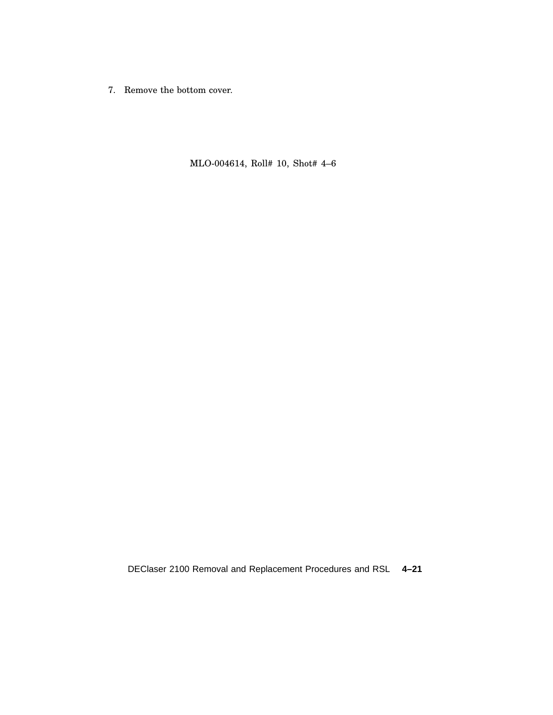7. Remove the bottom cover.

MLO-004614, Roll# 10, Shot# 4–6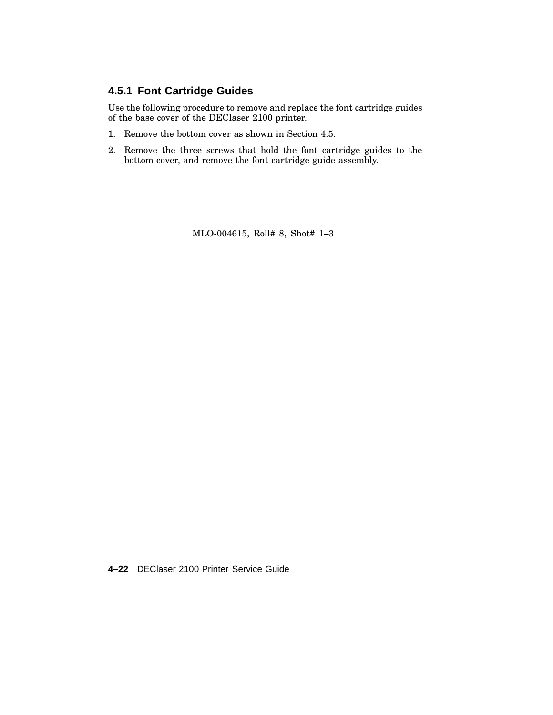#### **4.5.1 Font Cartridge Guides**

Use the following procedure to remove and replace the font cartridge guides of the base cover of the DEClaser 2100 printer.

- 1. Remove the bottom cover as shown in Section 4.5.
- 2. Remove the three screws that hold the font cartridge guides to the bottom cover, and remove the font cartridge guide assembly.

MLO-004615, Roll# 8, Shot# 1–3

**4–22** DEClaser 2100 Printer Service Guide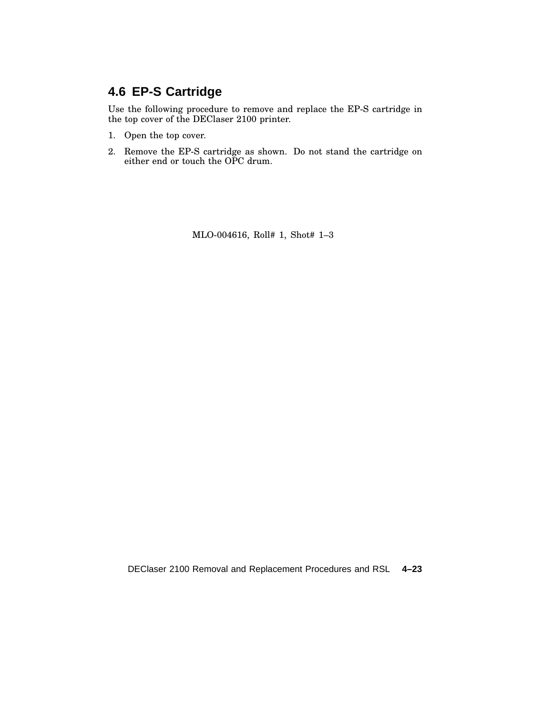# **4.6 EP-S Cartridge**

Use the following procedure to remove and replace the EP-S cartridge in the top cover of the DEClaser 2100 printer.

- 1. Open the top cover.
- 2. Remove the EP-S cartridge as shown. Do not stand the cartridge on either end or touch the OPC drum.

MLO-004616, Roll# 1, Shot# 1–3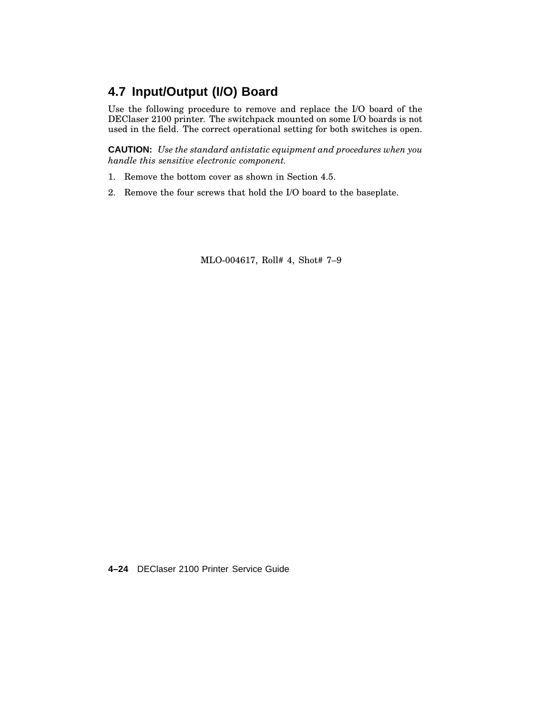# **4.7 Input/Output (I/O) Board**

Use the following procedure to remove and replace the I/O board of the DEClaser 2100 printer. The switchpack mounted on some I/O boards is not used in the field. The correct operational setting for both switches is open.

**CAUTION:** *Use the standard antistatic equipment and procedures when you handle this sensitive electronic component.*

- 1. Remove the bottom cover as shown in Section 4.5.
- 2. Remove the four screws that hold the I/O board to the baseplate.

MLO-004617, Roll# 4, Shot# 7–9

**4–24** DEClaser 2100 Printer Service Guide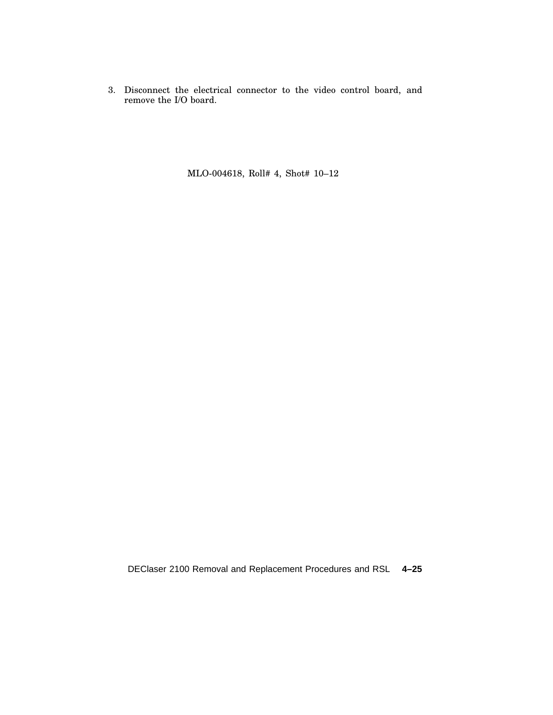3. Disconnect the electrical connector to the video control board, and remove the I/O board.

MLO-004618, Roll# 4, Shot# 10–12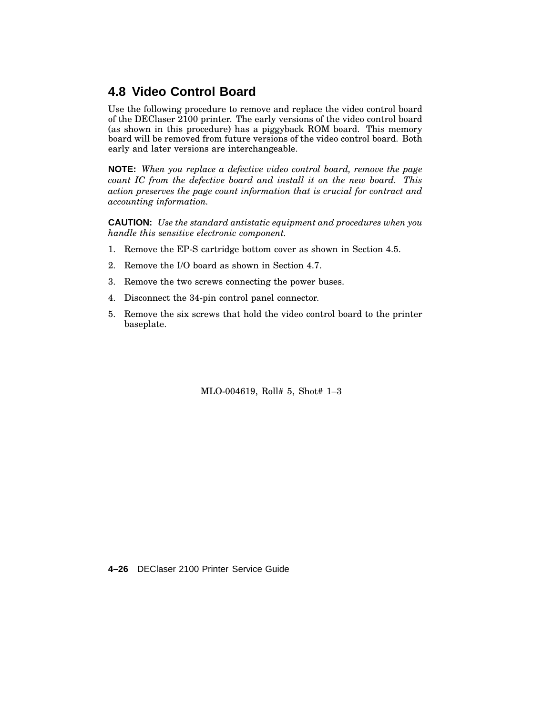## **4.8 Video Control Board**

Use the following procedure to remove and replace the video control board of the DEClaser 2100 printer. The early versions of the video control board (as shown in this procedure) has a piggyback ROM board. This memory board will be removed from future versions of the video control board. Both early and later versions are interchangeable.

**NOTE:** *When you replace a defective video control board, remove the page count IC from the defective board and install it on the new board. This action preserves the page count information that is crucial for contract and accounting information.*

**CAUTION:** *Use the standard antistatic equipment and procedures when you handle this sensitive electronic component.*

- 1. Remove the EP-S cartridge bottom cover as shown in Section 4.5.
- 2. Remove the I/O board as shown in Section 4.7.
- 3. Remove the two screws connecting the power buses.
- 4. Disconnect the 34-pin control panel connector.
- 5. Remove the six screws that hold the video control board to the printer baseplate.

MLO-004619, Roll# 5, Shot# 1–3

**4–26** DEClaser 2100 Printer Service Guide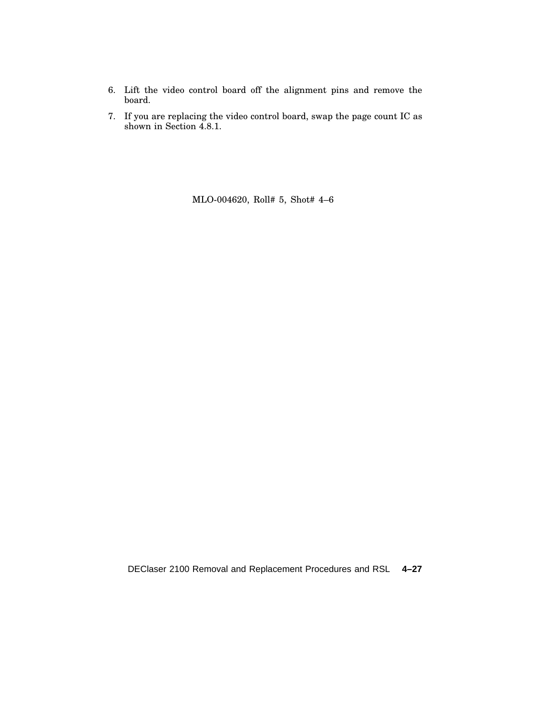- 6. Lift the video control board off the alignment pins and remove the board.
- 7. If you are replacing the video control board, swap the page count IC as shown in Section 4.8.1.

MLO-004620, Roll# 5, Shot# 4–6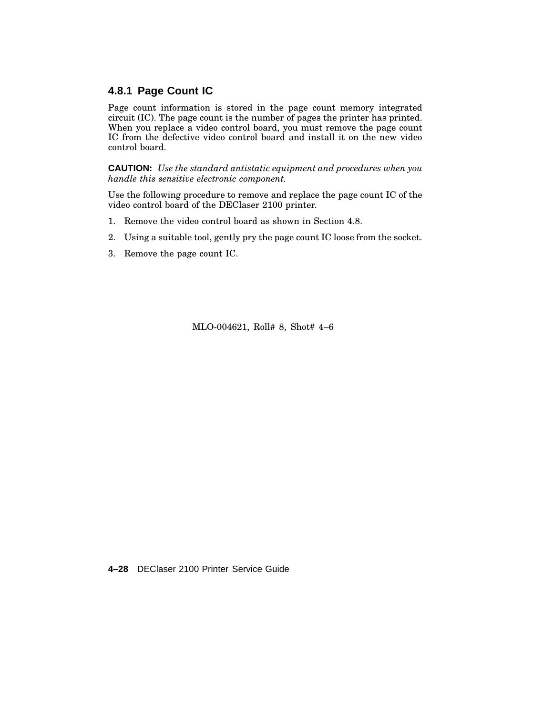#### **4.8.1 Page Count IC**

Page count information is stored in the page count memory integrated circuit (IC). The page count is the number of pages the printer has printed. When you replace a video control board, you must remove the page count IC from the defective video control board and install it on the new video control board.

**CAUTION:** *Use the standard antistatic equipment and procedures when you handle this sensitive electronic component.*

Use the following procedure to remove and replace the page count IC of the video control board of the DEClaser 2100 printer.

- 1. Remove the video control board as shown in Section 4.8.
- 2. Using a suitable tool, gently pry the page count IC loose from the socket.
- 3. Remove the page count IC.

MLO-004621, Roll# 8, Shot# 4–6

**4–28** DEClaser 2100 Printer Service Guide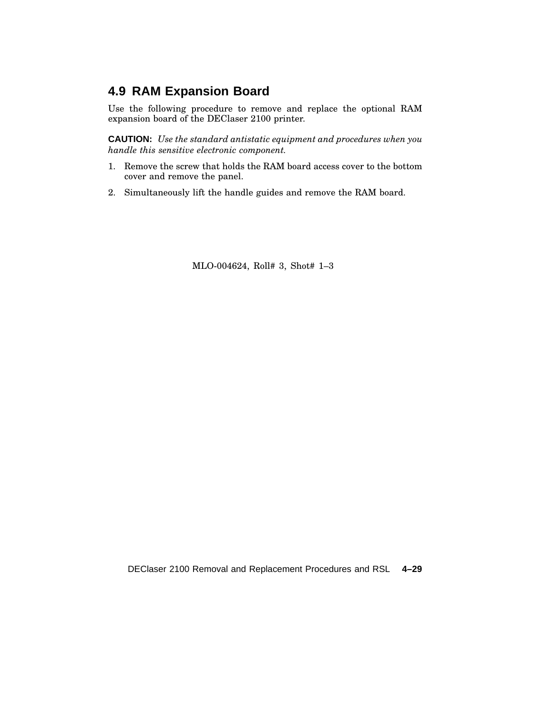## **4.9 RAM Expansion Board**

Use the following procedure to remove and replace the optional RAM expansion board of the DEClaser 2100 printer.

**CAUTION:** *Use the standard antistatic equipment and procedures when you handle this sensitive electronic component.*

- 1. Remove the screw that holds the RAM board access cover to the bottom cover and remove the panel.
- 2. Simultaneously lift the handle guides and remove the RAM board.

MLO-004624, Roll# 3, Shot# 1–3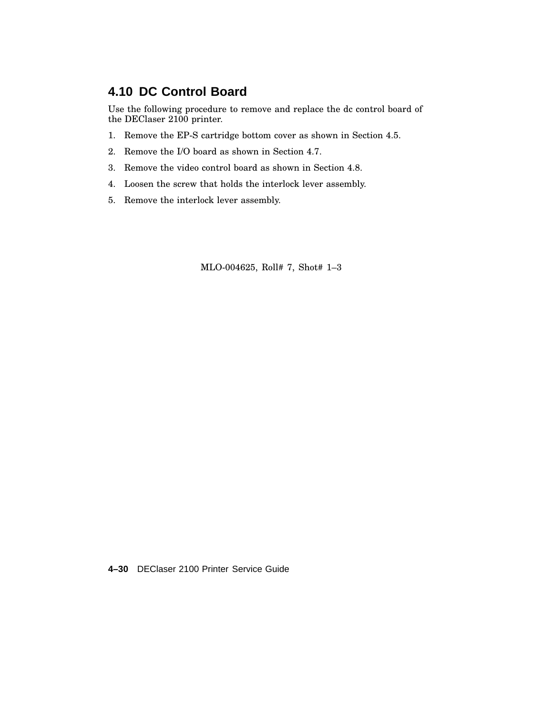### **4.10 DC Control Board**

Use the following procedure to remove and replace the dc control board of the DEClaser 2100 printer.

- 1. Remove the EP-S cartridge bottom cover as shown in Section 4.5.
- 2. Remove the I/O board as shown in Section 4.7.
- 3. Remove the video control board as shown in Section 4.8.
- 4. Loosen the screw that holds the interlock lever assembly.
- 5. Remove the interlock lever assembly.

MLO-004625, Roll# 7, Shot# 1–3

**4–30** DEClaser 2100 Printer Service Guide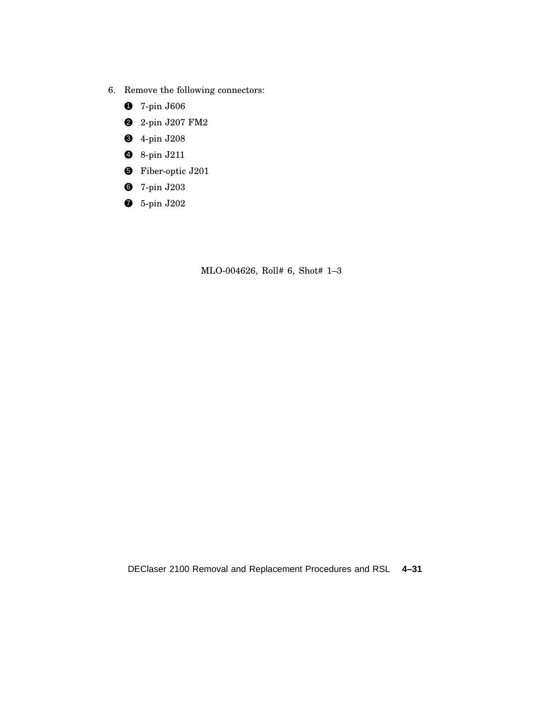- 6. Remove the following connectors:
	- 7-pin J606
	- 2-pin J207 FM2
	- 4-pin J208
	- 8-pin J211
	- Fiber-optic J201
	- 7-pin J203
	- 5-pin J202

MLO-004626, Roll# 6, Shot# 1–3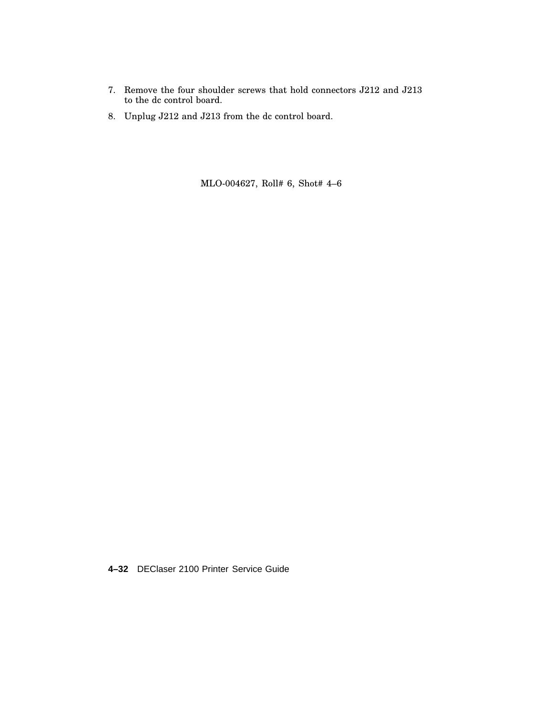- 7. Remove the four shoulder screws that hold connectors J212 and J213 to the dc control board.
- 8. Unplug J212 and J213 from the dc control board.

MLO-004627, Roll# 6, Shot# 4–6

**4–32** DEClaser 2100 Printer Service Guide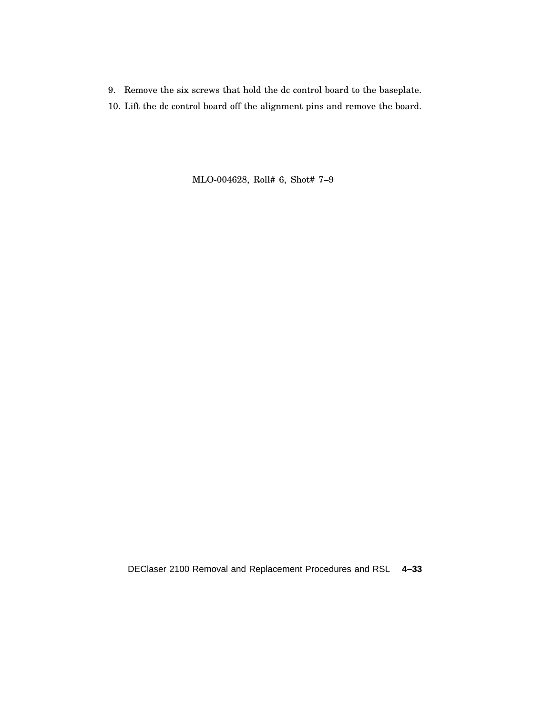- 9. Remove the six screws that hold the dc control board to the baseplate.
- 10. Lift the dc control board off the alignment pins and remove the board.

MLO-004628, Roll# 6, Shot# 7–9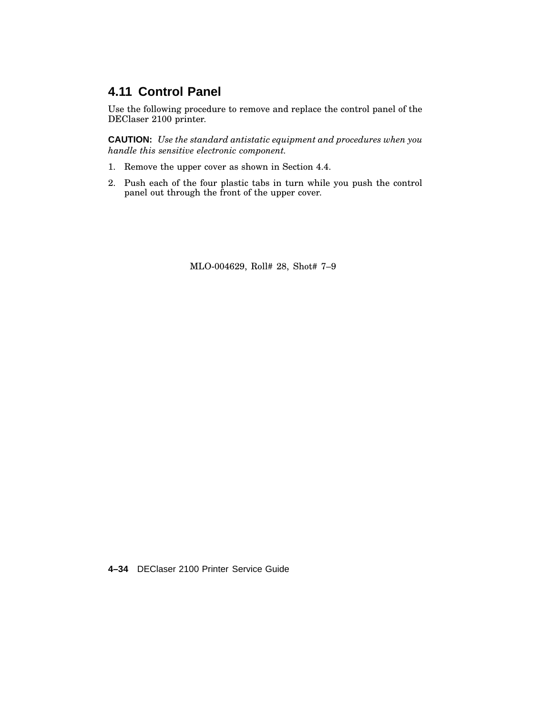## **4.11 Control Panel**

Use the following procedure to remove and replace the control panel of the DEClaser 2100 printer.

**CAUTION:** *Use the standard antistatic equipment and procedures when you handle this sensitive electronic component.*

- 1. Remove the upper cover as shown in Section 4.4.
- 2. Push each of the four plastic tabs in turn while you push the control panel out through the front of the upper cover.

MLO-004629, Roll# 28, Shot# 7–9

**4–34** DEClaser 2100 Printer Service Guide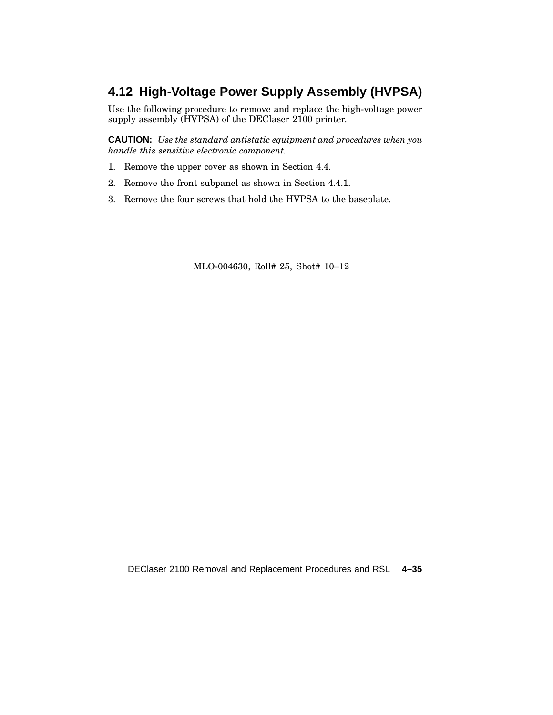## **4.12 High-Voltage Power Supply Assembly (HVPSA)**

Use the following procedure to remove and replace the high-voltage power supply assembly (HVPSA) of the DEClaser 2100 printer.

**CAUTION:** *Use the standard antistatic equipment and procedures when you handle this sensitive electronic component.*

- 1. Remove the upper cover as shown in Section 4.4.
- 2. Remove the front subpanel as shown in Section 4.4.1.
- 3. Remove the four screws that hold the HVPSA to the baseplate.

MLO-004630, Roll# 25, Shot# 10–12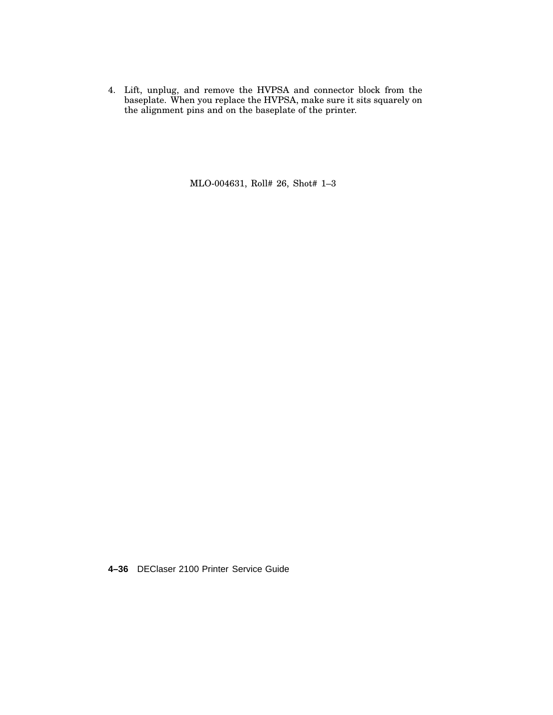4. Lift, unplug, and remove the HVPSA and connector block from the baseplate. When you replace the HVPSA, make sure it sits squarely on the alignment pins and on the baseplate of the printer.

MLO-004631, Roll# 26, Shot# 1–3

**4–36** DEClaser 2100 Printer Service Guide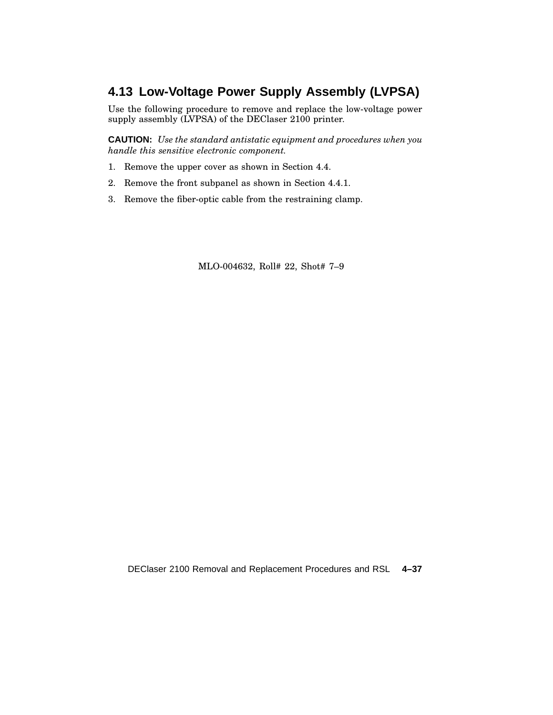## **4.13 Low-Voltage Power Supply Assembly (LVPSA)**

Use the following procedure to remove and replace the low-voltage power supply assembly (LVPSA) of the DEClaser 2100 printer.

**CAUTION:** *Use the standard antistatic equipment and procedures when you handle this sensitive electronic component.*

- 1. Remove the upper cover as shown in Section 4.4.
- 2. Remove the front subpanel as shown in Section 4.4.1.
- 3. Remove the fiber-optic cable from the restraining clamp.

MLO-004632, Roll# 22, Shot# 7–9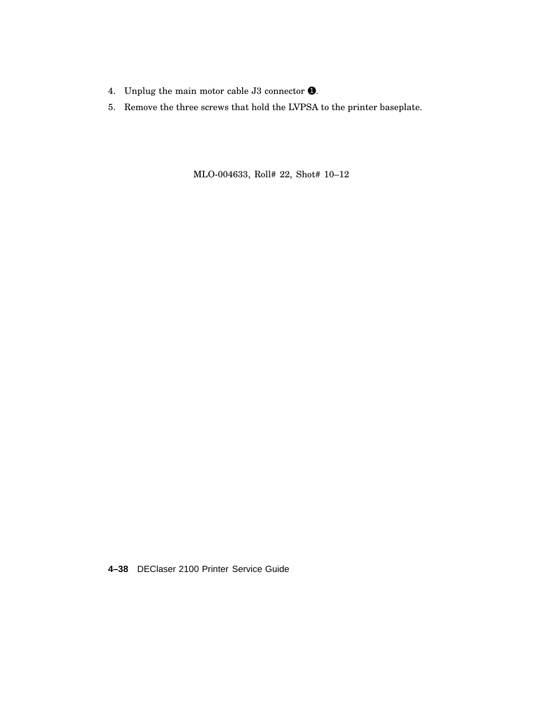- 4. Unplug the main motor cable J3 connector  $\bullet$ .
- 5. Remove the three screws that hold the LVPSA to the printer baseplate.

MLO-004633, Roll# 22, Shot# 10–12

**4–38** DEClaser 2100 Printer Service Guide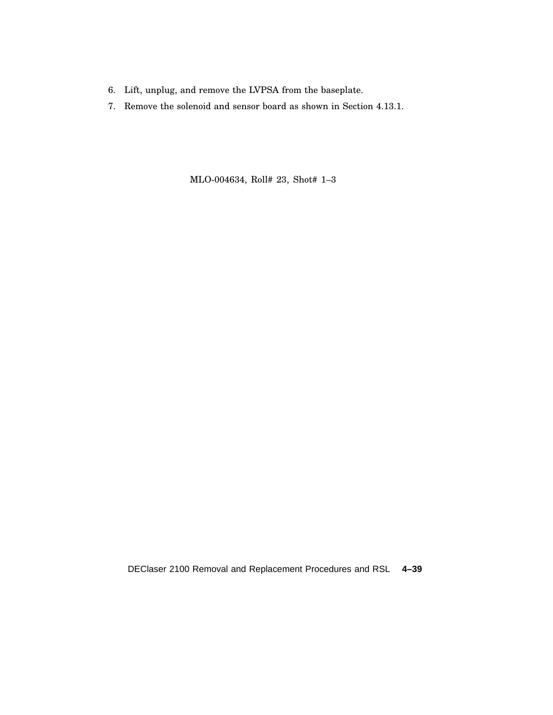- 6. Lift, unplug, and remove the LVPSA from the baseplate.
- 7. Remove the solenoid and sensor board as shown in Section 4.13.1.

MLO-004634, Roll# 23, Shot# 1–3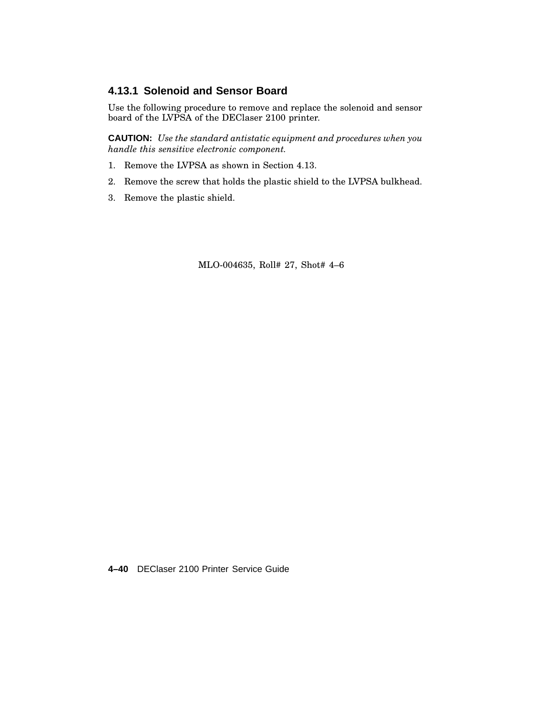#### **4.13.1 Solenoid and Sensor Board**

Use the following procedure to remove and replace the solenoid and sensor board of the LVPSA of the DEClaser 2100 printer.

**CAUTION:** *Use the standard antistatic equipment and procedures when you handle this sensitive electronic component.*

- 1. Remove the LVPSA as shown in Section 4.13.
- 2. Remove the screw that holds the plastic shield to the LVPSA bulkhead.
- 3. Remove the plastic shield.

MLO-004635, Roll# 27, Shot# 4–6

**4–40** DEClaser 2100 Printer Service Guide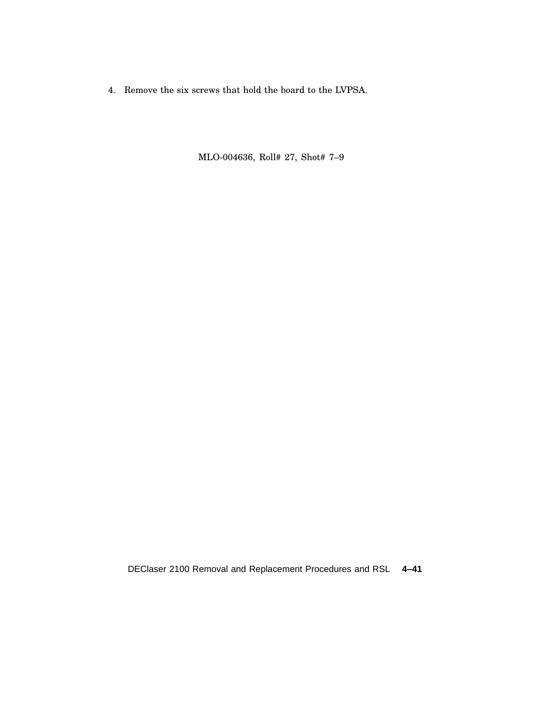4. Remove the six screws that hold the board to the LVPSA.

MLO-004636, Roll# 27, Shot# 7–9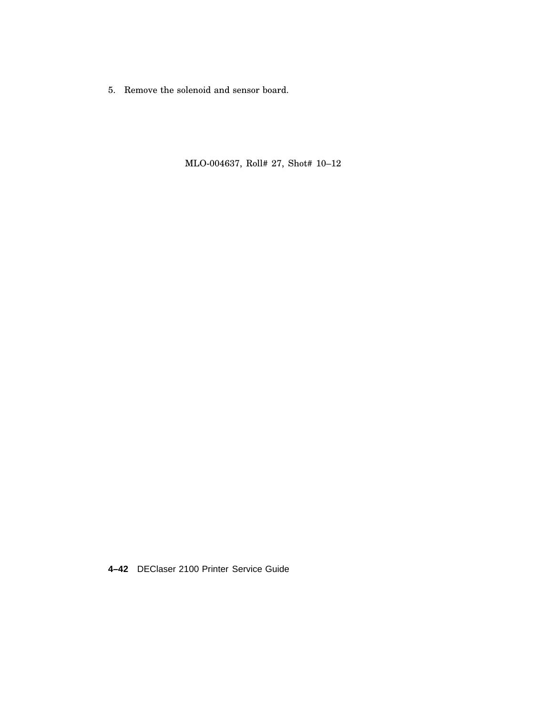5. Remove the solenoid and sensor board.

MLO-004637, Roll# 27, Shot# 10–12

**4–42** DEClaser 2100 Printer Service Guide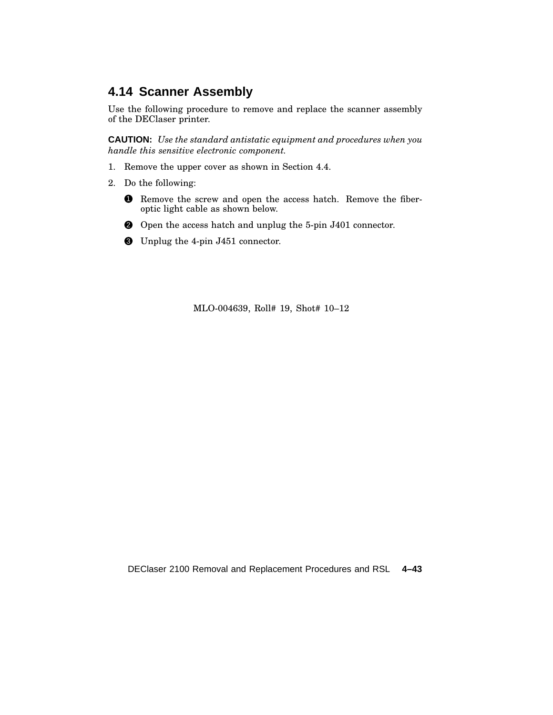## **4.14 Scanner Assembly**

Use the following procedure to remove and replace the scanner assembly of the DEClaser printer.

**CAUTION:** *Use the standard antistatic equipment and procedures when you handle this sensitive electronic component.*

- 1. Remove the upper cover as shown in Section 4.4.
- 2. Do the following:
	- 1 Remove the screw and open the access hatch. Remove the fiberoptic light cable as shown below.
	- 2 Open the access hatch and unplug the 5-pin J401 connector.
	- 3 Unplug the 4-pin J451 connector.

MLO-004639, Roll# 19, Shot# 10–12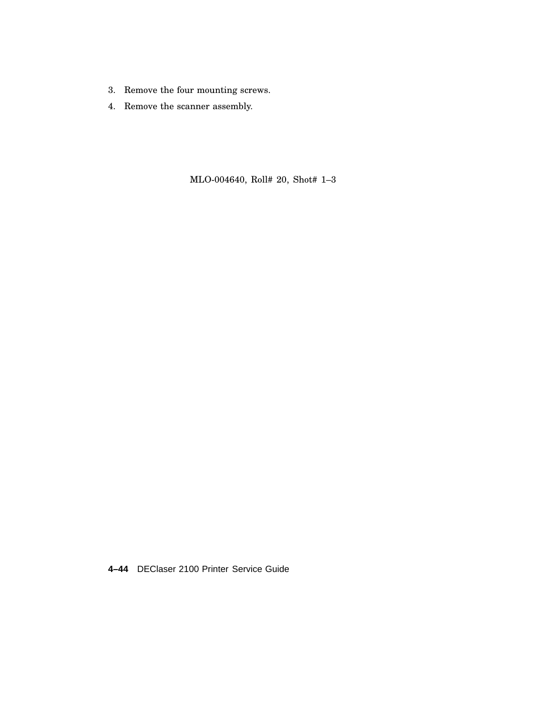- 3. Remove the four mounting screws.
- 4. Remove the scanner assembly.

MLO-004640, Roll# 20, Shot# 1–3

**4–44** DEClaser 2100 Printer Service Guide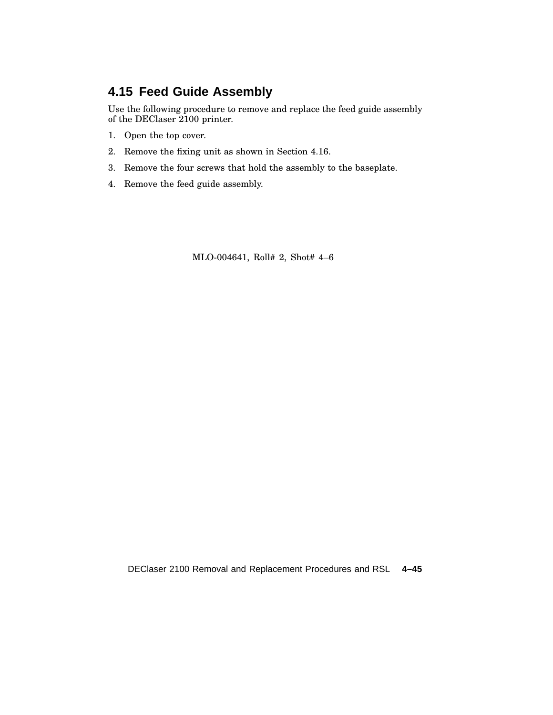## **4.15 Feed Guide Assembly**

Use the following procedure to remove and replace the feed guide assembly of the DEClaser 2100 printer.

- 1. Open the top cover.
- 2. Remove the fixing unit as shown in Section 4.16.
- 3. Remove the four screws that hold the assembly to the baseplate.
- 4. Remove the feed guide assembly.

MLO-004641, Roll# 2, Shot# 4–6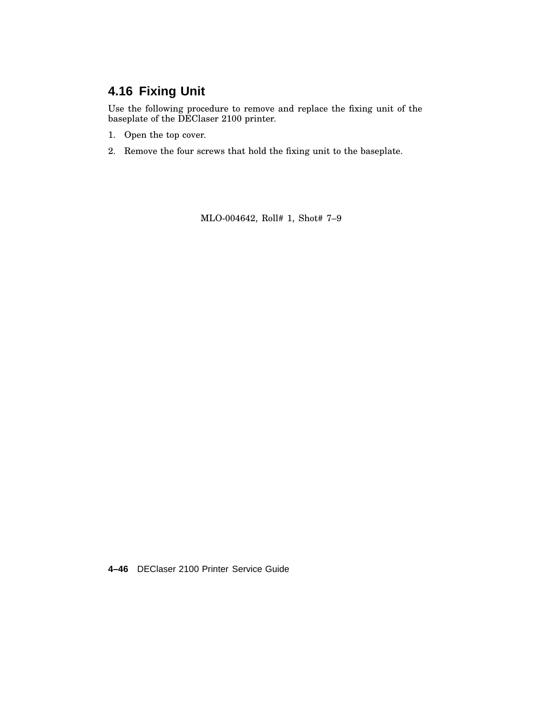# **4.16 Fixing Unit**

Use the following procedure to remove and replace the fixing unit of the baseplate of the DEClaser 2100 printer.

- 1. Open the top cover.
- 2. Remove the four screws that hold the fixing unit to the baseplate.

MLO-004642, Roll# 1, Shot# 7–9

**4–46** DEClaser 2100 Printer Service Guide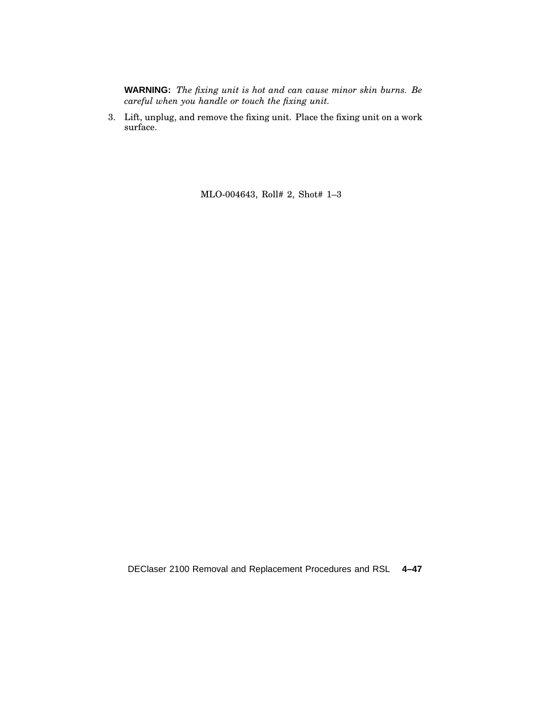**WARNING:** *The fixing unit is hot and can cause minor skin burns. Be careful when you handle or touch the fixing unit.*

3. Lift, unplug, and remove the fixing unit. Place the fixing unit on a work surface.

MLO-004643, Roll# 2, Shot# 1–3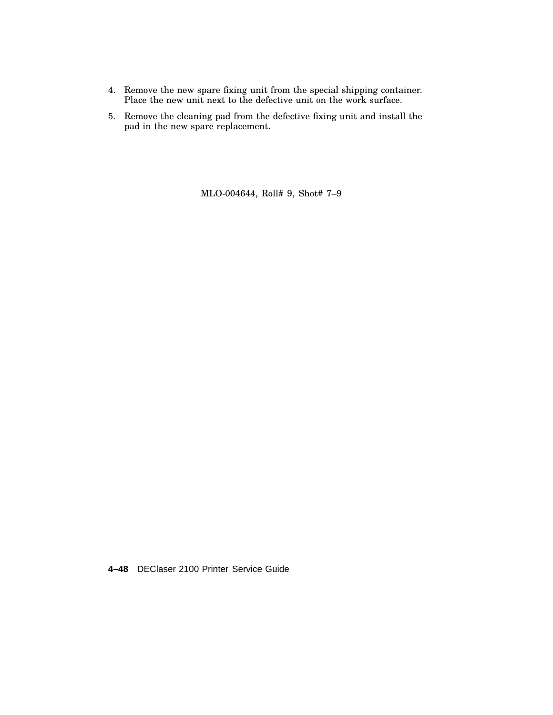- 4. Remove the new spare fixing unit from the special shipping container. Place the new unit next to the defective unit on the work surface.
- 5. Remove the cleaning pad from the defective fixing unit and install the pad in the new spare replacement.

MLO-004644, Roll# 9, Shot# 7–9

**4–48** DEClaser 2100 Printer Service Guide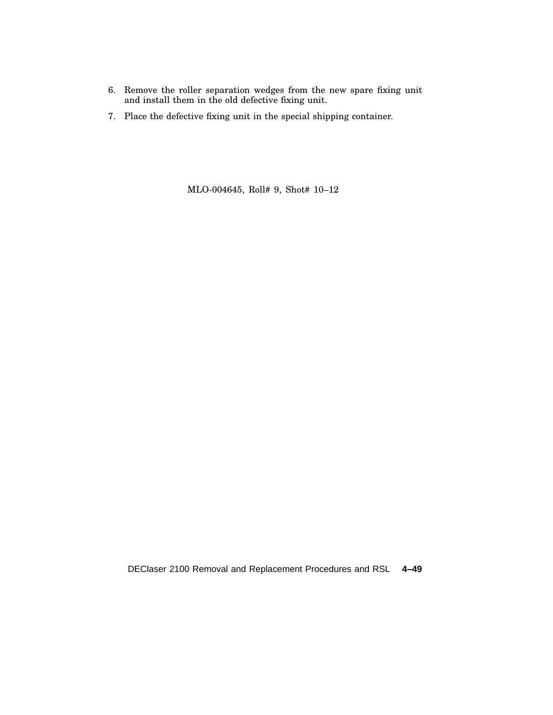- 6. Remove the roller separation wedges from the new spare fixing unit and install them in the old defective fixing unit.
- 7. Place the defective fixing unit in the special shipping container.

MLO-004645, Roll# 9, Shot# 10–12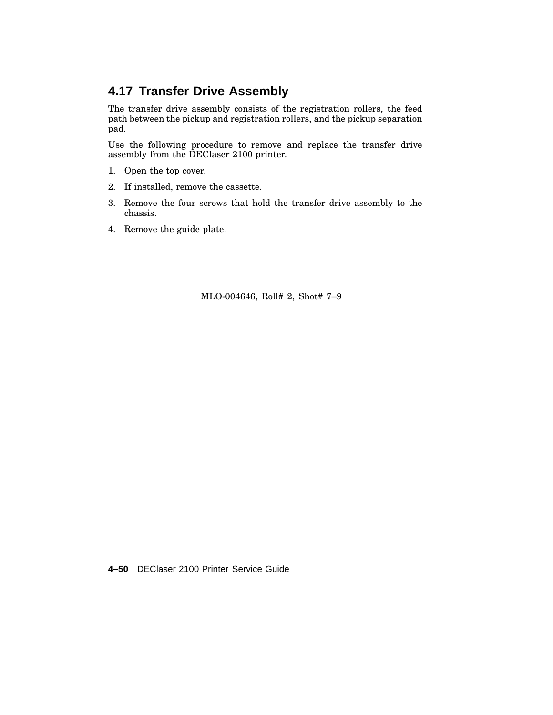# **4.17 Transfer Drive Assembly**

The transfer drive assembly consists of the registration rollers, the feed path between the pickup and registration rollers, and the pickup separation pad.

Use the following procedure to remove and replace the transfer drive assembly from the DEClaser 2100 printer.

- 1. Open the top cover.
- 2. If installed, remove the cassette.
- 3. Remove the four screws that hold the transfer drive assembly to the chassis.
- 4. Remove the guide plate.

MLO-004646, Roll# 2, Shot# 7–9

**4–50** DEClaser 2100 Printer Service Guide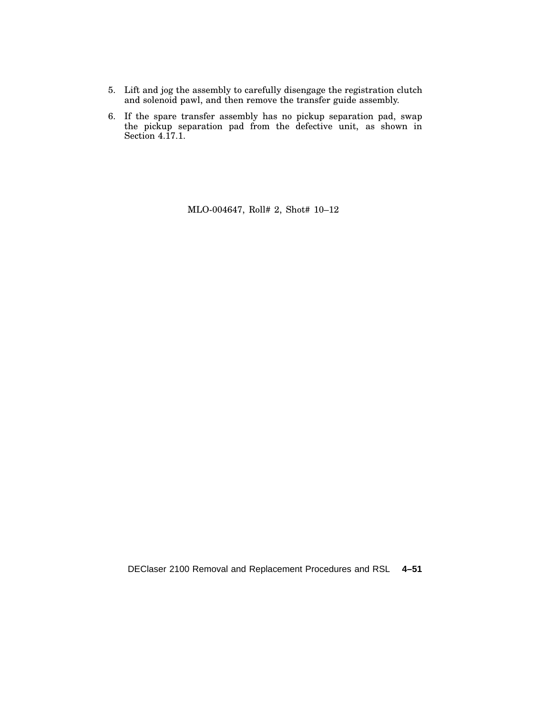- 5. Lift and jog the assembly to carefully disengage the registration clutch and solenoid pawl, and then remove the transfer guide assembly.
- 6. If the spare transfer assembly has no pickup separation pad, swap the pickup separation pad from the defective unit, as shown in Section 4.17.1.

MLO-004647, Roll# 2, Shot# 10–12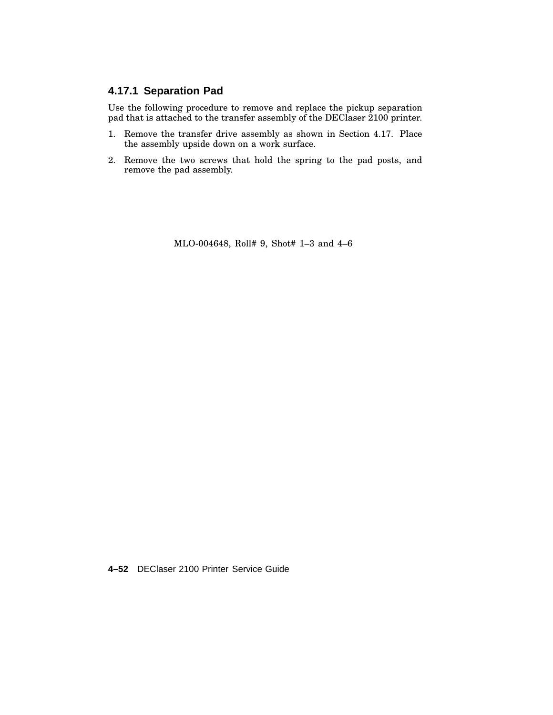#### **4.17.1 Separation Pad**

Use the following procedure to remove and replace the pickup separation pad that is attached to the transfer assembly of the DEClaser 2100 printer.

- 1. Remove the transfer drive assembly as shown in Section 4.17. Place the assembly upside down on a work surface.
- 2. Remove the two screws that hold the spring to the pad posts, and remove the pad assembly.

MLO-004648, Roll# 9, Shot# 1–3 and 4–6

**4–52** DEClaser 2100 Printer Service Guide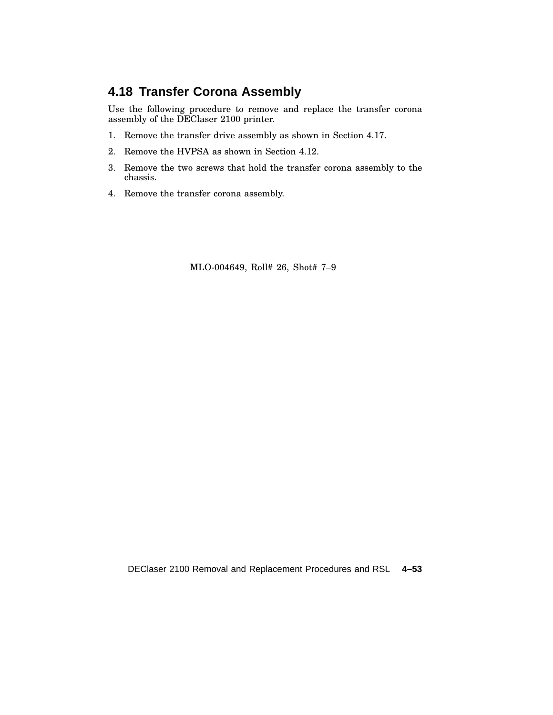## **4.18 Transfer Corona Assembly**

Use the following procedure to remove and replace the transfer corona assembly of the DEClaser 2100 printer.

- 1. Remove the transfer drive assembly as shown in Section 4.17.
- 2. Remove the HVPSA as shown in Section 4.12.
- 3. Remove the two screws that hold the transfer corona assembly to the chassis.
- 4. Remove the transfer corona assembly.

MLO-004649, Roll# 26, Shot# 7–9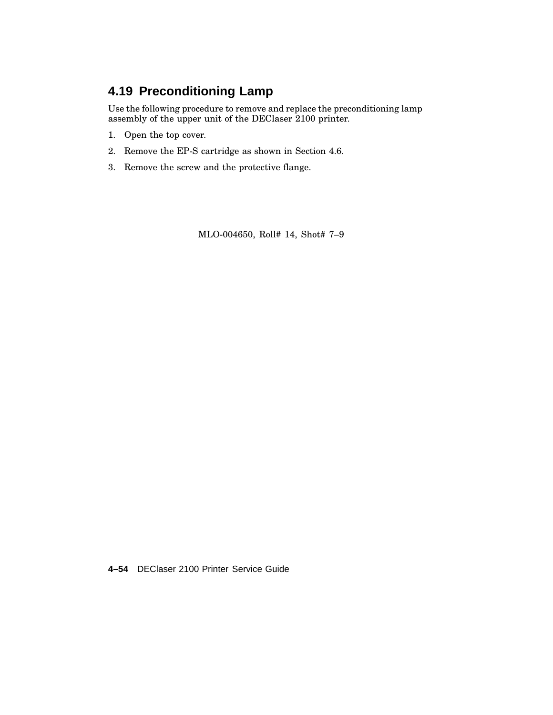# **4.19 Preconditioning Lamp**

Use the following procedure to remove and replace the preconditioning lamp assembly of the upper unit of the DEClaser 2100 printer.

- 1. Open the top cover.
- 2. Remove the EP-S cartridge as shown in Section 4.6.
- 3. Remove the screw and the protective flange.

MLO-004650, Roll# 14, Shot# 7–9

**4–54** DEClaser 2100 Printer Service Guide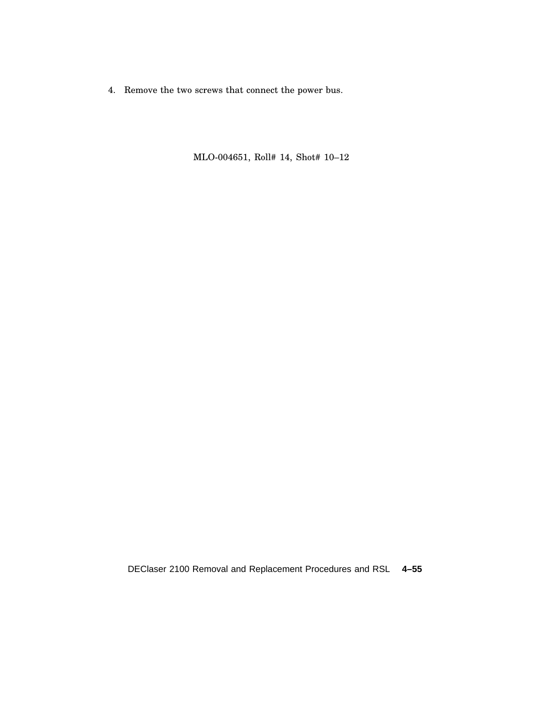4. Remove the two screws that connect the power bus.

MLO-004651, Roll# 14, Shot# 10–12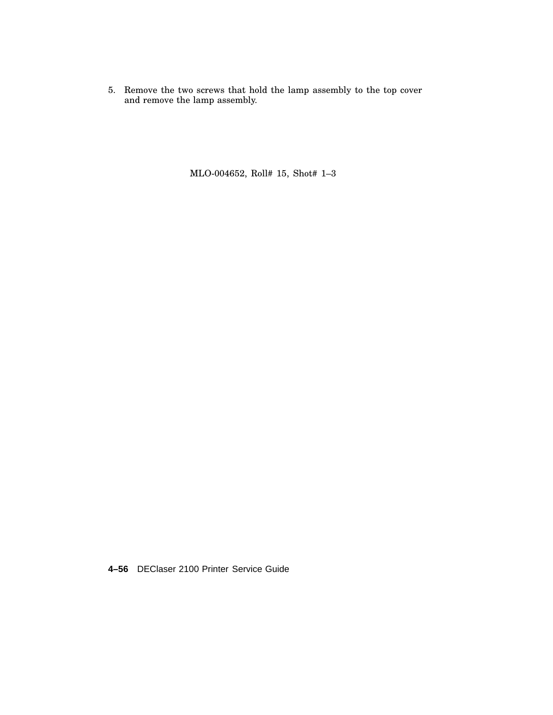5. Remove the two screws that hold the lamp assembly to the top cover and remove the lamp assembly.

MLO-004652, Roll# 15, Shot# 1–3

**4–56** DEClaser 2100 Printer Service Guide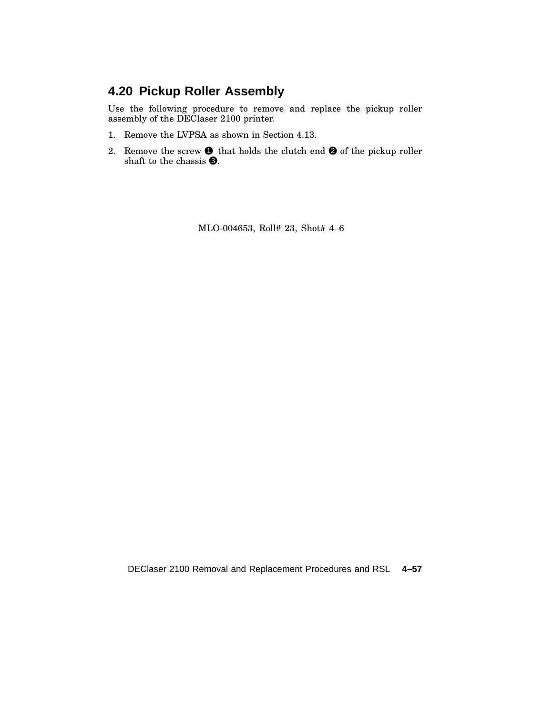# **4.20 Pickup Roller Assembly**

Use the following procedure to remove and replace the pickup roller assembly of the DEClaser 2100 printer.

- 1. Remove the LVPSA as shown in Section 4.13.
- 2. Remove the screw  $\bullet$  that holds the clutch end  $\bullet$  of the pickup roller shaft to the chassis  $\Theta$ .

MLO-004653, Roll# 23, Shot# 4–6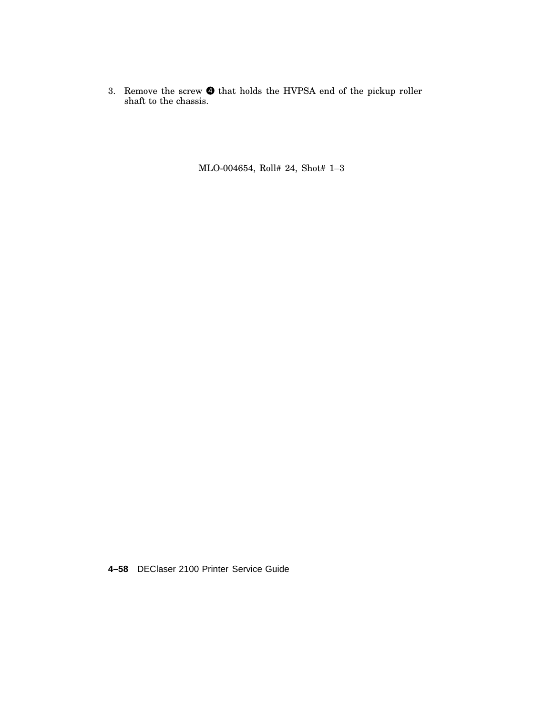3. Remove the screw  $\bullet$  that holds the HVPSA end of the pickup roller shaft to the chassis.

MLO-004654, Roll# 24, Shot# 1–3

**4–58** DEClaser 2100 Printer Service Guide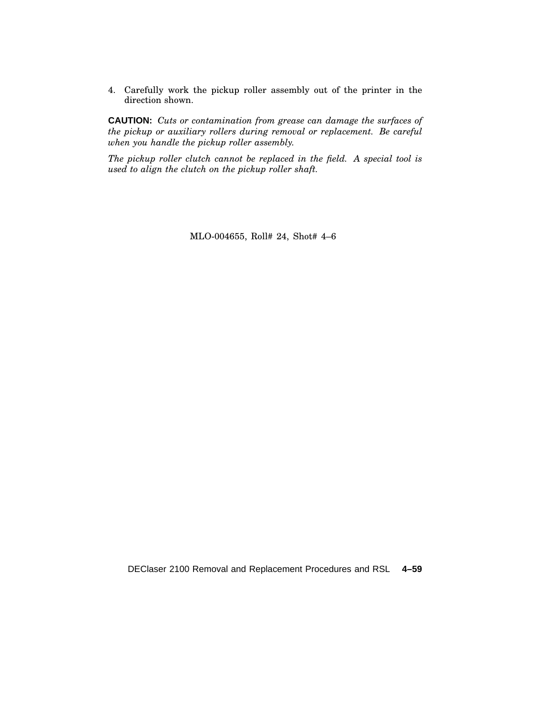4. Carefully work the pickup roller assembly out of the printer in the direction shown.

**CAUTION:** *Cuts or contamination from grease can damage the surfaces of the pickup or auxiliary rollers during removal or replacement. Be careful when you handle the pickup roller assembly.*

*The pickup roller clutch cannot be replaced in the field. A special tool is used to align the clutch on the pickup roller shaft.*

MLO-004655, Roll# 24, Shot# 4–6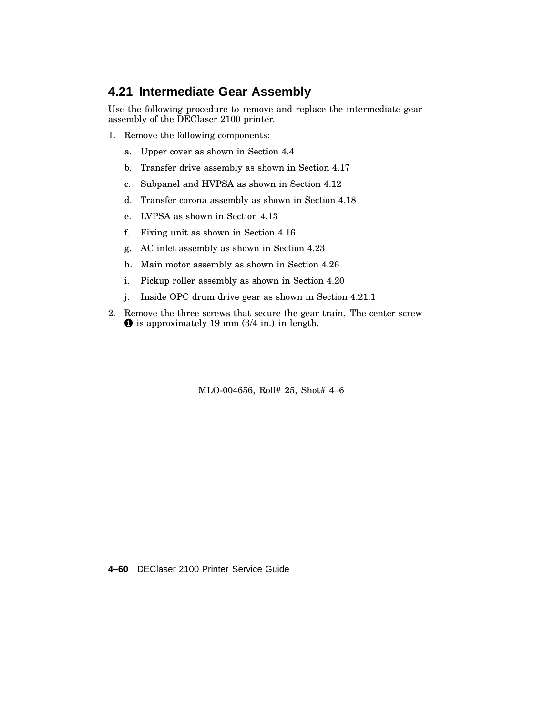#### **4.21 Intermediate Gear Assembly**

Use the following procedure to remove and replace the intermediate gear assembly of the DEClaser 2100 printer.

- 1. Remove the following components:
	- a. Upper cover as shown in Section 4.4
	- b. Transfer drive assembly as shown in Section 4.17
	- c. Subpanel and HVPSA as shown in Section 4.12
	- d. Transfer corona assembly as shown in Section 4.18
	- e. LVPSA as shown in Section 4.13
	- f. Fixing unit as shown in Section 4.16
	- g. AC inlet assembly as shown in Section 4.23
	- h. Main motor assembly as shown in Section 4.26
	- i. Pickup roller assembly as shown in Section 4.20
	- j. Inside OPC drum drive gear as shown in Section 4.21.1
- 2. Remove the three screws that secure the gear train. The center screw  $\bullet$  is approximately 19 mm (3/4 in.) in length.

MLO-004656, Roll# 25, Shot# 4–6

**4–60** DEClaser 2100 Printer Service Guide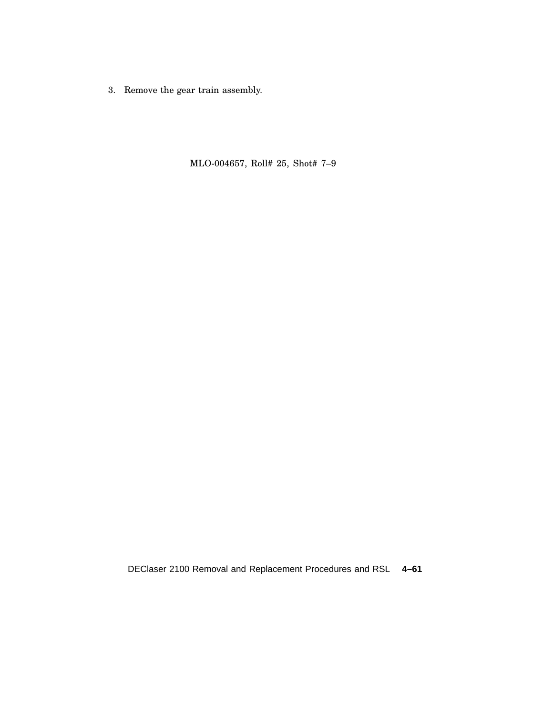3. Remove the gear train assembly.

MLO-004657, Roll# 25, Shot# 7–9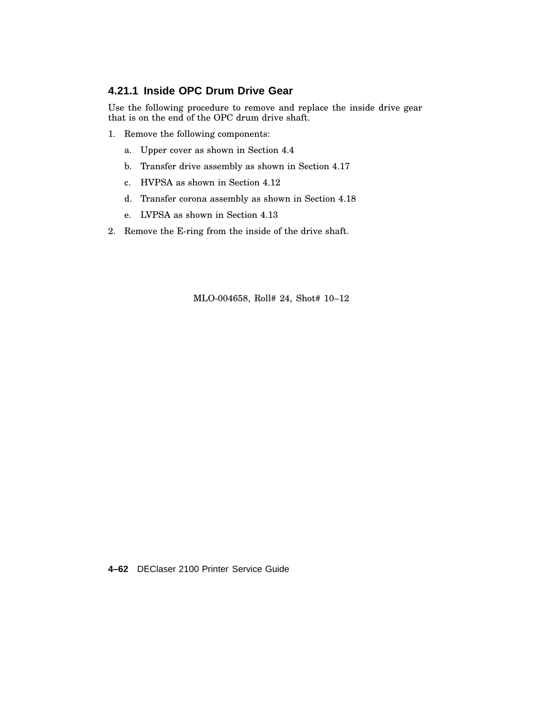#### **4.21.1 Inside OPC Drum Drive Gear**

Use the following procedure to remove and replace the inside drive gear that is on the end of the OPC drum drive shaft.

- 1. Remove the following components:
	- a. Upper cover as shown in Section 4.4
	- b. Transfer drive assembly as shown in Section 4.17
	- c. HVPSA as shown in Section 4.12
	- d. Transfer corona assembly as shown in Section 4.18
	- e. LVPSA as shown in Section 4.13
- 2. Remove the E-ring from the inside of the drive shaft.

MLO-004658, Roll# 24, Shot# 10–12

**4–62** DEClaser 2100 Printer Service Guide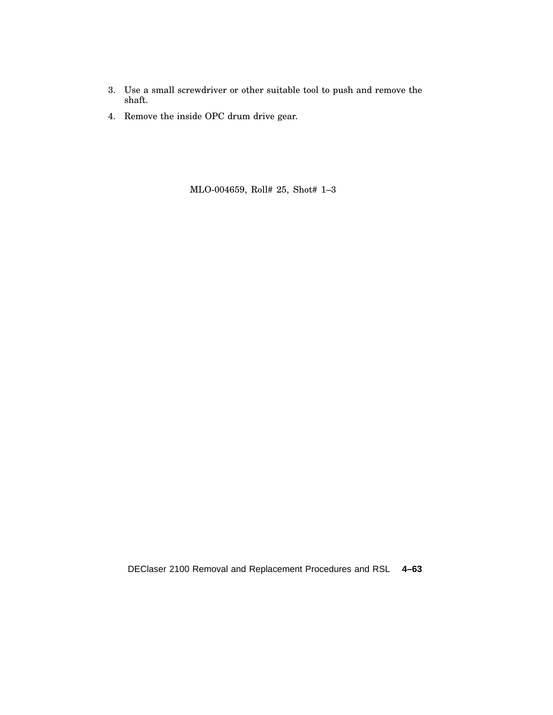- 3. Use a small screwdriver or other suitable tool to push and remove the shaft.
- 4. Remove the inside OPC drum drive gear.

MLO-004659, Roll# 25, Shot# 1–3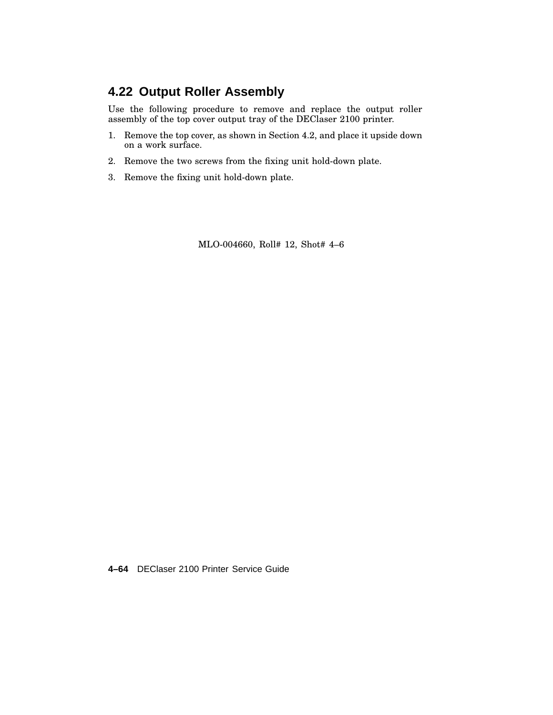# **4.22 Output Roller Assembly**

Use the following procedure to remove and replace the output roller assembly of the top cover output tray of the DEClaser 2100 printer.

- 1. Remove the top cover, as shown in Section 4.2, and place it upside down on a work surface.
- 2. Remove the two screws from the fixing unit hold-down plate.
- 3. Remove the fixing unit hold-down plate.

MLO-004660, Roll# 12, Shot# 4–6

**4–64** DEClaser 2100 Printer Service Guide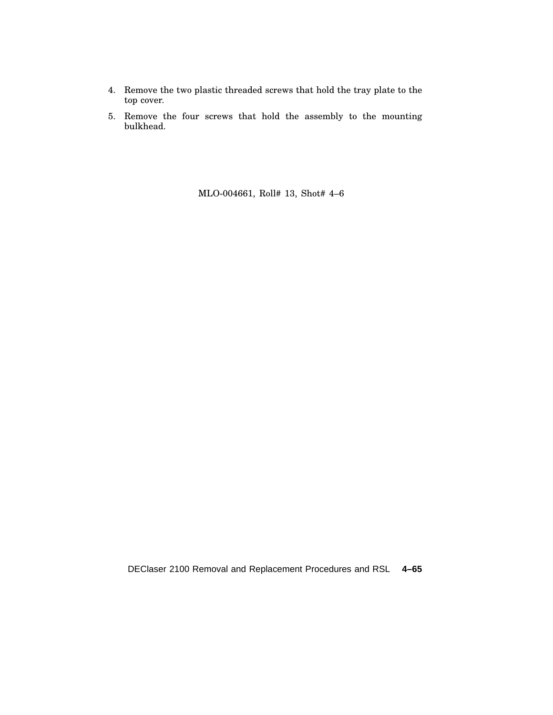- 4. Remove the two plastic threaded screws that hold the tray plate to the top cover.
- 5. Remove the four screws that hold the assembly to the mounting bulkhead.

MLO-004661, Roll# 13, Shot# 4–6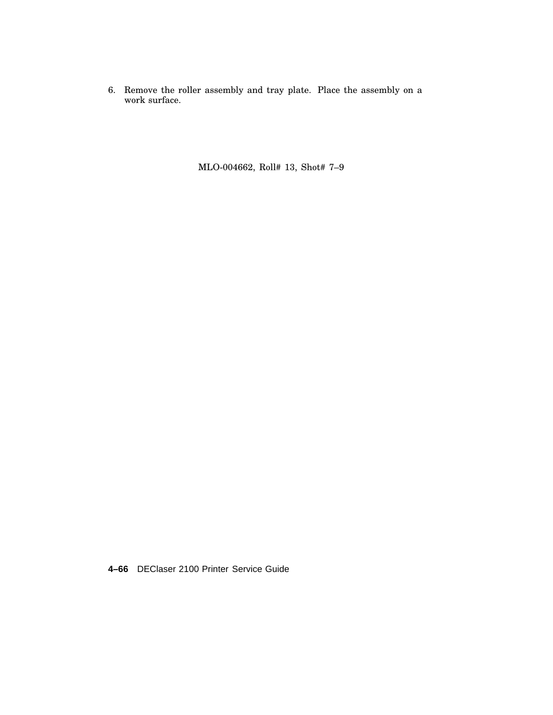6. Remove the roller assembly and tray plate. Place the assembly on a work surface.

MLO-004662, Roll# 13, Shot# 7–9

**4–66** DEClaser 2100 Printer Service Guide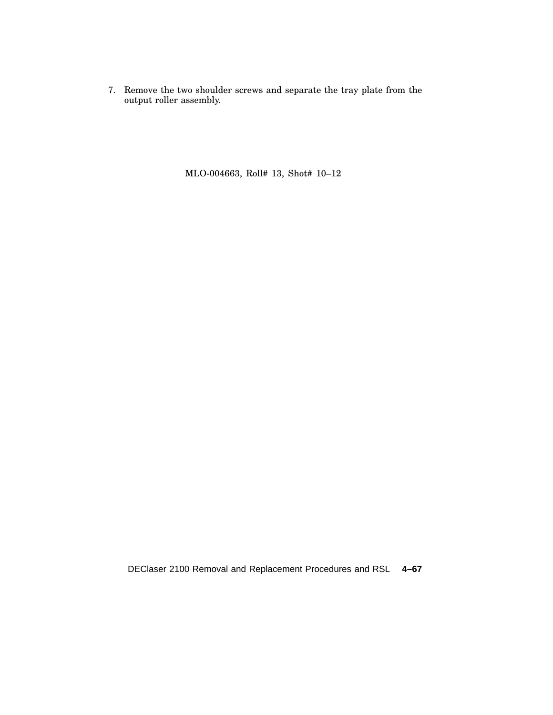7. Remove the two shoulder screws and separate the tray plate from the output roller assembly.

MLO-004663, Roll# 13, Shot# 10–12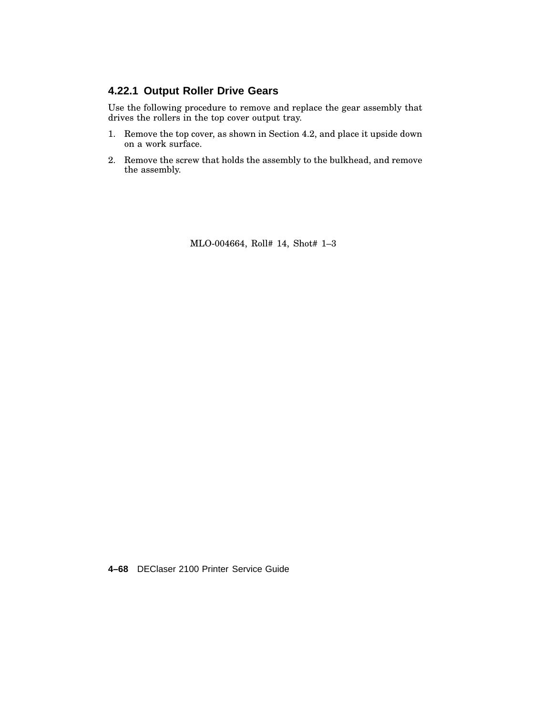#### **4.22.1 Output Roller Drive Gears**

Use the following procedure to remove and replace the gear assembly that drives the rollers in the top cover output tray.

- 1. Remove the top cover, as shown in Section 4.2, and place it upside down on a work surface.
- 2. Remove the screw that holds the assembly to the bulkhead, and remove the assembly.

MLO-004664, Roll# 14, Shot# 1–3

**4–68** DEClaser 2100 Printer Service Guide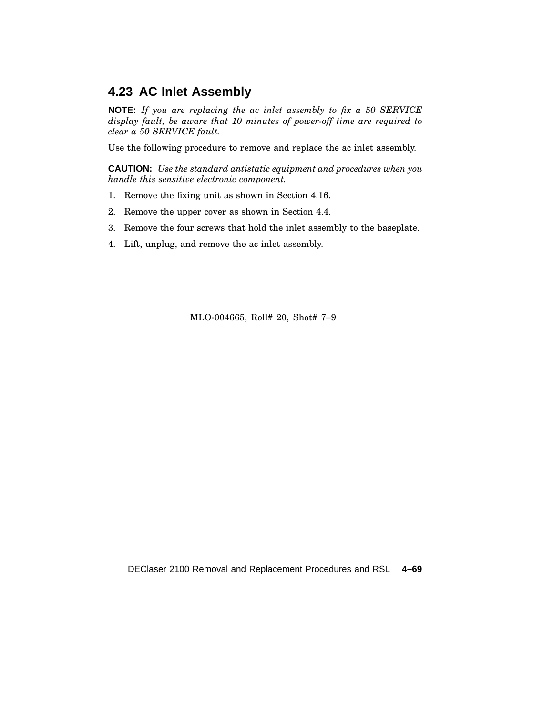#### **4.23 AC Inlet Assembly**

**NOTE:** *If you are replacing the ac inlet assembly to fix a 50 SERVICE display fault, be aware that 10 minutes of power-off time are required to clear a 50 SERVICE fault.*

Use the following procedure to remove and replace the ac inlet assembly.

**CAUTION:** *Use the standard antistatic equipment and procedures when you handle this sensitive electronic component.*

- 1. Remove the fixing unit as shown in Section 4.16.
- 2. Remove the upper cover as shown in Section 4.4.
- 3. Remove the four screws that hold the inlet assembly to the baseplate.
- 4. Lift, unplug, and remove the ac inlet assembly.

MLO-004665, Roll# 20, Shot# 7–9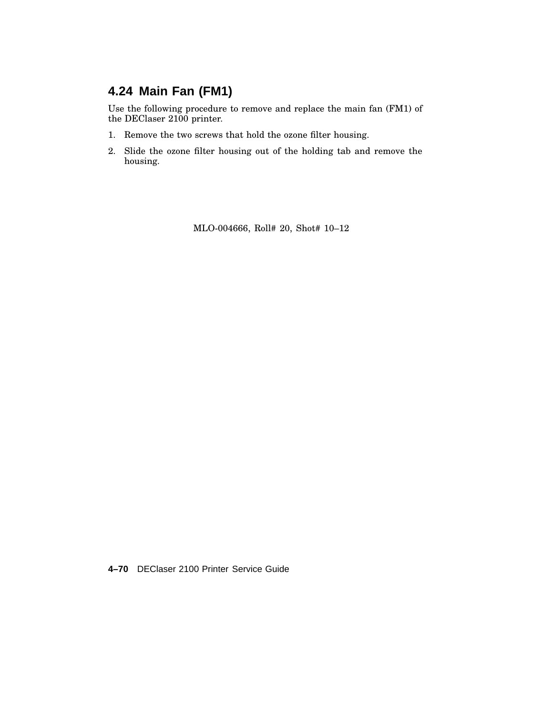# **4.24 Main Fan (FM1)**

Use the following procedure to remove and replace the main fan (FM1) of the DEClaser 2100 printer.

- 1. Remove the two screws that hold the ozone filter housing.
- 2. Slide the ozone filter housing out of the holding tab and remove the housing.

MLO-004666, Roll# 20, Shot# 10–12

**4–70** DEClaser 2100 Printer Service Guide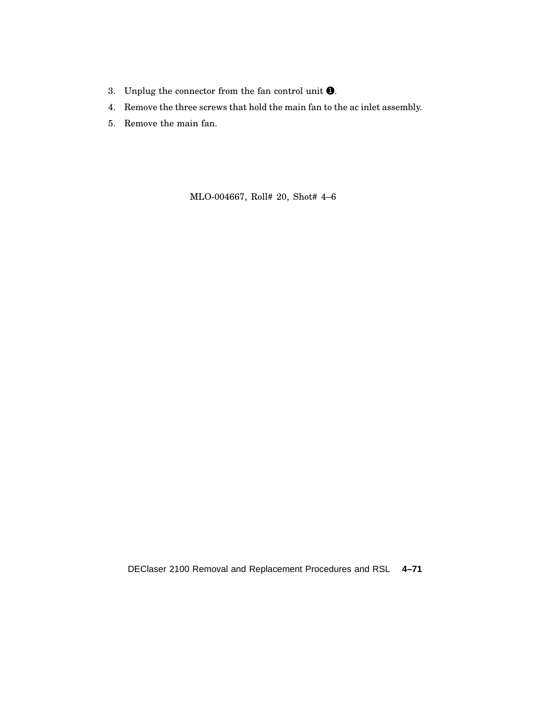- 3. Unplug the connector from the fan control unit  $\bullet$ .
- 4. Remove the three screws that hold the main fan to the ac inlet assembly.
- 5. Remove the main fan.

MLO-004667, Roll# 20, Shot# 4–6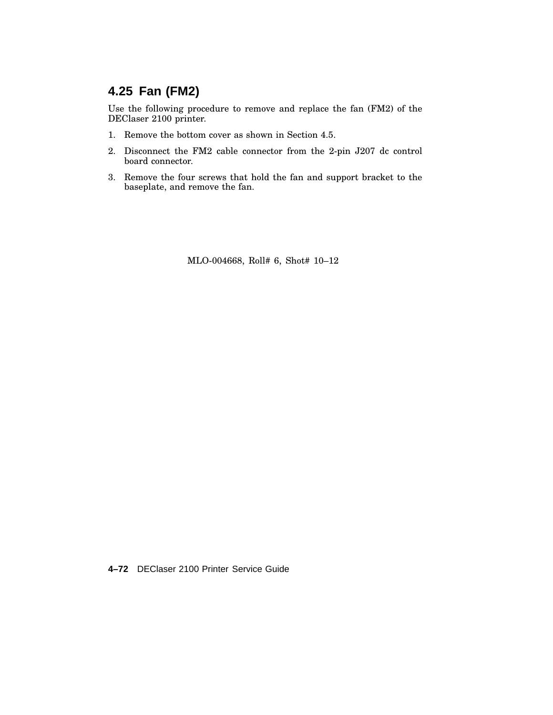# **4.25 Fan (FM2)**

Use the following procedure to remove and replace the fan (FM2) of the DEClaser 2100 printer.

- 1. Remove the bottom cover as shown in Section 4.5.
- 2. Disconnect the FM2 cable connector from the 2-pin J207 dc control board connector.
- 3. Remove the four screws that hold the fan and support bracket to the baseplate, and remove the fan.

MLO-004668, Roll# 6, Shot# 10–12

**4–72** DEClaser 2100 Printer Service Guide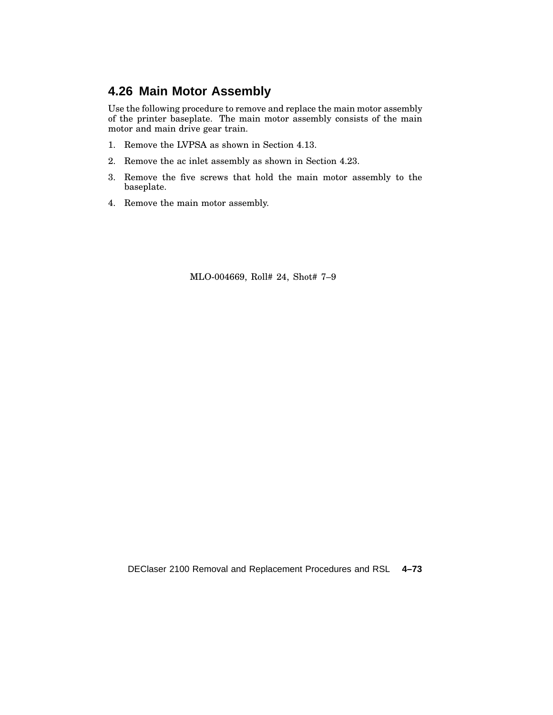## **4.26 Main Motor Assembly**

Use the following procedure to remove and replace the main motor assembly of the printer baseplate. The main motor assembly consists of the main motor and main drive gear train.

- 1. Remove the LVPSA as shown in Section 4.13.
- 2. Remove the ac inlet assembly as shown in Section 4.23.
- 3. Remove the five screws that hold the main motor assembly to the baseplate.
- 4. Remove the main motor assembly.

MLO-004669, Roll# 24, Shot# 7–9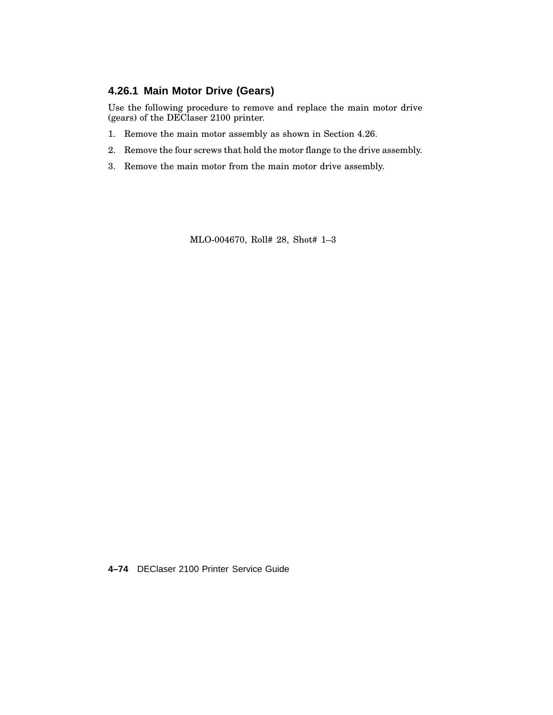#### **4.26.1 Main Motor Drive (Gears)**

Use the following procedure to remove and replace the main motor drive (gears) of the DEClaser 2100 printer.

- 1. Remove the main motor assembly as shown in Section 4.26.
- 2. Remove the four screws that hold the motor flange to the drive assembly.
- 3. Remove the main motor from the main motor drive assembly.

MLO-004670, Roll# 28, Shot# 1–3

**4–74** DEClaser 2100 Printer Service Guide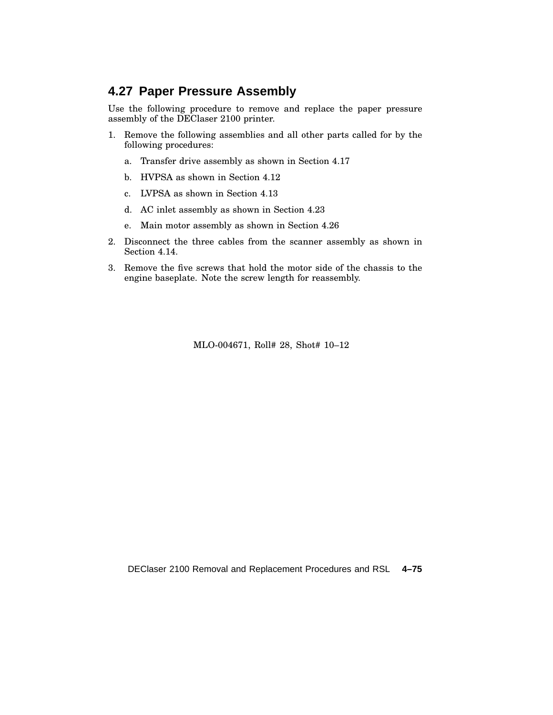## **4.27 Paper Pressure Assembly**

Use the following procedure to remove and replace the paper pressure assembly of the DEClaser 2100 printer.

- 1. Remove the following assemblies and all other parts called for by the following procedures:
	- a. Transfer drive assembly as shown in Section 4.17
	- b. HVPSA as shown in Section 4.12
	- c. LVPSA as shown in Section 4.13
	- d. AC inlet assembly as shown in Section 4.23
	- e. Main motor assembly as shown in Section 4.26
- 2. Disconnect the three cables from the scanner assembly as shown in Section 4.14.
- 3. Remove the five screws that hold the motor side of the chassis to the engine baseplate. Note the screw length for reassembly.

MLO-004671, Roll# 28, Shot# 10–12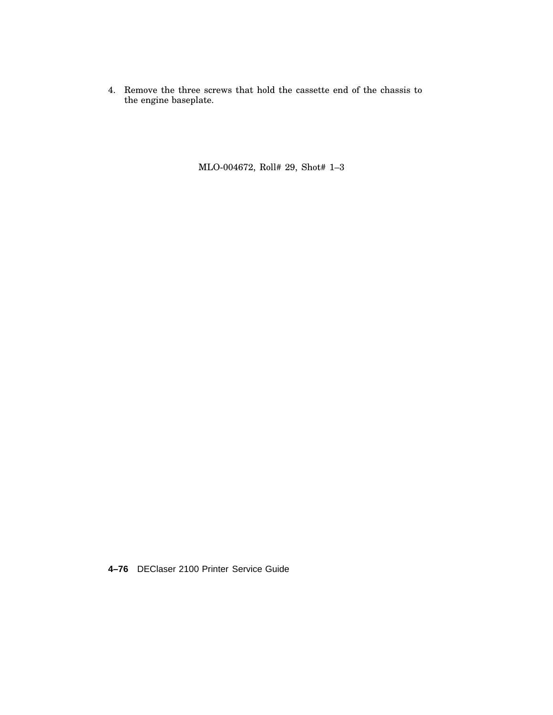4. Remove the three screws that hold the cassette end of the chassis to the engine baseplate.

MLO-004672, Roll# 29, Shot# 1–3

**4–76** DEClaser 2100 Printer Service Guide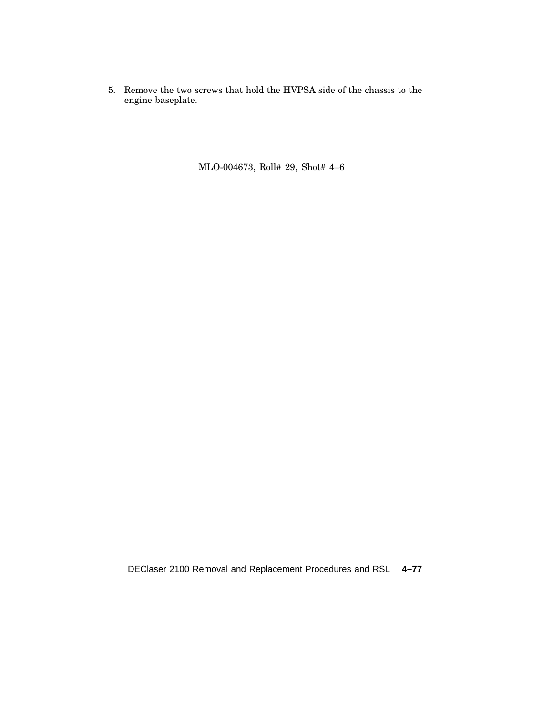5. Remove the two screws that hold the HVPSA side of the chassis to the engine baseplate.

MLO-004673, Roll# 29, Shot# 4–6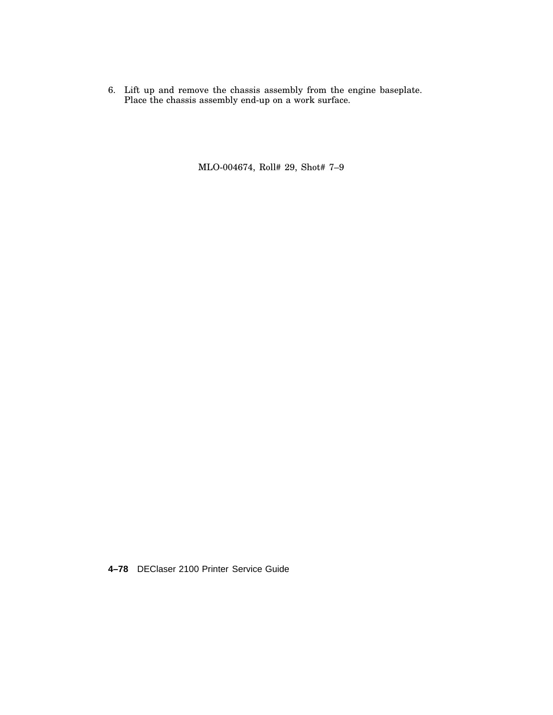6. Lift up and remove the chassis assembly from the engine baseplate. Place the chassis assembly end-up on a work surface.

MLO-004674, Roll# 29, Shot# 7–9

**4–78** DEClaser 2100 Printer Service Guide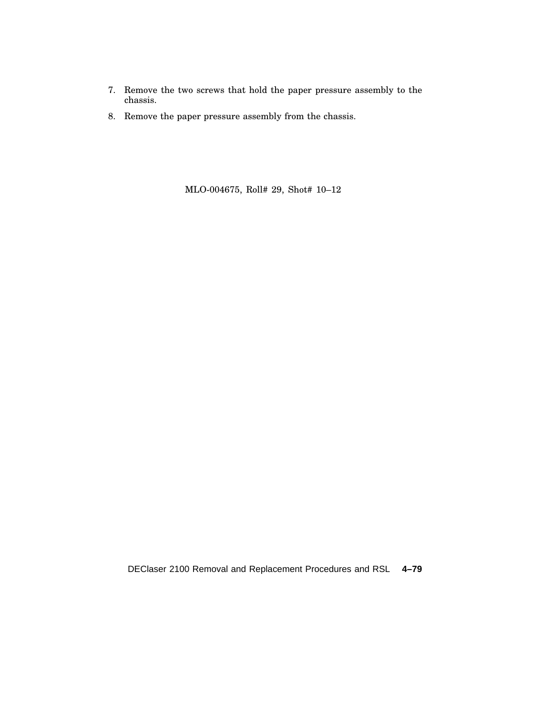- 7. Remove the two screws that hold the paper pressure assembly to the chassis.
- 8. Remove the paper pressure assembly from the chassis.

MLO-004675, Roll# 29, Shot# 10–12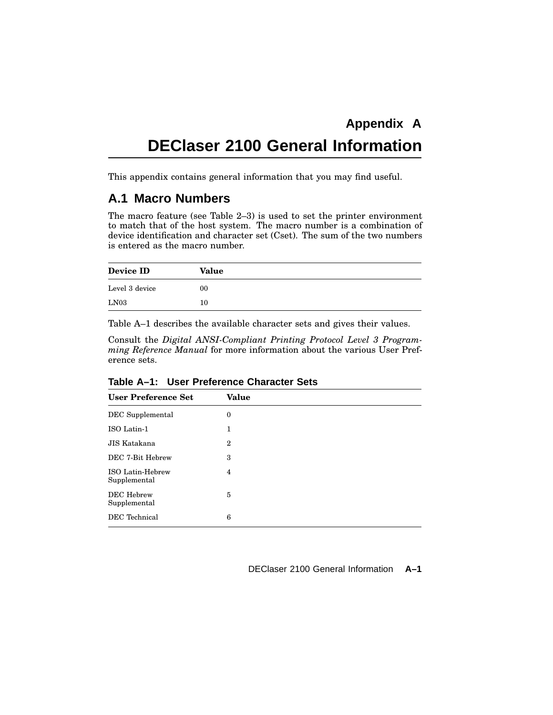# **DEClaser 2100 General Information**

This appendix contains general information that you may find useful.

#### **A.1 Macro Numbers**

The macro feature (see Table 2–3) is used to set the printer environment to match that of the host system. The macro number is a combination of device identification and character set (Cset). The sum of the two numbers is entered as the macro number.

| Device ID      | Value |
|----------------|-------|
| Level 3 device | 00    |
| LN03           | 10    |

Table A–1 describes the available character sets and gives their values.

Consult the *Digital ANSI-Compliant Printing Protocol Level 3 Programming Reference Manual* for more information about the various User Preference sets.

| <b>User Preference Set</b>        | <b>Value</b>     |  |
|-----------------------------------|------------------|--|
| DEC Supplemental                  | $\boldsymbol{0}$ |  |
| ISO Latin-1                       | 1                |  |
| JIS Katakana                      | $\boldsymbol{2}$ |  |
| DEC 7-Bit Hebrew                  | 3                |  |
| ISO Latin-Hebrew<br>Supplemental  | 4                |  |
| <b>DEC</b> Hebrew<br>Supplemental | 5                |  |
| DEC Technical                     | 6                |  |

**Table A–1: User Preference Character Sets**

DEClaser 2100 General Information **A–1**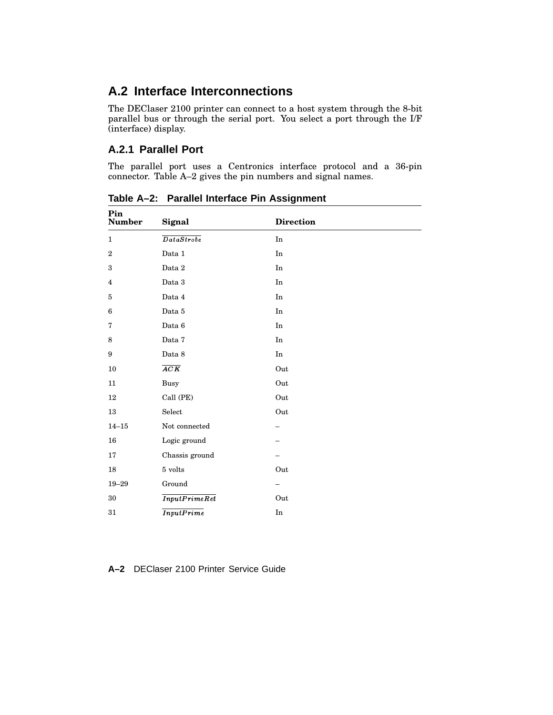## **A.2 Interface Interconnections**

The DEClaser 2100 printer can connect to a host system through the 8-bit parallel bus or through the serial port. You select a port through the I/F (interface) display.

#### **A.2.1 Parallel Port**

The parallel port uses a Centronics interface protocol and a 36-pin connector. Table A–2 gives the pin numbers and signal names.

| Pin<br><b>Number</b>    | Signal                                                                                                                        | <b>Direction</b>           |
|-------------------------|-------------------------------------------------------------------------------------------------------------------------------|----------------------------|
| $\mathbf{1}$            | $\overline{D{\hskip.1em} a{\hskip.1em} a{\hskip.1em} S{\hskip.1em} t{\hskip.1em} {\hskip.1em} a{\hskip.1em} b{\hskip.1em} e}$ | In                         |
| $\,2$                   | $\rm Data~1$                                                                                                                  | In                         |
| 3                       | Data $2\,$                                                                                                                    | $\mathop{\rm In}\nolimits$ |
| $\overline{\mathbf{4}}$ | $\rm Data~3$                                                                                                                  | In                         |
| $\bf 5$                 | Data 4                                                                                                                        | $\rm In$                   |
| $\bf 6$                 | Data $5\,$                                                                                                                    | In                         |
| 7                       | Data $6\,$                                                                                                                    | In                         |
| 8                       | $\rm Data$ $7$                                                                                                                | In                         |
| 9                       | Data 8                                                                                                                        | $\mathop{\rm In}\nolimits$ |
| 10                      | ACK                                                                                                                           | Out                        |
| 11                      | <b>Busy</b>                                                                                                                   | Out                        |
| 12                      | Call (PE)                                                                                                                     | Out                        |
| $13\,$                  | Select                                                                                                                        | Out                        |
| $14 - 15$               | Not connected                                                                                                                 |                            |
| 16                      | Logic ground                                                                                                                  |                            |
| 17                      | Chassis ground                                                                                                                |                            |
| 18                      | 5 volts                                                                                                                       | Out                        |
| $19 - 29$               | Ground                                                                                                                        |                            |
| $30\,$                  | InputPrimeRet                                                                                                                 | Out                        |
| $31\,$                  | <b>InputPrime</b>                                                                                                             | $\mathop{\mathrm{In}}$     |

**Table A–2: Parallel Interface Pin Assignment**

**A–2** DEClaser 2100 Printer Service Guide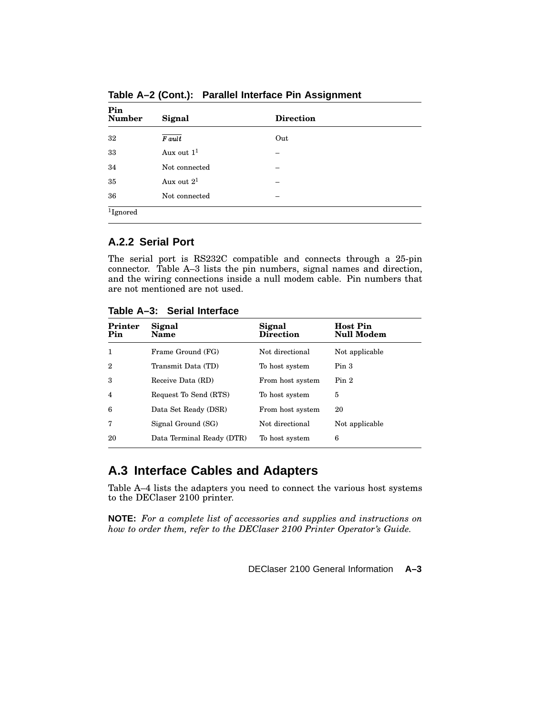| Pin<br><b>Number</b> | Signal        | <b>Direction</b> |
|----------------------|---------------|------------------|
| 32                   | <b>F</b> ault | Out              |
| 33                   | Aux out $11$  |                  |
| 34                   | Not connected |                  |
| 35                   | Aux out $2^1$ | -                |
| 36                   | Not connected | -                |
| $1$ Ignored          |               |                  |

**Table A–2 (Cont.): Parallel Interface Pin Assignment**

## **A.2.2 Serial Port**

The serial port is RS232C compatible and connects through a 25-pin connector. Table A–3 lists the pin numbers, signal names and direction, and the wiring connections inside a null modem cable. Pin numbers that are not mentioned are not used.

**Table A–3: Serial Interface**

| Printer<br>Pin | Signal<br>Name            | Signal<br><b>Direction</b> | <b>Host Pin</b><br><b>Null Modem</b> |
|----------------|---------------------------|----------------------------|--------------------------------------|
| 1              | Frame Ground (FG)         | Not directional            | Not applicable                       |
| 2              | Transmit Data (TD)        | To host system             | Pin <sub>3</sub>                     |
| 3              | Receive Data (RD)         | From host system           | Pin <sub>2</sub>                     |
| 4              | Request To Send (RTS)     | To host system             | 5                                    |
| 6              | Data Set Ready (DSR)      | From host system           | 20                                   |
| 7              | Signal Ground (SG)        | Not directional            | Not applicable                       |
| 20             | Data Terminal Ready (DTR) | To host system             | 6                                    |

# **A.3 Interface Cables and Adapters**

Table A–4 lists the adapters you need to connect the various host systems to the DEClaser 2100 printer.

**NOTE:** *For a complete list of accessories and supplies and instructions on how to order them, refer to the DEClaser 2100 Printer Operator's Guide.*

DEClaser 2100 General Information **A–3**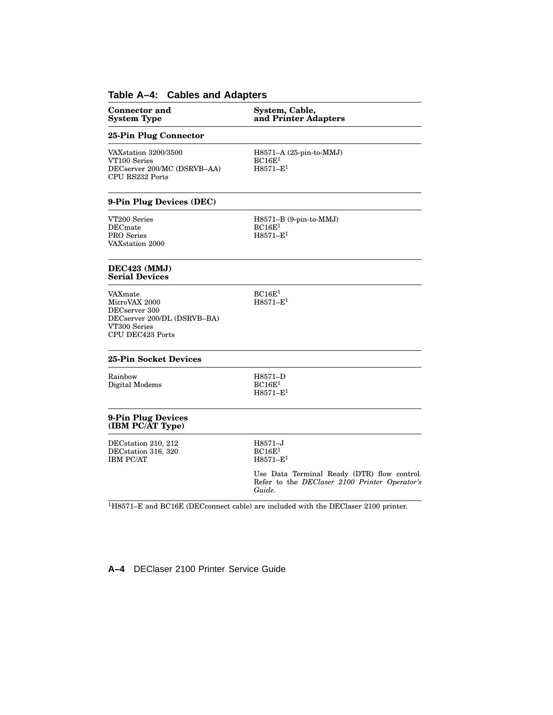# **Table A–4: Cables and Adapters**

| <b>Connector and</b><br><b>System Type</b>                                                                   | System, Cable,<br>and Printer Adapters                                                                 |
|--------------------------------------------------------------------------------------------------------------|--------------------------------------------------------------------------------------------------------|
| 25-Pin Plug Connector                                                                                        |                                                                                                        |
| VAXstation 3200/3500<br>VT100 Series<br>DECserver 200/MC (DSRVB-AA)<br>CPU RS232 Ports                       | H8571-A (25-pin-to-MMJ)<br>BC16E <sup>1</sup><br>$H8571 - E^1$                                         |
| 9-Pin Plug Devices (DEC)                                                                                     |                                                                                                        |
| VT200 Series<br>DECmate<br>PRO Series<br>VAXstation 2000                                                     | $H8571-B$ (9-pin-to-MMJ)<br>BC16E <sup>1</sup><br>$H8571 - E1$                                         |
| DEC423 (MMJ)<br><b>Serial Devices</b>                                                                        |                                                                                                        |
| VAXmate<br>MicroVAX 2000<br>DECserver 300<br>DECserver 200/DL (DSRVB-BA)<br>VT300 Series<br>CPU DEC423 Ports | BC16E <sup>1</sup><br>$H8571 - E^1$                                                                    |
| 25-Pin Socket Devices                                                                                        |                                                                                                        |
| Rainbow<br>Digital Modems                                                                                    | H8571-D<br>BC16E <sup>1</sup><br>$H8571 - E1$                                                          |
| 9-Pin Plug Devices<br>(IBM PC/AT Type)                                                                       |                                                                                                        |
| DECstation 210, 212<br>DECstation 316, 320<br><b>IBM PC/AT</b>                                               | H8571-J<br>BC16E <sup>1</sup><br>$H8571 - E^1$                                                         |
|                                                                                                              | Use Data Terminal Ready (DTR) flow control.<br>Refer to the DEClaser 2100 Printer Operator's<br>Guide. |
|                                                                                                              |                                                                                                        |

 $^{1}\mathrm{H}8571\mathrm{-E}$  and BC16E (DEC<br>connect cable) are included with the DEClaser 2100 printer.

**A–4** DEClaser 2100 Printer Service Guide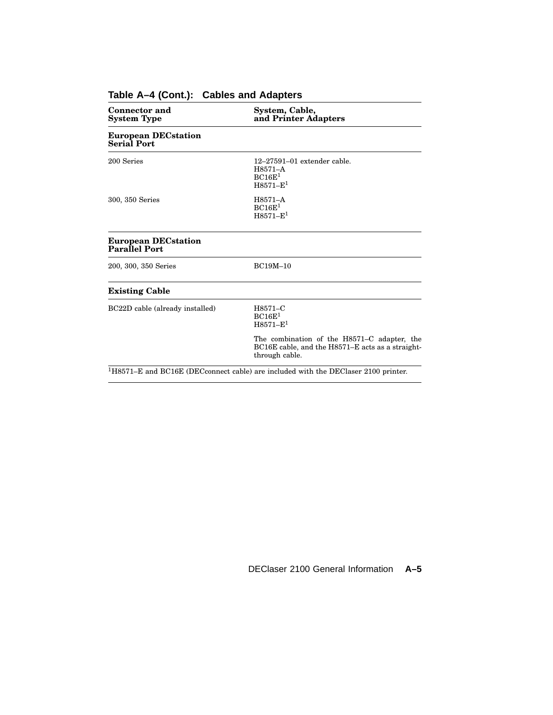| <b>Connector and</b><br><b>System Type</b>         | System, Cable,<br>and Printer Adapters                                                                            |  |
|----------------------------------------------------|-------------------------------------------------------------------------------------------------------------------|--|
| <b>European DECstation</b><br>Serial Port          |                                                                                                                   |  |
| 200 Series                                         | $12 - 27591 - 01$ extender cable.<br>H8571-A<br>BC16E <sup>1</sup><br>$H8571 - E1$                                |  |
| 300, 350 Series                                    | H8571-A<br>BC16E <sup>1</sup><br>$H8571 - E1$                                                                     |  |
| <b>European DECstation</b><br><b>Parallel Port</b> |                                                                                                                   |  |
| 200, 300, 350 Series                               | <b>BC19M-10</b>                                                                                                   |  |
| <b>Existing Cable</b>                              |                                                                                                                   |  |
| BC22D cable (already installed)                    | H8571-C<br>BC16E <sup>1</sup><br>$H8571 - E1$                                                                     |  |
|                                                    | The combination of the H8571–C adapter, the<br>BC16E cable, and the H8571–E acts as a straight-<br>through cable. |  |
|                                                    | $1H8571-E$ and BC16E (DEC connect cable) are included with the DEC laser 2100 printer.                            |  |

## **Table A–4 (Cont.): Cables and Adapters**

DEClaser 2100 General Information **A–5**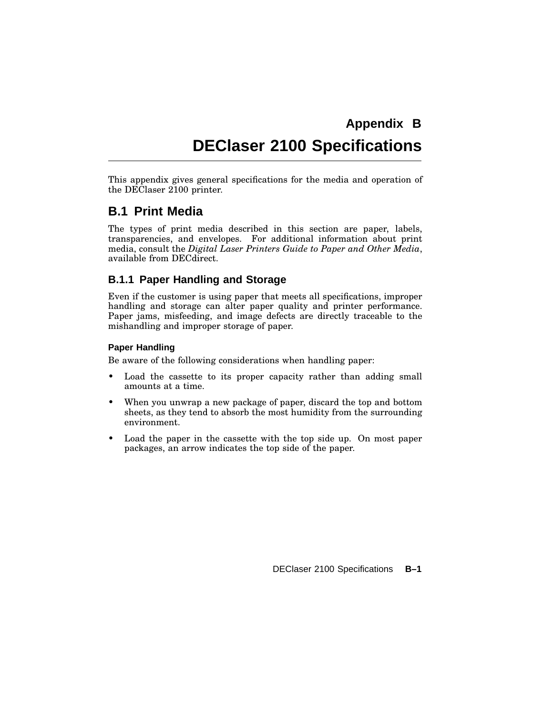# **Appendix B DEClaser 2100 Specifications**

This appendix gives general specifications for the media and operation of the DEClaser 2100 printer.

## **B.1 Print Media**

The types of print media described in this section are paper, labels, transparencies, and envelopes. For additional information about print media, consult the *Digital Laser Printers Guide to Paper and Other Media*, available from DECdirect.

## **B.1.1 Paper Handling and Storage**

Even if the customer is using paper that meets all specifications, improper handling and storage can alter paper quality and printer performance. Paper jams, misfeeding, and image defects are directly traceable to the mishandling and improper storage of paper.

#### **Paper Handling**

Be aware of the following considerations when handling paper:

- Load the cassette to its proper capacity rather than adding small amounts at a time.
- When you unwrap a new package of paper, discard the top and bottom sheets, as they tend to absorb the most humidity from the surrounding environment.
- Load the paper in the cassette with the top side up. On most paper packages, an arrow indicates the top side of the paper.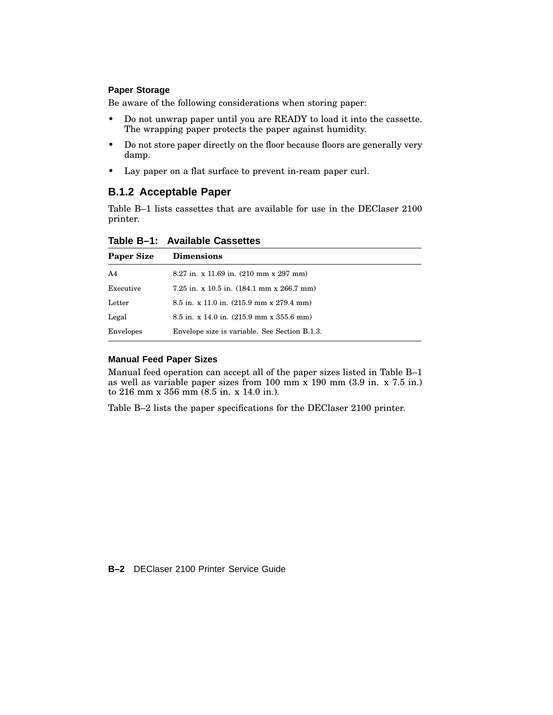#### **Paper Storage**

Be aware of the following considerations when storing paper:

- Do not unwrap paper until you are READY to load it into the cassette. The wrapping paper protects the paper against humidity.
- Do not store paper directly on the floor because floors are generally very damp.
- Lay paper on a flat surface to prevent in-ream paper curl.

### **B.1.2 Acceptable Paper**

Table B–1 lists cassettes that are available for use in the DEClaser 2100 printer.

| Table B-1: Available Cassettes |  |  |  |  |
|--------------------------------|--|--|--|--|
|--------------------------------|--|--|--|--|

| <b>Paper Size</b> | <b>Dimensions</b>                                                |
|-------------------|------------------------------------------------------------------|
| A <sub>4</sub>    | $8.27$ in. x 11.69 in. $(210 \text{ mm} \times 297 \text{ mm})$  |
| Executive         | 7.25 in. x 10.5 in. $(184.1 \text{ mm} \times 266.7 \text{ mm})$ |
| Letter            | 8.5 in. x 11.0 in. (215.9 mm x 279.4 mm)                         |
| Legal             | $8.5$ in. x 14.0 in. $(215.9$ mm x 355.6 mm)                     |
| Envelopes         | Envelope size is variable. See Section B.1.3.                    |

#### **Manual Feed Paper Sizes**

Manual feed operation can accept all of the paper sizes listed in Table B–1 as well as variable paper sizes from 100 mm x 190 mm (3.9 in. x 7.5 in.) to 216 mm x 356 mm (8.5 in. x 14.0 in.).

Table B–2 lists the paper specifications for the DEClaser 2100 printer.

**B–2** DEClaser 2100 Printer Service Guide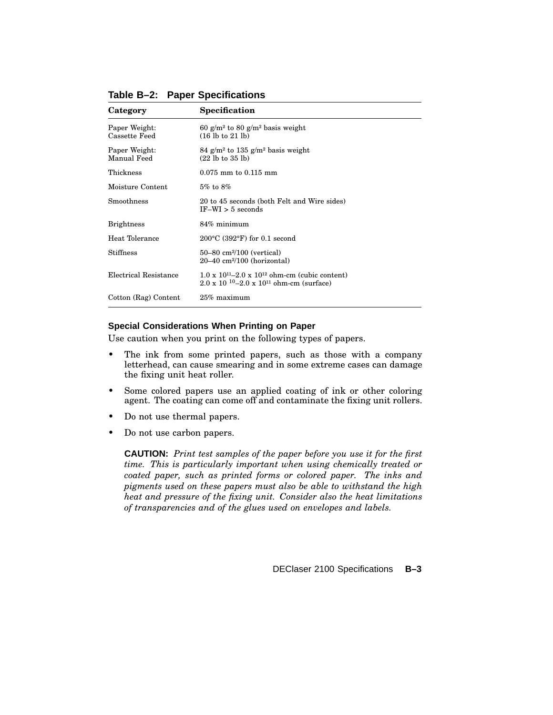| Category                       | Specification                                                                                                                   |
|--------------------------------|---------------------------------------------------------------------------------------------------------------------------------|
| Paper Weight:<br>Cassette Feed | 60 g/m <sup>2</sup> to 80 g/m <sup>2</sup> basis weight<br>$(16 \text{ lb to } 21 \text{ lb})$                                  |
| Paper Weight:<br>Manual Feed   | 84 g/m <sup>2</sup> to 135 g/m <sup>2</sup> basis weight<br>$(22 \text{ lb to } 35 \text{ lb})$                                 |
| Thickness                      | $0.075$ mm to $0.115$ mm                                                                                                        |
| Moisture Content               | $5\%$ to $8\%$                                                                                                                  |
| Smoothness                     | 20 to 45 seconds (both Felt and Wire sides)<br>$IF-WI > 5$ seconds                                                              |
| <b>Brightness</b>              | $84\%$ minimum                                                                                                                  |
| Heat Tolerance                 | $200^{\circ}$ C (392 $^{\circ}$ F) for 0.1 second                                                                               |
| Stiffness                      | $50 - 80$ cm <sup>2</sup> /100 (vertical)<br>$20-40$ cm <sup>2</sup> /100 (horizontal)                                          |
| Electrical Resistance          | $1.0 \times 10^{11} - 2.0 \times 10^{12}$ ohm-cm (cubic content)<br>$2.0 \times 10^{-10} - 2.0 \times 10^{11}$ ohm-cm (surface) |
| Cotton (Rag) Content           | $25\%$ maximum                                                                                                                  |

**Table B–2: Paper Specifications**

#### **Special Considerations When Printing on Paper**

Use caution when you print on the following types of papers.

- The ink from some printed papers, such as those with a company letterhead, can cause smearing and in some extreme cases can damage the fixing unit heat roller.
- Some colored papers use an applied coating of ink or other coloring agent. The coating can come off and contaminate the fixing unit rollers.
- Do not use thermal papers.
- Do not use carbon papers.

**CAUTION:** *Print test samples of the paper before you use it for the first time. This is particularly important when using chemically treated or coated paper, such as printed forms or colored paper. The inks and pigments used on these papers must also be able to withstand the high heat and pressure of the fixing unit. Consider also the heat limitations of transparencies and of the glues used on envelopes and labels.*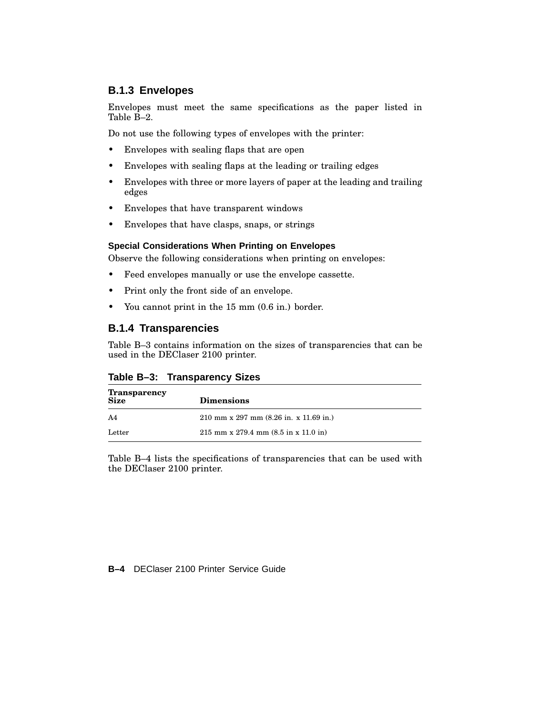## **B.1.3 Envelopes**

Envelopes must meet the same specifications as the paper listed in Table B–2.

Do not use the following types of envelopes with the printer:

- Envelopes with sealing flaps that are open
- Envelopes with sealing flaps at the leading or trailing edges
- Envelopes with three or more layers of paper at the leading and trailing edges
- Envelopes that have transparent windows
- Envelopes that have clasps, snaps, or strings

#### **Special Considerations When Printing on Envelopes**

Observe the following considerations when printing on envelopes:

- Feed envelopes manually or use the envelope cassette.
- Print only the front side of an envelope.
- You cannot print in the 15 mm (0.6 in.) border.

## **B.1.4 Transparencies**

Table B–3 contains information on the sizes of transparencies that can be used in the DEClaser 2100 printer.

#### **Table B–3: Transparency Sizes**

| <b>Transparency</b> |                                                           |
|---------------------|-----------------------------------------------------------|
| <b>Size</b>         | <b>Dimensions</b>                                         |
| A4                  | 210 mm x 297 mm $(8.26 \text{ in. x } 11.69 \text{ in.})$ |
| Letter              | $215$ mm x 279.4 mm $(8.5$ in x 11.0 in)                  |

Table B–4 lists the specifications of transparencies that can be used with the DEClaser 2100 printer.

**B–4** DEClaser 2100 Printer Service Guide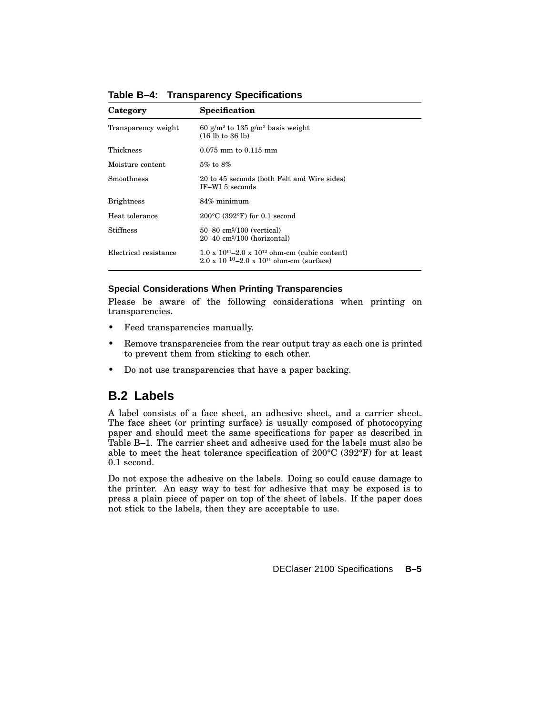| Category              | Specification                                                                                                                   |
|-----------------------|---------------------------------------------------------------------------------------------------------------------------------|
| Transparency weight   | 60 g/m <sup>2</sup> to 135 g/m <sup>2</sup> basis weight<br>$(16 \text{ lb to } 36 \text{ lb})$                                 |
| Thickness             | $0.075$ mm to $0.115$ mm                                                                                                        |
| Moisture content      | $5\%$ to $8\%$                                                                                                                  |
| Smoothness            | 20 to 45 seconds (both Felt and Wire sides)<br>IF-WI 5 seconds                                                                  |
| <b>Brightness</b>     | 84% minimum                                                                                                                     |
| Heat tolerance        | $200^{\circ}$ C (392 $^{\circ}$ F) for 0.1 second                                                                               |
| <b>Stiffness</b>      | $50 - 80$ cm <sup>2</sup> /100 (vertical)<br>$20-40$ cm <sup>2</sup> /100 (horizontal)                                          |
| Electrical resistance | $1.0 \times 10^{11} - 2.0 \times 10^{12}$ ohm-cm (cubic content)<br>$2.0 \times 10^{-10} - 2.0 \times 10^{11}$ ohm-cm (surface) |

**Table B–4: Transparency Specifications**

#### **Special Considerations When Printing Transparencies**

Please be aware of the following considerations when printing on transparencies.

- Feed transparencies manually.
- Remove transparencies from the rear output tray as each one is printed to prevent them from sticking to each other.
- Do not use transparencies that have a paper backing.

## **B.2 Labels**

A label consists of a face sheet, an adhesive sheet, and a carrier sheet. The face sheet (or printing surface) is usually composed of photocopying paper and should meet the same specifications for paper as described in Table B–1. The carrier sheet and adhesive used for the labels must also be able to meet the heat tolerance specification of 200°C (392°F) for at least 0.1 second.

Do not expose the adhesive on the labels. Doing so could cause damage to the printer. An easy way to test for adhesive that may be exposed is to press a plain piece of paper on top of the sheet of labels. If the paper does not stick to the labels, then they are acceptable to use.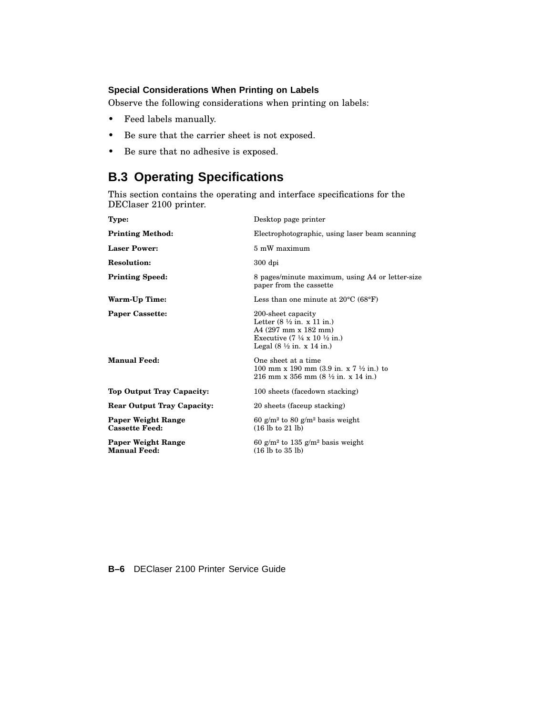#### **Special Considerations When Printing on Labels**

Observe the following considerations when printing on labels:

- Feed labels manually.
- Be sure that the carrier sheet is not exposed.
- Be sure that no adhesive is exposed.

# **B.3 Operating Specifications**

This section contains the operating and interface specifications for the DEClaser 2100 printer.

| <b>Type:</b>                                       | Desktop page printer                                                                                                                                                                                          |
|----------------------------------------------------|---------------------------------------------------------------------------------------------------------------------------------------------------------------------------------------------------------------|
| <b>Printing Method:</b>                            | Electrophotographic, using laser beam scanning                                                                                                                                                                |
| <b>Laser Power:</b>                                | 5 mW maximum                                                                                                                                                                                                  |
| <b>Resolution:</b>                                 | $300$ dpi                                                                                                                                                                                                     |
| <b>Printing Speed:</b>                             | 8 pages/minute maximum, using A4 or letter-size<br>paper from the cassette                                                                                                                                    |
| Warm-Up Time:                                      | Less than one minute at $20^{\circ}$ C (68 $^{\circ}$ F)                                                                                                                                                      |
| <b>Paper Cassette:</b>                             | 200-sheet capacity<br>Letter $(8 \frac{1}{2}$ in. x 11 in.)<br>A4 (297 mm x 182 mm)<br>Executive $(7 \frac{1}{4} \times 10 \frac{1}{2} \text{ in.})$<br>Legal $(8 \frac{1}{2} \text{ in. x } 14 \text{ in.})$ |
| <b>Manual Feed:</b>                                | One sheet at a time<br>100 mm x 190 mm $(3.9 \text{ in. x } 7 \frac{1}{2} \text{ in.})$ to<br>216 mm x 356 mm $(8 \frac{1}{2}$ in. x 14 in.)                                                                  |
| Top Output Tray Capacity:                          | 100 sheets (facedown stacking)                                                                                                                                                                                |
| <b>Rear Output Tray Capacity:</b>                  | 20 sheets (faceup stacking)                                                                                                                                                                                   |
| <b>Paper Weight Range</b><br><b>Cassette Feed:</b> | 60 g/m <sup>2</sup> to 80 g/m <sup>2</sup> basis weight<br>$(16 \text{ lb to } 21 \text{ lb})$                                                                                                                |
| <b>Paper Weight Range</b><br><b>Manual Feed:</b>   | 60 g/m <sup>2</sup> to 135 g/m <sup>2</sup> basis weight<br>$(16 \text{ lb to } 35 \text{ lb})$                                                                                                               |
|                                                    |                                                                                                                                                                                                               |

**B–6** DEClaser 2100 Printer Service Guide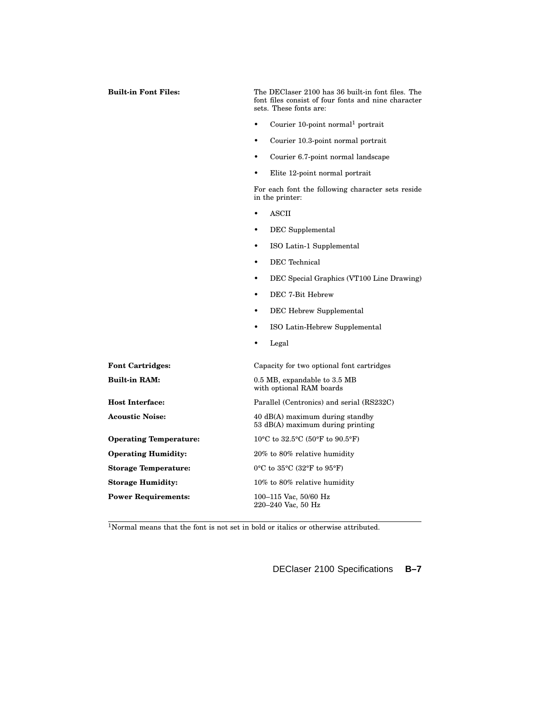| <b>Built-in Font Files:</b>   | The DEClaser 2100 has 36 built-in font files. The<br>font files consist of four fonts and nine character<br>sets. These fonts are: |  |
|-------------------------------|------------------------------------------------------------------------------------------------------------------------------------|--|
|                               | Courier 10-point normal <sup>1</sup> portrait                                                                                      |  |
|                               | Courier 10.3-point normal portrait<br>$\bullet$                                                                                    |  |
|                               | Courier 6.7-point normal landscape<br>٠                                                                                            |  |
|                               | Elite 12-point normal portrait                                                                                                     |  |
|                               | For each font the following character sets reside<br>in the printer:                                                               |  |
|                               | <b>ASCII</b>                                                                                                                       |  |
|                               | DEC Supplemental                                                                                                                   |  |
|                               | ISO Latin-1 Supplemental<br>$\bullet$                                                                                              |  |
|                               | <b>DEC</b> Technical<br>٠                                                                                                          |  |
|                               | DEC Special Graphics (VT100 Line Drawing)<br>٠                                                                                     |  |
|                               | DEC 7-Bit Hebrew<br>$\bullet$                                                                                                      |  |
|                               | DEC Hebrew Supplemental                                                                                                            |  |
|                               | ISO Latin-Hebrew Supplemental<br>$\bullet$                                                                                         |  |
|                               | Legal<br>٠                                                                                                                         |  |
| <b>Font Cartridges:</b>       | Capacity for two optional font cartridges                                                                                          |  |
| <b>Built-in RAM:</b>          | 0.5 MB, expandable to 3.5 MB<br>with optional RAM boards                                                                           |  |
| <b>Host Interface:</b>        | Parallel (Centronics) and serial (RS232C)                                                                                          |  |
| <b>Acoustic Noise:</b>        | 40 dB(A) maximum during standby<br>53 dB(A) maximum during printing                                                                |  |
| <b>Operating Temperature:</b> | 10°C to 32.5°C (50°F to 90.5°F)                                                                                                    |  |
| <b>Operating Humidity:</b>    | 20% to 80% relative humidity                                                                                                       |  |
| <b>Storage Temperature:</b>   | $0^{\circ}$ C to $35^{\circ}$ C (32 $^{\circ}$ F to $95^{\circ}$ F)                                                                |  |
| <b>Storage Humidity:</b>      | 10% to 80% relative humidity                                                                                                       |  |
| <b>Power Requirements:</b>    | 100-115 Vac, 50/60 Hz<br>220-240 Vac, 50 Hz                                                                                        |  |

<sup>1</sup>Normal means that the font is not set in bold or italics or otherwise attributed.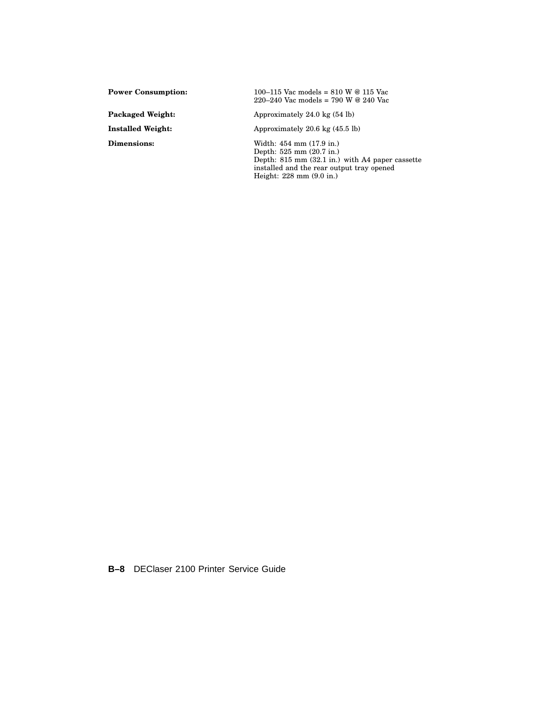**Power Consumption:** 100–115 Vac models = 810 W @ 115 Vac 220–240 Vac models = 790 W @ 240 Vac

Packaged Weight: Approximately 24.0 kg (54 lb)

**Installed Weight:** Approximately 20.6 kg (45.5 lb)

**Dimensions:** Width: 454 mm (17.9 in.) Depth: 525 mm (20.7 in.) Depth: 815 mm (32.1 in.) with A4 paper cassette installed and the rear output tray opened Height: 228 mm (9.0 in.)

**B–8** DEClaser 2100 Printer Service Guide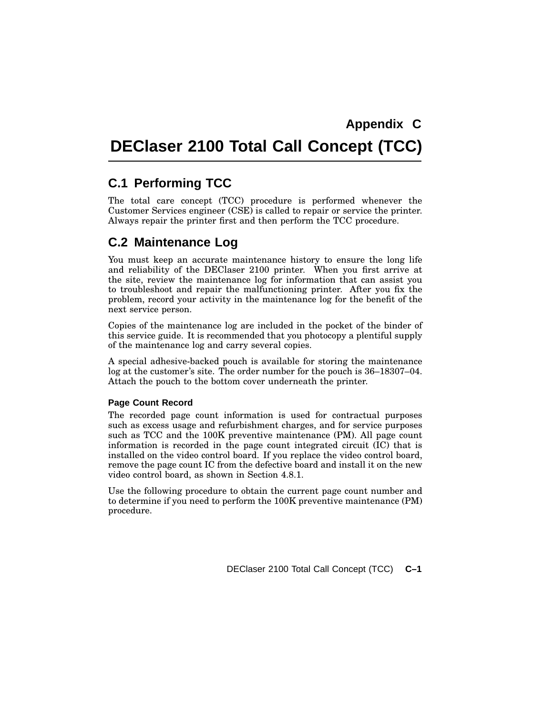# **DEClaser 2100 Total Call Concept (TCC)**

# **C.1 Performing TCC**

The total care concept (TCC) procedure is performed whenever the Customer Services engineer (CSE) is called to repair or service the printer. Always repair the printer first and then perform the TCC procedure.

# **C.2 Maintenance Log**

You must keep an accurate maintenance history to ensure the long life and reliability of the DEClaser 2100 printer. When you first arrive at the site, review the maintenance log for information that can assist you to troubleshoot and repair the malfunctioning printer. After you fix the problem, record your activity in the maintenance log for the benefit of the next service person.

Copies of the maintenance log are included in the pocket of the binder of this service guide. It is recommended that you photocopy a plentiful supply of the maintenance log and carry several copies.

A special adhesive-backed pouch is available for storing the maintenance log at the customer's site. The order number for the pouch is 36–18307–04. Attach the pouch to the bottom cover underneath the printer.

#### **Page Count Record**

The recorded page count information is used for contractual purposes such as excess usage and refurbishment charges, and for service purposes such as TCC and the 100K preventive maintenance (PM). All page count information is recorded in the page count integrated circuit (IC) that is installed on the video control board. If you replace the video control board, remove the page count IC from the defective board and install it on the new video control board, as shown in Section 4.8.1.

Use the following procedure to obtain the current page count number and to determine if you need to perform the 100K preventive maintenance (PM) procedure.

DEClaser 2100 Total Call Concept (TCC) **C–1**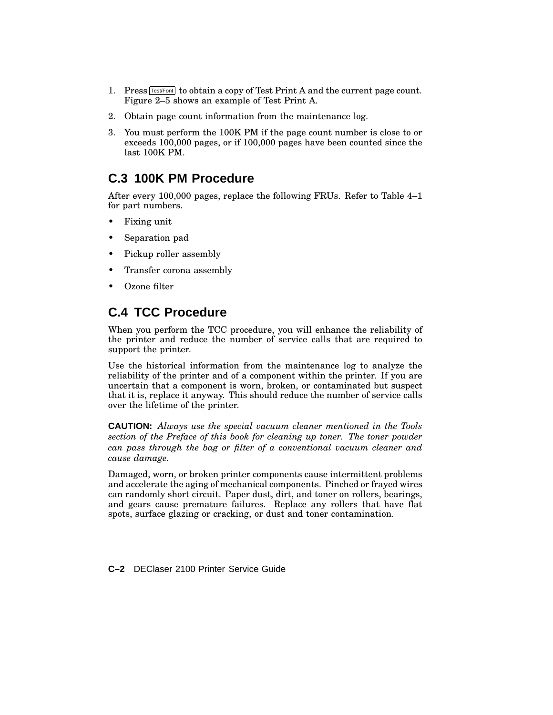- 1. Press  $TestF$  to obtain a copy of Test Print A and the current page count. Figure 2–5 shows an example of Test Print A.
- 2. Obtain page count information from the maintenance log.
- 3. You must perform the 100K PM if the page count number is close to or exceeds 100,000 pages, or if 100,000 pages have been counted since the last 100K PM.

# **C.3 100K PM Procedure**

After every 100,000 pages, replace the following FRUs. Refer to Table 4–1 for part numbers.

- Fixing unit
- Separation pad
- Pickup roller assembly
- Transfer corona assembly
- Ozone filter

# **C.4 TCC Procedure**

When you perform the TCC procedure, you will enhance the reliability of the printer and reduce the number of service calls that are required to support the printer.

Use the historical information from the maintenance log to analyze the reliability of the printer and of a component within the printer. If you are uncertain that a component is worn, broken, or contaminated but suspect that it is, replace it anyway. This should reduce the number of service calls over the lifetime of the printer.

**CAUTION:** *Always use the special vacuum cleaner mentioned in the Tools section of the Preface of this book for cleaning up toner. The toner powder can pass through the bag or filter of a conventional vacuum cleaner and cause damage.*

Damaged, worn, or broken printer components cause intermittent problems and accelerate the aging of mechanical components. Pinched or frayed wires can randomly short circuit. Paper dust, dirt, and toner on rollers, bearings, and gears cause premature failures. Replace any rollers that have flat spots, surface glazing or cracking, or dust and toner contamination.

**C–2** DEClaser 2100 Printer Service Guide